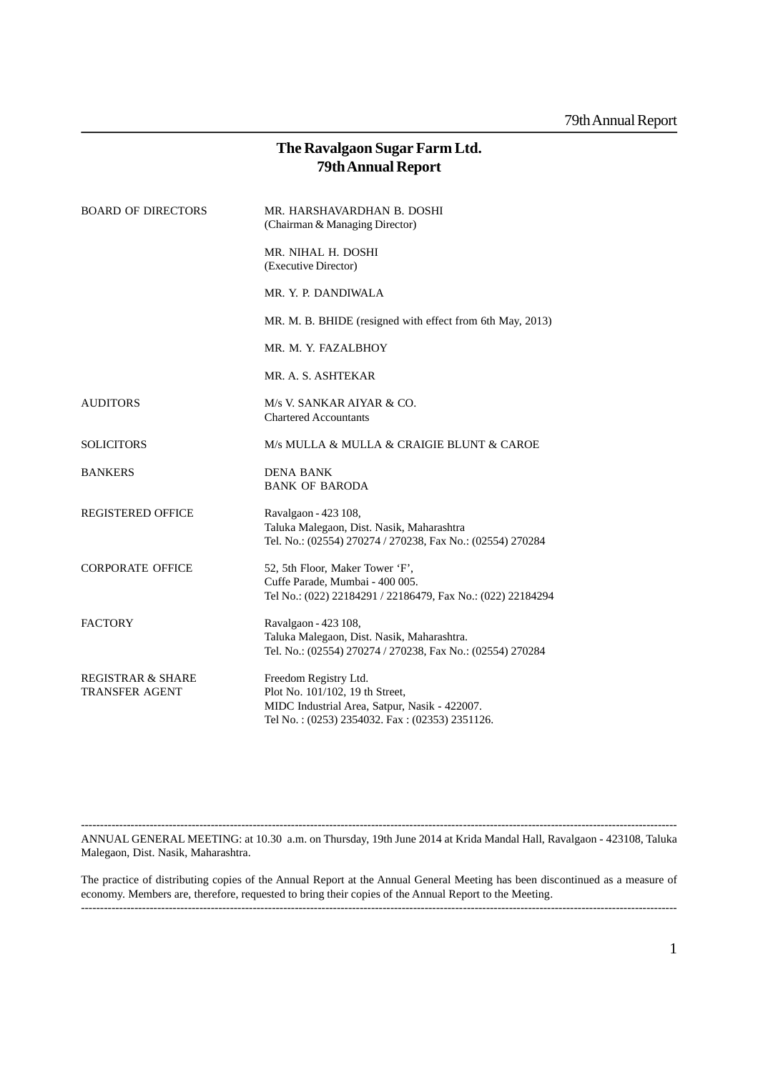# **The Ravalgaon Sugar Farm Ltd. 79th Annual Report**

| <b>BOARD OF DIRECTORS</b>                             | MR. HARSHAVARDHAN B. DOSHI<br>(Chairman & Managing Director)                                                                                                |
|-------------------------------------------------------|-------------------------------------------------------------------------------------------------------------------------------------------------------------|
|                                                       | MR. NIHAL H. DOSHI<br>(Executive Director)                                                                                                                  |
|                                                       | MR. Y. P. DANDIWALA                                                                                                                                         |
|                                                       | MR. M. B. BHIDE (resigned with effect from 6th May, 2013)                                                                                                   |
|                                                       | MR. M. Y. FAZALBHOY                                                                                                                                         |
|                                                       | MR. A. S. ASHTEKAR                                                                                                                                          |
| <b>AUDITORS</b>                                       | M/s V. SANKAR AIYAR & CO.<br><b>Chartered Accountants</b>                                                                                                   |
| <b>SOLICITORS</b>                                     | M/s MULLA & MULLA & CRAIGIE BLUNT & CAROE                                                                                                                   |
| <b>BANKERS</b>                                        | <b>DENA BANK</b><br><b>BANK OF BARODA</b>                                                                                                                   |
| <b>REGISTERED OFFICE</b>                              | Ravalgaon - 423 108,<br>Taluka Malegaon, Dist. Nasik, Maharashtra<br>Tel. No.: (02554) 270274 / 270238, Fax No.: (02554) 270284                             |
| <b>CORPORATE OFFICE</b>                               | 52, 5th Floor, Maker Tower 'F',<br>Cuffe Parade, Mumbai - 400 005.<br>Tel No.: (022) 22184291 / 22186479, Fax No.: (022) 22184294                           |
| <b>FACTORY</b>                                        | Ravalgaon - 423 108,<br>Taluka Malegaon, Dist. Nasik, Maharashtra.<br>Tel. No.: (02554) 270274 / 270238, Fax No.: (02554) 270284                            |
| <b>REGISTRAR &amp; SHARE</b><br><b>TRANSFER AGENT</b> | Freedom Registry Ltd.<br>Plot No. 101/102, 19 th Street,<br>MIDC Industrial Area, Satpur, Nasik - 422007.<br>Tel No.: (0253) 2354032. Fax: (02353) 2351126. |

------------------------------------------------------------------------------------------------------------------------------------------------------------ ANNUAL GENERAL MEETING: at 10.30 a.m. on Thursday, 19th June 2014 at Krida Mandal Hall, Ravalgaon - 423108, Taluka Malegaon, Dist. Nasik, Maharashtra.

The practice of distributing copies of the Annual Report at the Annual General Meeting has been discontinued as a measure of economy. Members are, therefore, requested to bring their copies of the Annual Report to the Meeting. ------------------------------------------------------------------------------------------------------------------------------------------------------------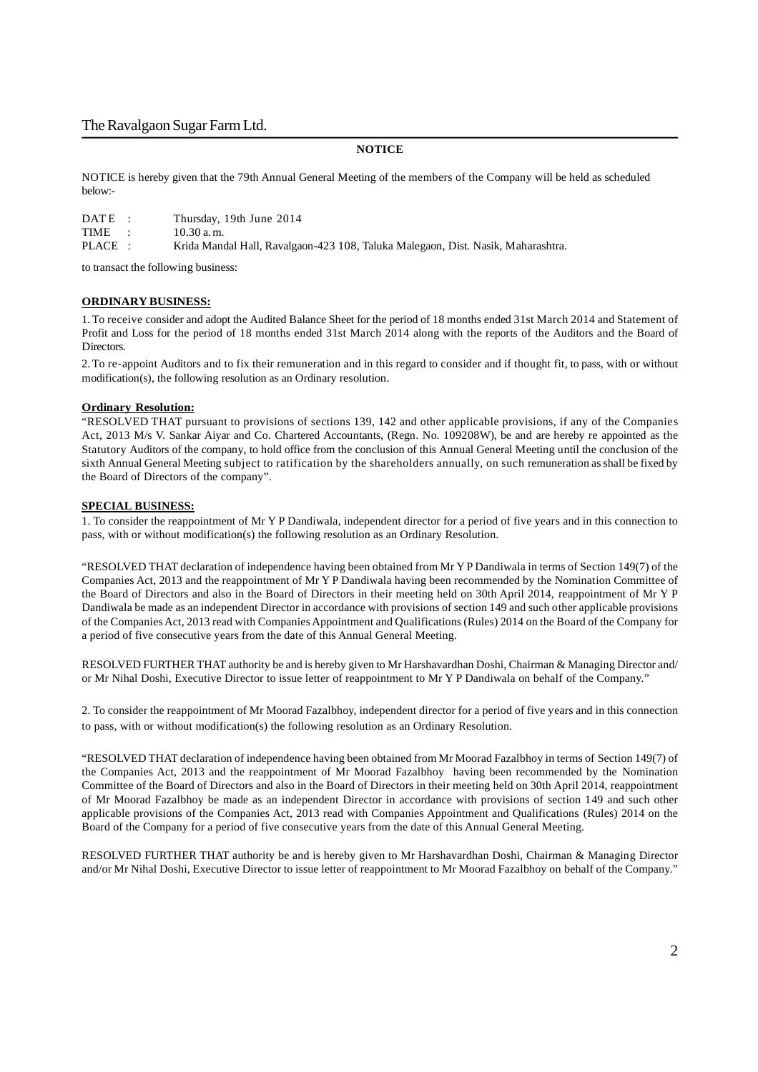#### **NOTICE**

NOTICE is hereby given that the 79th Annual General Meeting of the members of the Company will be held as scheduled below:-

| DATE :  | Thursday, 19th June 2014                                                         |
|---------|----------------------------------------------------------------------------------|
| TIME :  | 10.30 a.m.                                                                       |
| PLACE : | Krida Mandal Hall, Ravalgaon-423 108, Taluka Malegaon, Dist. Nasik, Maharashtra. |

to transact the following business:

#### **ORDINARY BUSINESS:**

1. To receive consider and adopt the Audited Balance Sheet for the period of 18 months ended 31st March 2014 and Statement of Profit and Loss for the period of 18 months ended 31st March 2014 along with the reports of the Auditors and the Board of **Directors** 

2. To re-appoint Auditors and to fix their remuneration and in this regard to consider and if thought fit, to pass, with or without modification(s), the following resolution as an Ordinary resolution.

#### **Ordinary Resolution:**

"RESOLVED THAT pursuant to provisions of sections 139, 142 and other applicable provisions, if any of the Companies Act, 2013 M/s V. Sankar Aiyar and Co. Chartered Accountants, (Regn. No. 109208W), be and are hereby re appointed as the Statutory Auditors of the company, to hold office from the conclusion of this Annual General Meeting until the conclusion of the sixth Annual General Meeting subject to ratification by the shareholders annually, on such remuneration as shall be fixed by the Board of Directors of the company".

#### **SPECIAL BUSINESS:**

1. To consider the reappointment of Mr Y P Dandiwala, independent director for a period of five years and in this connection to pass, with or without modification(s) the following resolution as an Ordinary Resolution.

"RESOLVED THAT declaration of independence having been obtained from Mr Y P Dandiwala in terms of Section 149(7) of the Companies Act, 2013 and the reappointment of Mr Y P Dandiwala having been recommended by the Nomination Committee of the Board of Directors and also in the Board of Directors in their meeting held on 30th April 2014, reappointment of Mr Y P Dandiwala be made as an independent Director in accordance with provisions of section 149 and such other applicable provisions of the Companies Act, 2013 read with Companies Appointment and Qualifications (Rules) 2014 on the Board of the Company for a period of five consecutive years from the date of this Annual General Meeting.

RESOLVED FURTHER THAT authority be and is hereby given to Mr Harshavardhan Doshi, Chairman & Managing Director and/ or Mr Nihal Doshi, Executive Director to issue letter of reappointment to Mr Y P Dandiwala on behalf of the Company."

2. To consider the reappointment of Mr Moorad Fazalbhoy, independent director for a period of five years and in this connection to pass, with or without modification(s) the following resolution as an Ordinary Resolution.

"RESOLVED THAT declaration of independence having been obtained from Mr Moorad Fazalbhoy in terms of Section 149(7) of the Companies Act, 2013 and the reappointment of Mr Moorad Fazalbhoy having been recommended by the Nomination Committee of the Board of Directors and also in the Board of Directors in their meeting held on 30th April 2014, reappointment of Mr Moorad Fazalbhoy be made as an independent Director in accordance with provisions of section 149 and such other applicable provisions of the Companies Act, 2013 read with Companies Appointment and Qualifications (Rules) 2014 on the Board of the Company for a period of five consecutive years from the date of this Annual General Meeting.

RESOLVED FURTHER THAT authority be and is hereby given to Mr Harshavardhan Doshi, Chairman & Managing Director and/or Mr Nihal Doshi, Executive Director to issue letter of reappointment to Mr Moorad Fazalbhoy on behalf of the Company."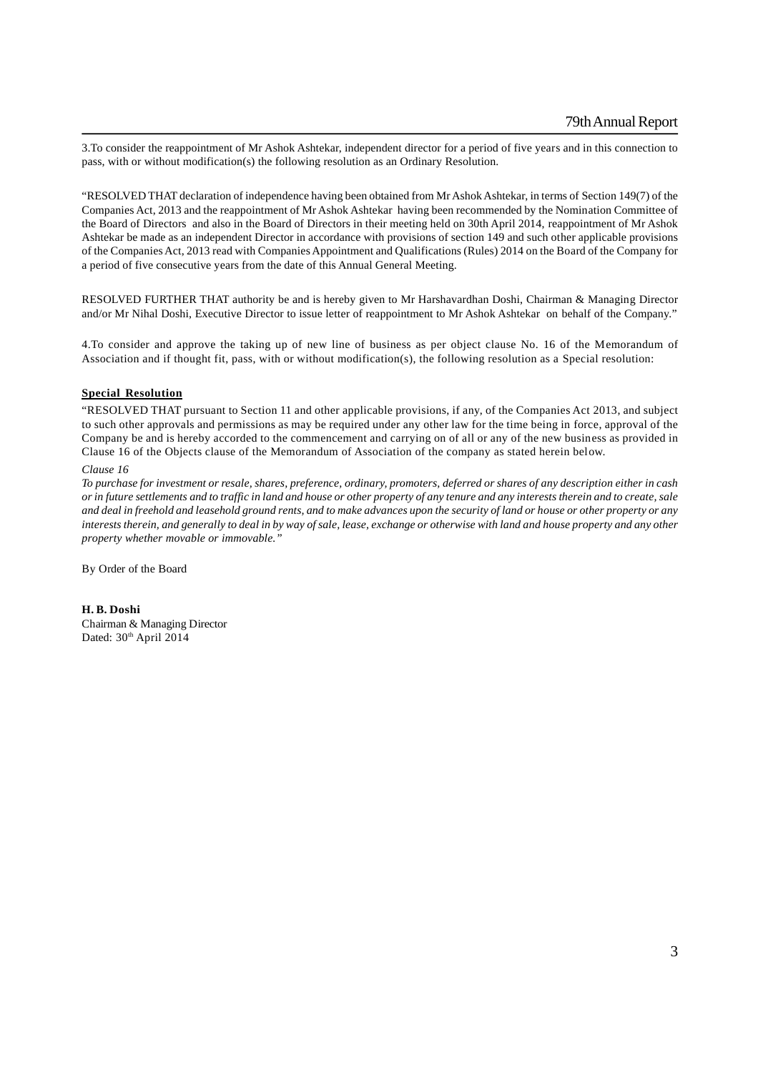3.To consider the reappointment of Mr Ashok Ashtekar, independent director for a period of five years and in this connection to pass, with or without modification(s) the following resolution as an Ordinary Resolution.

"RESOLVED THAT declaration of independence having been obtained from Mr Ashok Ashtekar, in terms of Section 149(7) of the Companies Act, 2013 and the reappointment of Mr Ashok Ashtekar having been recommended by the Nomination Committee of the Board of Directors and also in the Board of Directors in their meeting held on 30th April 2014, reappointment of Mr Ashok Ashtekar be made as an independent Director in accordance with provisions of section 149 and such other applicable provisions of the Companies Act, 2013 read with Companies Appointment and Qualifications (Rules) 2014 on the Board of the Company for a period of five consecutive years from the date of this Annual General Meeting.

RESOLVED FURTHER THAT authority be and is hereby given to Mr Harshavardhan Doshi, Chairman & Managing Director and/or Mr Nihal Doshi, Executive Director to issue letter of reappointment to Mr Ashok Ashtekar on behalf of the Company."

4.To consider and approve the taking up of new line of business as per object clause No. 16 of the Memorandum of Association and if thought fit, pass, with or without modification(s), the following resolution as a Special resolution:

#### **Special Resolution**

"RESOLVED THAT pursuant to Section 11 and other applicable provisions, if any, of the Companies Act 2013, and subject to such other approvals and permissions as may be required under any other law for the time being in force, approval of the Company be and is hereby accorded to the commencement and carrying on of all or any of the new business as provided in Clause 16 of the Objects clause of the Memorandum of Association of the company as stated herein below.

#### *Clause 16*

*To purchase for investment or resale, shares, preference, ordinary, promoters, deferred or shares of any description either in cash or in future settlements and to traffic in land and house or other property of any tenure and any interests therein and to create, sale and deal in freehold and leasehold ground rents, and to make advances upon the security of land or house or other property or any interests therein, and generally to deal in by way of sale, lease, exchange or otherwise with land and house property and any other property whether movable or immovable."*

By Order of the Board

**H. B. Doshi** Chairman & Managing Director Dated: 30<sup>th</sup> April 2014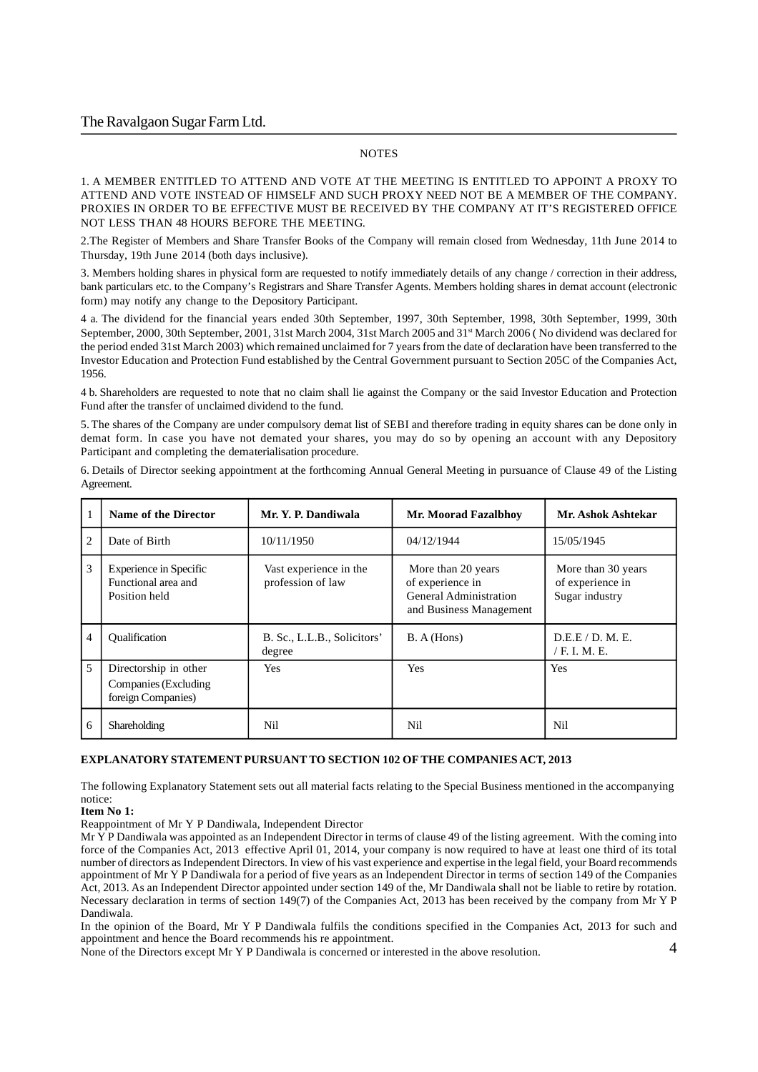#### **NOTES**

1. A MEMBER ENTITLED TO ATTEND AND VOTE AT THE MEETING IS ENTITLED TO APPOINT A PROXY TO ATTEND AND VOTE INSTEAD OF HIMSELF AND SUCH PROXY NEED NOT BE A MEMBER OF THE COMPANY. PROXIES IN ORDER TO BE EFFECTIVE MUST BE RECEIVED BY THE COMPANY AT IT'S REGISTERED OFFICE NOT LESS THAN 48 HOURS BEFORE THE MEETING.

2.The Register of Members and Share Transfer Books of the Company will remain closed from Wednesday, 11th June 2014 to Thursday, 19th June 2014 (both days inclusive).

3. Members holding shares in physical form are requested to notify immediately details of any change / correction in their address, bank particulars etc. to the Company's Registrars and Share Transfer Agents. Members holding shares in demat account (electronic form) may notify any change to the Depository Participant.

4 a. The dividend for the financial years ended 30th September, 1997, 30th September, 1998, 30th September, 1999, 30th September, 2000, 30th September, 2001, 31st March 2004, 31st March 2005 and 31<sup>st</sup> March 2006 (No dividend was declared for the period ended 31st March 2003) which remained unclaimed for 7 years from the date of declaration have been transferred to the Investor Education and Protection Fund established by the Central Government pursuant to Section 205C of the Companies Act, 1956.

4 b. Shareholders are requested to note that no claim shall lie against the Company or the said Investor Education and Protection Fund after the transfer of unclaimed dividend to the fund.

5. The shares of the Company are under compulsory demat list of SEBI and therefore trading in equity shares can be done only in demat form. In case you have not demated your shares, you may do so by opening an account with any Depository Participant and completing the dematerialisation procedure.

6. Details of Director seeking appointment at the forthcoming Annual General Meeting in pursuance of Clause 49 of the Listing Agreement.

| 1              | Name of the Director                                                  | Mr. Y. P. Dandiwala                         | Mr. Moorad Fazalbhov                                                                        | Mr. Ashok Ashtekar                                       |
|----------------|-----------------------------------------------------------------------|---------------------------------------------|---------------------------------------------------------------------------------------------|----------------------------------------------------------|
| $\overline{2}$ | Date of Birth                                                         | 10/11/1950                                  | 04/12/1944                                                                                  | 15/05/1945                                               |
| 3              | <b>Experience in Specific</b><br>Functional area and<br>Position held | Vast experience in the<br>profession of law | More than 20 years<br>of experience in<br>General Administration<br>and Business Management | More than 30 years<br>of experience in<br>Sugar industry |
| 4              | <b>Oualification</b>                                                  | B. Sc., L.L.B., Solicitors'<br>degree       | B. A (Hons)                                                                                 | D.E.E / D. M.E.<br>/ F. I. M. E.                         |
| 5              | Directorship in other<br>Companies (Excluding)<br>foreign Companies)  | <b>Yes</b>                                  | Yes                                                                                         | Yes                                                      |
| 6              | Shareholding                                                          | Nil                                         | Nil                                                                                         | Nil                                                      |

#### **EXPLANATORY STATEMENT PURSUANT TO SECTION 102 OF THE COMPANIES ACT, 2013**

The following Explanatory Statement sets out all material facts relating to the Special Business mentioned in the accompanying notice:

**Item No 1:**

Reappointment of Mr Y P Dandiwala, Independent Director

Mr  $\hat{Y}P$  Dandiwala was appointed as an Independent Director in terms of clause 49 of the listing agreement. With the coming into force of the Companies Act, 2013 effective April 01, 2014, your company is now required to have at least one third of its total number of directors as Independent Directors. In view of his vast experience and expertise in the legal field, your Board recommends appointment of Mr Y P Dandiwala for a period of five years as an Independent Director in terms of section 149 of the Companies Act, 2013. As an Independent Director appointed under section 149 of the, Mr Dandiwala shall not be liable to retire by rotation. Necessary declaration in terms of section 149(7) of the Companies Act, 2013 has been received by the company from Mr Y P Dandiwala.

In the opinion of the Board, Mr Y P Dandiwala fulfils the conditions specified in the Companies Act, 2013 for such and appointment and hence the Board recommends his re appointment.

None of the Directors except Mr Y P Dandiwala is concerned or interested in the above resolution.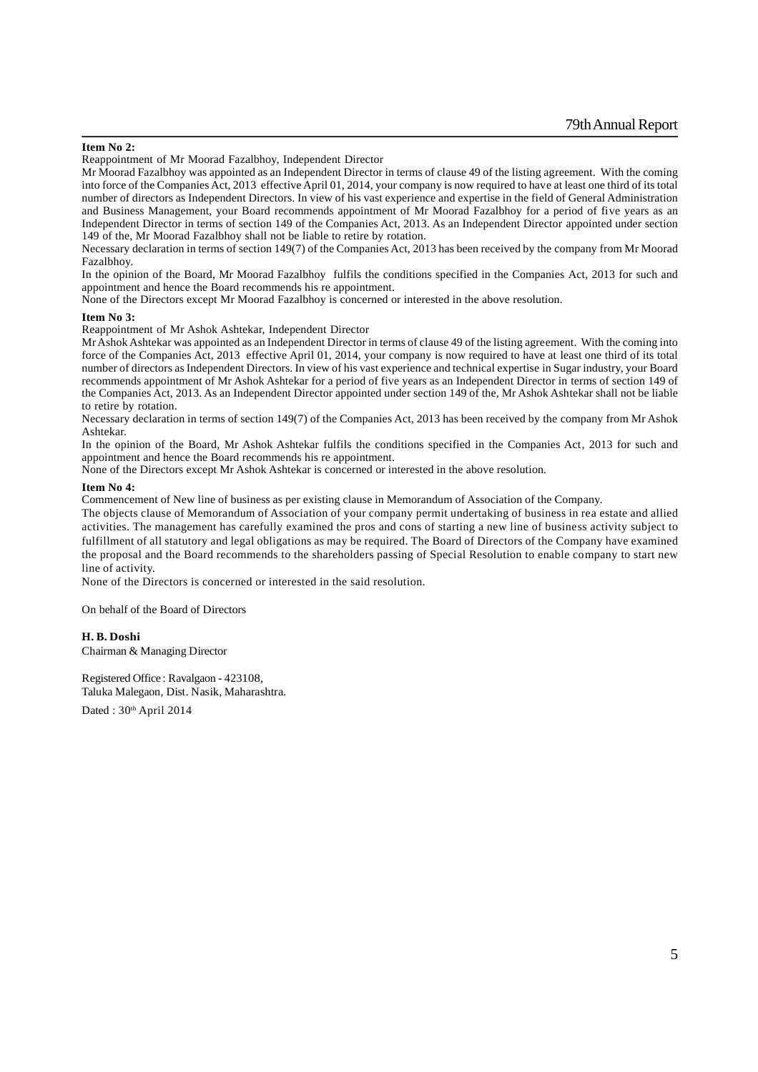**Item No 2:**

Reappointment of Mr Moorad Fazalbhoy, Independent Director

Mr Moorad Fazalbhoy was appointed as an Independent Director in terms of clause 49 of the listing agreement. With the coming into force of the Companies Act, 2013 effective April 01, 2014, your company is now required to have at least one third of its total number of directors as Independent Directors. In view of his vast experience and expertise in the field of General Administration and Business Management, your Board recommends appointment of Mr Moorad Fazalbhoy for a period of five years as an Independent Director in terms of section 149 of the Companies Act, 2013. As an Independent Director appointed under section 149 of the, Mr Moorad Fazalbhoy shall not be liable to retire by rotation.

Necessary declaration in terms of section 149(7) of the Companies Act, 2013 has been received by the company from Mr Moorad Fazalbhoy.

In the opinion of the Board, Mr Moorad Fazalbhoy fulfils the conditions specified in the Companies Act, 2013 for such and appointment and hence the Board recommends his re appointment.

None of the Directors except Mr Moorad Fazalbhoy is concerned or interested in the above resolution.

#### **Item No 3:**

Reappointment of Mr Ashok Ashtekar, Independent Director

Mr Ashok Ashtekar was appointed as an Independent Director in terms of clause 49 of the listing agreement. With the coming into force of the Companies Act, 2013 effective April 01, 2014, your company is now required to have at least one third of its total number of directors as Independent Directors. In view of his vast experience and technical expertise in Sugar industry, your Board recommends appointment of Mr Ashok Ashtekar for a period of five years as an Independent Director in terms of section 149 of the Companies Act, 2013. As an Independent Director appointed under section 149 of the, Mr Ashok Ashtekar shall not be liable to retire by rotation.

Necessary declaration in terms of section 149(7) of the Companies Act, 2013 has been received by the company from Mr Ashok Ashtekar.

In the opinion of the Board, Mr Ashok Ashtekar fulfils the conditions specified in the Companies Act, 2013 for such and appointment and hence the Board recommends his re appointment.

None of the Directors except Mr Ashok Ashtekar is concerned or interested in the above resolution.

#### **Item No 4:**

Commencement of New line of business as per existing clause in Memorandum of Association of the Company.

The objects clause of Memorandum of Association of your company permit undertaking of business in rea estate and allied activities. The management has carefully examined the pros and cons of starting a new line of business activity subject to fulfillment of all statutory and legal obligations as may be required. The Board of Directors of the Company have examined the proposal and the Board recommends to the shareholders passing of Special Resolution to enable company to start new line of activity.

None of the Directors is concerned or interested in the said resolution.

On behalf of the Board of Directors

#### **H. B. Doshi**

Chairman & Managing Director

Registered Office : Ravalgaon - 423108, Taluka Malegaon, Dist. Nasik, Maharashtra.

Dated : 30<sup>th</sup> April 2014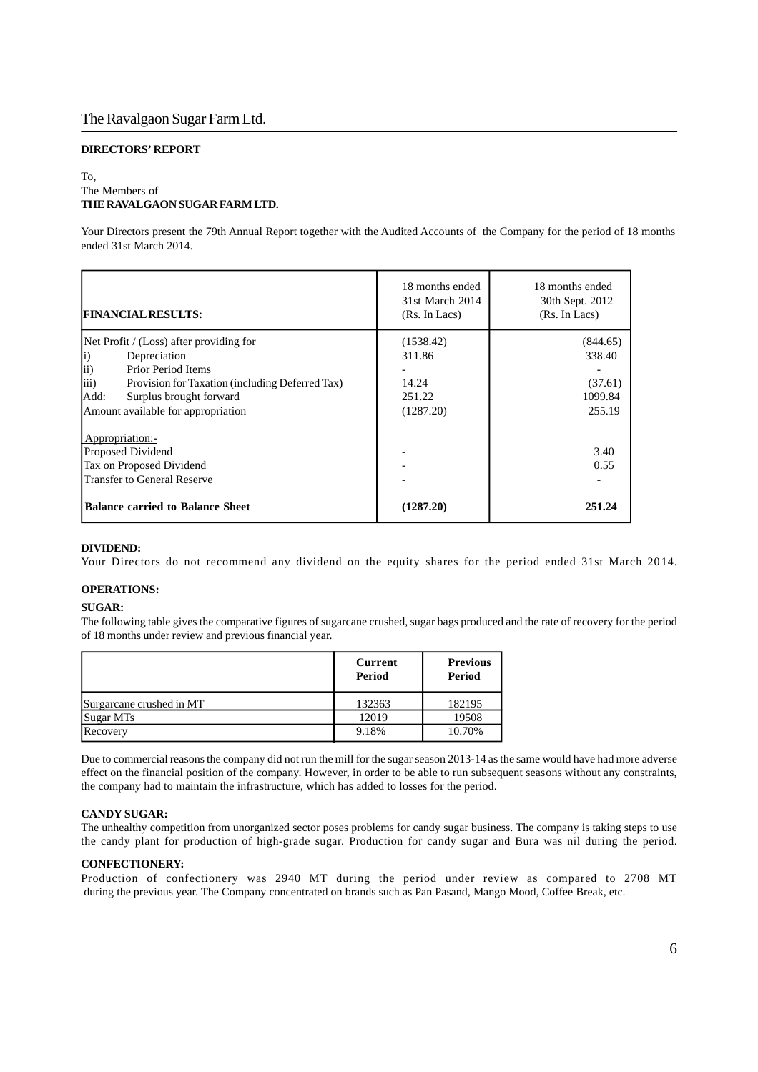#### **DIRECTORS' REPORT**

#### To, The Members of **THE RAVALGAON SUGAR FARM LTD.**

Your Directors present the 79th Annual Report together with the Audited Accounts of the Company for the period of 18 months ended 31st March 2014.

| <b>FINANCIAL RESULTS:</b>                               | 18 months ended<br>31st March 2014<br>(Rs. In Lacs) | 18 months ended<br>30th Sept. 2012<br>(Rs. In Lacs) |
|---------------------------------------------------------|-----------------------------------------------------|-----------------------------------------------------|
| Net Profit / (Loss) after providing for                 | (1538.42)                                           | (844.65)                                            |
| $\vert i \rangle$<br>Depreciation                       | 311.86                                              | 338.40                                              |
| ii)<br>Prior Period Items                               |                                                     |                                                     |
| iii)<br>Provision for Taxation (including Deferred Tax) | 14.24                                               | (37.61)                                             |
| Surplus brought forward<br>Add:                         | 251.22                                              | 1099.84                                             |
| Amount available for appropriation                      | (1287.20)                                           | 255.19                                              |
| Appropriation:-                                         |                                                     |                                                     |
| Proposed Dividend                                       |                                                     | 3.40                                                |
| Tax on Proposed Dividend                                |                                                     | 0.55                                                |
| <b>Transfer to General Reserve</b>                      |                                                     |                                                     |
| <b>Balance carried to Balance Sheet</b>                 | (1287.20)                                           | 251.24                                              |

#### **DIVIDEND:**

Your Directors do not recommend any dividend on the equity shares for the period ended 31st March 20 14.

#### **OPERATIONS:**

#### **SUGAR:**

The following table gives the comparative figures of sugarcane crushed, sugar bags produced and the rate of recovery for the period of 18 months under review and previous financial year.

|                          | Current<br>Period | <b>Previous</b><br>Period |
|--------------------------|-------------------|---------------------------|
| Surgarcane crushed in MT | 132363            | 182195                    |
| Sugar MTs                | 12019             | 19508                     |
| Recovery                 | 9.18%             | 10.70%                    |

Due to commercial reasons the company did not run the mill for the sugar season 2013-14 as the same would have had more adverse effect on the financial position of the company. However, in order to be able to run subsequent seasons without any constraints, the company had to maintain the infrastructure, which has added to losses for the period.

#### **CANDY SUGAR:**

The unhealthy competition from unorganized sector poses problems for candy sugar business. The company is taking steps to use the candy plant for production of high-grade sugar. Production for candy sugar and Bura was nil during the period.

#### **CONFECTIONERY:**

Production of confectionery was 2940 MT during the period under review as compared to 2708 MT during the previous year. The Company concentrated on brands such as Pan Pasand, Mango Mood, Coffee Break, etc.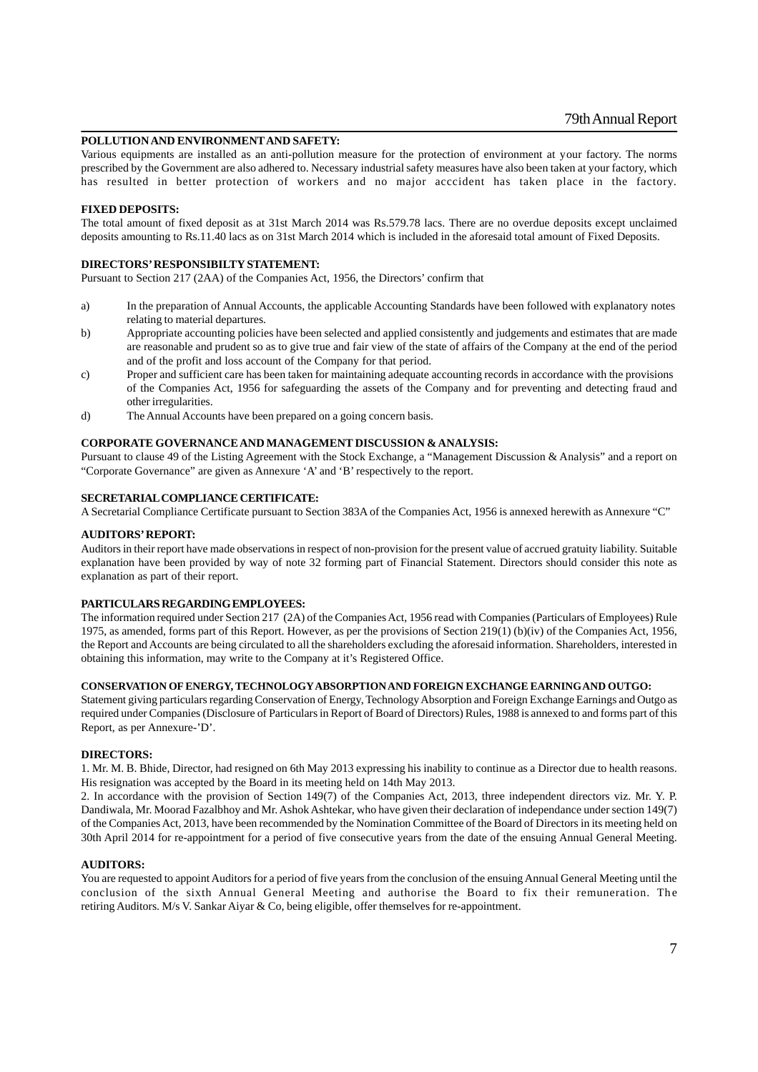#### **POLLUTION AND ENVIRONMENT AND SAFETY:**

Various equipments are installed as an anti-pollution measure for the protection of environment at your factory. The norms prescribed by the Government are also adhered to. Necessary industrial safety measures have also been taken at your factory, which has resulted in better protection of workers and no major acccident has taken place in the factory.

#### **FIXED DEPOSITS:**

The total amount of fixed deposit as at 31st March 2014 was Rs.579.78 lacs. There are no overdue deposits except unclaimed deposits amounting to Rs.11.40 lacs as on 31st March 2014 which is included in the aforesaid total amount of Fixed Deposits.

#### **DIRECTORS' RESPONSIBILTY STATEMENT:**

Pursuant to Section 217 (2AA) of the Companies Act, 1956, the Directors' confirm that

- a) In the preparation of Annual Accounts, the applicable Accounting Standards have been followed with explanatory notes relating to material departures.
- b) Appropriate accounting policies have been selected and applied consistently and judgements and estimates that are made are reasonable and prudent so as to give true and fair view of the state of affairs of the Company at the end of the period and of the profit and loss account of the Company for that period.
- c) Proper and sufficient care has been taken for maintaining adequate accounting records in accordance with the provisions of the Companies Act, 1956 for safeguarding the assets of the Company and for preventing and detecting fraud and other irregularities.
- d) The Annual Accounts have been prepared on a going concern basis.

#### **CORPORATE GOVERNANCE AND MANAGEMENT DISCUSSION & ANALYSIS:**

Pursuant to clause 49 of the Listing Agreement with the Stock Exchange, a "Management Discussion & Analysis" and a report on "Corporate Governance" are given as Annexure 'A' and 'B' respectively to the report.

#### **SECRETARIAL COMPLIANCE CERTIFICATE:**

A Secretarial Compliance Certificate pursuant to Section 383A of the Companies Act, 1956 is annexed herewith as Annexure "C"

#### **AUDITORS' REPORT:**

Auditors in their report have made observations in respect of non-provision for the present value of accrued gratuity liability. Suitable explanation have been provided by way of note 32 forming part of Financial Statement. Directors should consider this note as explanation as part of their report.

#### **PARTICULARS REGARDING EMPLOYEES:**

The information required under Section 217 (2A) of the Companies Act, 1956 read with Companies (Particulars of Employees) Rule 1975, as amended, forms part of this Report. However, as per the provisions of Section 219(1) (b)(iv) of the Companies Act, 1956, the Report and Accounts are being circulated to all the shareholders excluding the aforesaid information. Shareholders, interested in obtaining this information, may write to the Company at it's Registered Office.

#### **CONSERVATION OF ENERGY, TECHNOLOGY ABSORPTION AND FOREIGN EXCHANGE EARNING AND OUTGO:**

Statement giving particulars regarding Conservation of Energy, Technology Absorption and Foreign Exchange Earnings and Outgo as required under Companies (Disclosure of Particulars in Report of Board of Directors) Rules, 1988 is annexed to and forms part of this Report, as per Annexure-'D'.

#### **DIRECTORS:**

1. Mr. M. B. Bhide, Director, had resigned on 6th May 2013 expressing his inability to continue as a Director due to health reasons. His resignation was accepted by the Board in its meeting held on 14th May 2013.

2. In accordance with the provision of Section 149(7) of the Companies Act, 2013, three independent directors viz. Mr. Y. P. Dandiwala, Mr. Moorad Fazalbhoy and Mr. Ashok Ashtekar, who have given their declaration of independance under section 149(7) of the Companies Act, 2013, have been recommended by the Nomination Committee of the Board of Directors in its meeting held on 30th April 2014 for re-appointment for a period of five consecutive years from the date of the ensuing Annual General Meeting.

#### **AUDITORS:**

You are requested to appoint Auditors for a period of five years from the conclusion of the ensuing Annual General Meeting until the conclusion of the sixth Annual General Meeting and authorise the Board to fix their remuneration. The retiring Auditors. M/s V. Sankar Aiyar & Co, being eligible, offer themselves for re-appointment.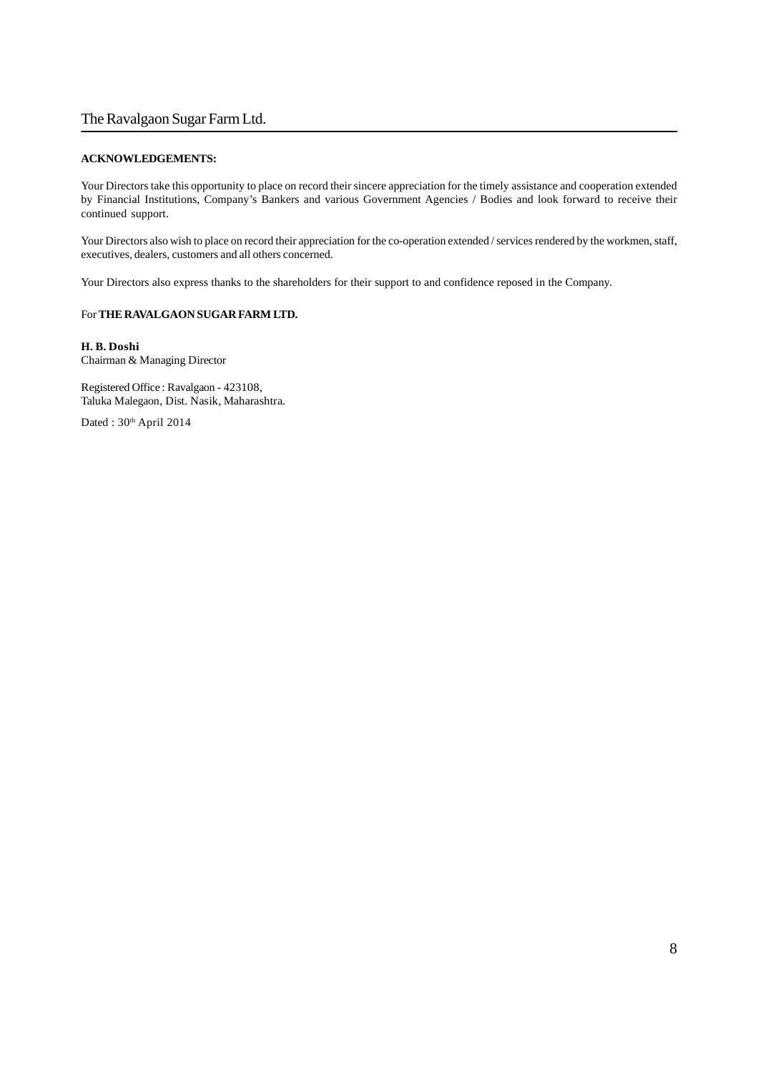#### **ACKNOWLEDGEMENTS:**

Your Directors take this opportunity to place on record their sincere appreciation for the timely assistance and cooperation extended by Financial Institutions, Company's Bankers and various Government Agencies / Bodies and look forward to receive their continued support.

Your Directors also wish to place on record their appreciation for the co-operation extended / services rendered by the workmen, staff, executives, dealers, customers and all others concerned.

Your Directors also express thanks to the shareholders for their support to and confidence reposed in the Company.

#### For **THE RAVALGAON SUGAR FARM LTD.**

**H. B. Doshi** Chairman & Managing Director

Registered Office : Ravalgaon - 423108, Taluka Malegaon, Dist. Nasik, Maharashtra.

Dated : 30<sup>th</sup> April 2014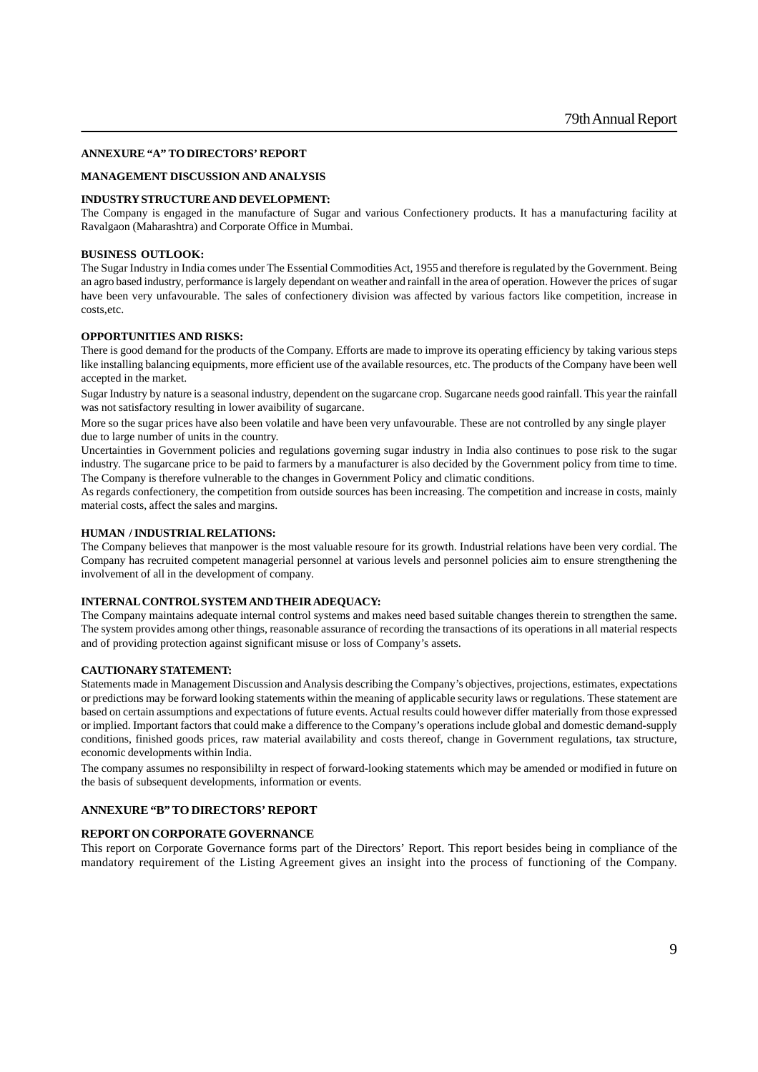#### **ANNEXURE "A" TO DIRECTORS' REPORT**

#### **MANAGEMENT DISCUSSION AND ANALYSIS**

#### **INDUSTRY STRUCTURE AND DEVELOPMENT:**

The Company is engaged in the manufacture of Sugar and various Confectionery products. It has a manufacturing facility at Ravalgaon (Maharashtra) and Corporate Office in Mumbai.

#### **BUSINESS OUTLOOK:**

The Sugar Industry in India comes under The Essential Commodities Act, 1955 and therefore is regulated by the Government. Being an agro based industry, performance is largely dependant on weather and rainfall in the area of operation. However the prices of sugar have been very unfavourable. The sales of confectionery division was affected by various factors like competition, increase in costs,etc.

#### **OPPORTUNITIES AND RISKS:**

There is good demand for the products of the Company. Efforts are made to improve its operating efficiency by taking various steps like installing balancing equipments, more efficient use of the available resources, etc. The products of the Company have been well accepted in the market.

Sugar Industry by nature is a seasonal industry, dependent on the sugarcane crop. Sugarcane needs good rainfall. This year the rainfall was not satisfactory resulting in lower avaibility of sugarcane.

More so the sugar prices have also been volatile and have been very unfavourable. These are not controlled by any single player due to large number of units in the country.

Uncertainties in Government policies and regulations governing sugar industry in India also continues to pose risk to the sugar industry. The sugarcane price to be paid to farmers by a manufacturer is also decided by the Government policy from time to time. The Company is therefore vulnerable to the changes in Government Policy and climatic conditions.

As regards confectionery, the competition from outside sources has been increasing. The competition and increase in costs, mainly material costs, affect the sales and margins.

#### **HUMAN / INDUSTRIAL RELATIONS:**

The Company believes that manpower is the most valuable resoure for its growth. Industrial relations have been very cordial. The Company has recruited competent managerial personnel at various levels and personnel policies aim to ensure strengthening the involvement of all in the development of company.

#### **INTERNAL CONTROL SYSTEM AND THEIR ADEQUACY:**

The Company maintains adequate internal control systems and makes need based suitable changes therein to strengthen the same. The system provides among other things, reasonable assurance of recording the transactions of its operations in all material respects and of providing protection against significant misuse or loss of Company's assets.

#### **CAUTIONARY STATEMENT:**

Statements made in Management Discussion and Analysis describing the Company's objectives, projections, estimates, expectations or predictions may be forward looking statements within the meaning of applicable security laws or regulations. These statement are based on certain assumptions and expectations of future events. Actual results could however differ materially from those expressed or implied. Important factors that could make a difference to the Company's operations include global and domestic demand-supply conditions, finished goods prices, raw material availability and costs thereof, change in Government regulations, tax structure, economic developments within India.

The company assumes no responsibililty in respect of forward-looking statements which may be amended or modified in future on the basis of subsequent developments, information or events.

#### **ANNEXURE "B" TO DIRECTORS' REPORT**

#### **REPORT ON CORPORATE GOVERNANCE**

This report on Corporate Governance forms part of the Directors' Report. This report besides being in compliance of the mandatory requirement of the Listing Agreement gives an insight into the process of functioning of the Company.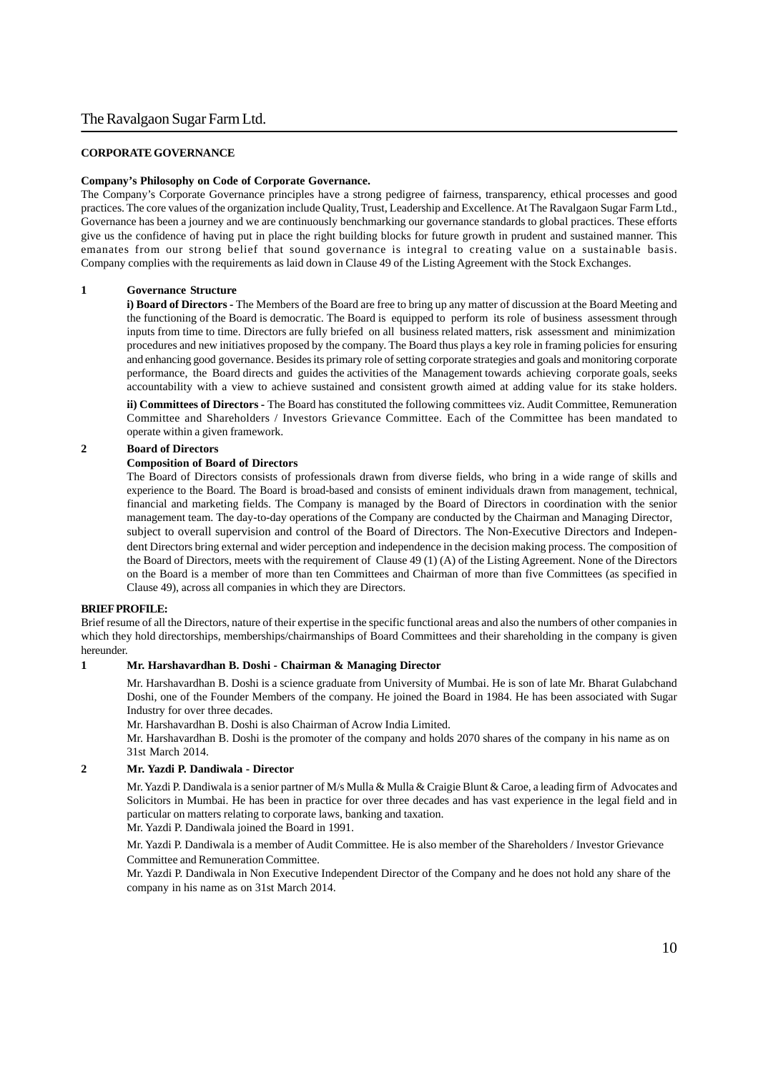#### **CORPORATE GOVERNANCE**

#### **Company's Philosophy on Code of Corporate Governance.**

The Company's Corporate Governance principles have a strong pedigree of fairness, transparency, ethical processes and good practices. The core values of the organization include Quality, Trust, Leadership and Excellence. At The Ravalgaon Sugar Farm Ltd., Governance has been a journey and we are continuously benchmarking our governance standards to global practices. These efforts give us the confidence of having put in place the right building blocks for future growth in prudent and sustained manner. This emanates from our strong belief that sound governance is integral to creating value on a sustainable basis. Company complies with the requirements as laid down in Clause 49 of the Listing Agreement with the Stock Exchanges.

#### **1 Governance Structure**

**i) Board of Directors -** The Members of the Board are free to bring up any matter of discussion at the Board Meeting and the functioning of the Board is democratic. The Board is equipped to perform its role of business assessment through inputs from time to time. Directors are fully briefed on all business related matters, risk assessment and minimization procedures and new initiatives proposed by the company. The Board thus plays a key role in framing policies for ensuring and enhancing good governance. Besides its primary role of setting corporate strategies and goals and monitoring corporate performance, the Board directs and guides the activities of the Management towards achieving corporate goals, seeks accountability with a view to achieve sustained and consistent growth aimed at adding value for its stake holders.

**ii) Committees of Directors -** The Board has constituted the following committees viz. Audit Committee, Remuneration Committee and Shareholders / Investors Grievance Committee. Each of the Committee has been mandated to operate within a given framework.

#### **2 Board of Directors**

#### **Composition of Board of Directors**

The Board of Directors consists of professionals drawn from diverse fields, who bring in a wide range of skills and experience to the Board. The Board is broad-based and consists of eminent individuals drawn from management, technical, financial and marketing fields. The Company is managed by the Board of Directors in coordination with the senior management team. The day-to-day operations of the Company are conducted by the Chairman and Managing Director, subject to overall supervision and control of the Board of Directors. The Non-Executive Directors and Independent Directors bring external and wider perception and independence in the decision making process. The composition of the Board of Directors, meets with the requirement of Clause 49 (1) (A) of the Listing Agreement. None of the Directors on the Board is a member of more than ten Committees and Chairman of more than five Committees (as specified in Clause 49), across all companies in which they are Directors.

#### **BRIEF PROFILE:**

Brief resume of all the Directors, nature of their expertise in the specific functional areas and also the numbers of other companies in which they hold directorships, memberships/chairmanships of Board Committees and their shareholding in the company is given hereunder.

#### **1 Mr. Harshavardhan B. Doshi - Chairman & Managing Director**

Mr. Harshavardhan B. Doshi is a science graduate from University of Mumbai. He is son of late Mr. Bharat Gulabchand Doshi, one of the Founder Members of the company. He joined the Board in 1984. He has been associated with Sugar Industry for over three decades.

Mr. Harshavardhan B. Doshi is also Chairman of Acrow India Limited.

Mr. Harshavardhan B. Doshi is the promoter of the company and holds 2070 shares of the company in his name as on 31st March 2014.

#### **2 Mr. Yazdi P. Dandiwala - Director**

Mr. Yazdi P. Dandiwala is a senior partner of M/s Mulla & Mulla & Craigie Blunt & Caroe, a leading firm of Advocates and Solicitors in Mumbai. He has been in practice for over three decades and has vast experience in the legal field and in particular on matters relating to corporate laws, banking and taxation.

Mr. Yazdi P. Dandiwala joined the Board in 1991.

Mr. Yazdi P. Dandiwala is a member of Audit Committee. He is also member of the Shareholders / Investor Grievance Committee and Remuneration Committee.

Mr. Yazdi P. Dandiwala in Non Executive Independent Director of the Company and he does not hold any share of the company in his name as on 31st March 2014.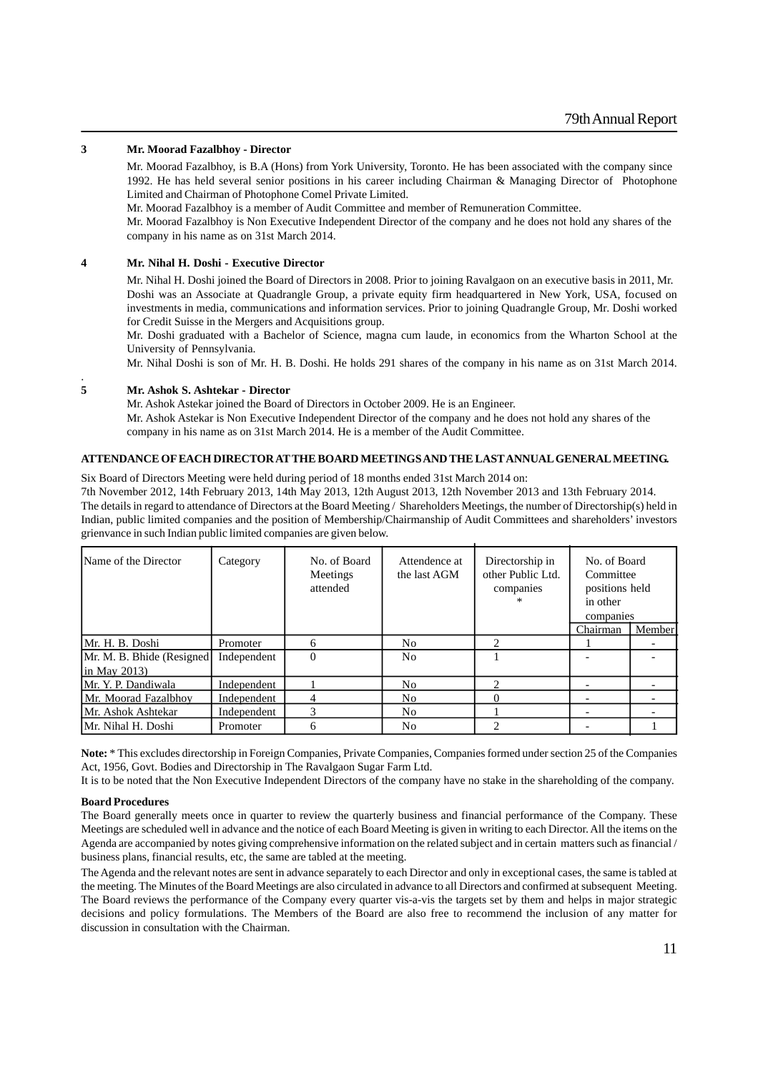#### **3 Mr. Moorad Fazalbhoy - Director**

Mr. Moorad Fazalbhoy, is B.A (Hons) from York University, Toronto. He has been associated with the company since 1992. He has held several senior positions in his career including Chairman & Managing Director of Photophone Limited and Chairman of Photophone Comel Private Limited.

Mr. Moorad Fazalbhoy is a member of Audit Committee and member of Remuneration Committee.

Mr. Moorad Fazalbhoy is Non Executive Independent Director of the company and he does not hold any shares of the company in his name as on 31st March 2014.

#### **4 Mr. Nihal H. Doshi - Executive Director**

Mr. Nihal H. Doshi joined the Board of Directors in 2008. Prior to joining Ravalgaon on an executive basis in 2011, Mr. Doshi was an Associate at Quadrangle Group, a private equity firm headquartered in New York, USA, focused on investments in media, communications and information services. Prior to joining Quadrangle Group, Mr. Doshi worked for Credit Suisse in the Mergers and Acquisitions group.

Mr. Doshi graduated with a Bachelor of Science, magna cum laude, in economics from the Wharton School at the University of Pennsylvania.

Mr. Nihal Doshi is son of Mr. H. B. Doshi. He holds 291 shares of the company in his name as on 31st March 2014.

#### **5 Mr. Ashok S. Ashtekar - Director**

.

Mr. Ashok Astekar joined the Board of Directors in October 2009. He is an Engineer.

Mr. Ashok Astekar is Non Executive Independent Director of the company and he does not hold any shares of the company in his name as on 31st March 2014. He is a member of the Audit Committee.

#### **ATTENDANCE OF EACH DIRECTOR AT THE BOARD MEETINGS AND THE LAST ANNUAL GENERAL MEETING.**

Six Board of Directors Meeting were held during period of 18 months ended 31st March 2014 on:

7th November 2012, 14th February 2013, 14th May 2013, 12th August 2013, 12th November 2013 and 13th February 2014. The details in regard to attendance of Directors at the Board Meeting / Shareholders Meetings, the number of Directorship(s) held in Indian, public limited companies and the position of Membership/Chairmanship of Audit Committees and shareholders' investors grienvance in such Indian public limited companies are given below.

| Name of the Director                          | Category    | No. of Board<br>Meetings<br>attended | Attendence at<br>the last AGM | Directorship in<br>other Public Ltd.<br>companies<br>* | No. of Board<br>Committee<br>positions held<br>in other<br>companies |        |
|-----------------------------------------------|-------------|--------------------------------------|-------------------------------|--------------------------------------------------------|----------------------------------------------------------------------|--------|
|                                               |             |                                      |                               |                                                        | Chairman                                                             | Member |
| Mr. H. B. Doshi                               | Promoter    | 6                                    | No.                           | っ                                                      |                                                                      |        |
| Mr. M. B. Bhide (Resigned)<br>$\ln$ May 2013) | Independent | $\mathbf{\Omega}$                    | No                            |                                                        |                                                                      |        |
| IMr. Y. P. Dandiwala                          | Independent |                                      | No                            | ↑                                                      |                                                                      |        |
| Mr. Moorad Fazalbhoy                          | Independent |                                      | No.                           | 0                                                      |                                                                      |        |
| Mr. Ashok Ashtekar                            | Independent | 3                                    | No                            |                                                        |                                                                      |        |
| Mr. Nihal H. Doshi                            | Promoter    | 6                                    | No                            | ↑                                                      |                                                                      |        |

**Note:** \* This excludes directorship in Foreign Companies, Private Companies, Companies formed under section 25 of the Companies Act, 1956, Govt. Bodies and Directorship in The Ravalgaon Sugar Farm Ltd.

It is to be noted that the Non Executive Independent Directors of the company have no stake in the shareholding of the company.

#### **Board Procedures**

The Board generally meets once in quarter to review the quarterly business and financial performance of the Company. These Meetings are scheduled well in advance and the notice of each Board Meeting is given in writing to each Director. All the items on the Agenda are accompanied by notes giving comprehensive information on the related subject and in certain matters such as financial / business plans, financial results, etc, the same are tabled at the meeting.

The Agenda and the relevant notes are sent in advance separately to each Director and only in exceptional cases, the same is tabled at the meeting. The Minutes of the Board Meetings are also circulated in advance to all Directors and confirmed at subsequent Meeting. The Board reviews the performance of the Company every quarter vis-a-vis the targets set by them and helps in major strategic decisions and policy formulations. The Members of the Board are also free to recommend the inclusion of any matter for discussion in consultation with the Chairman.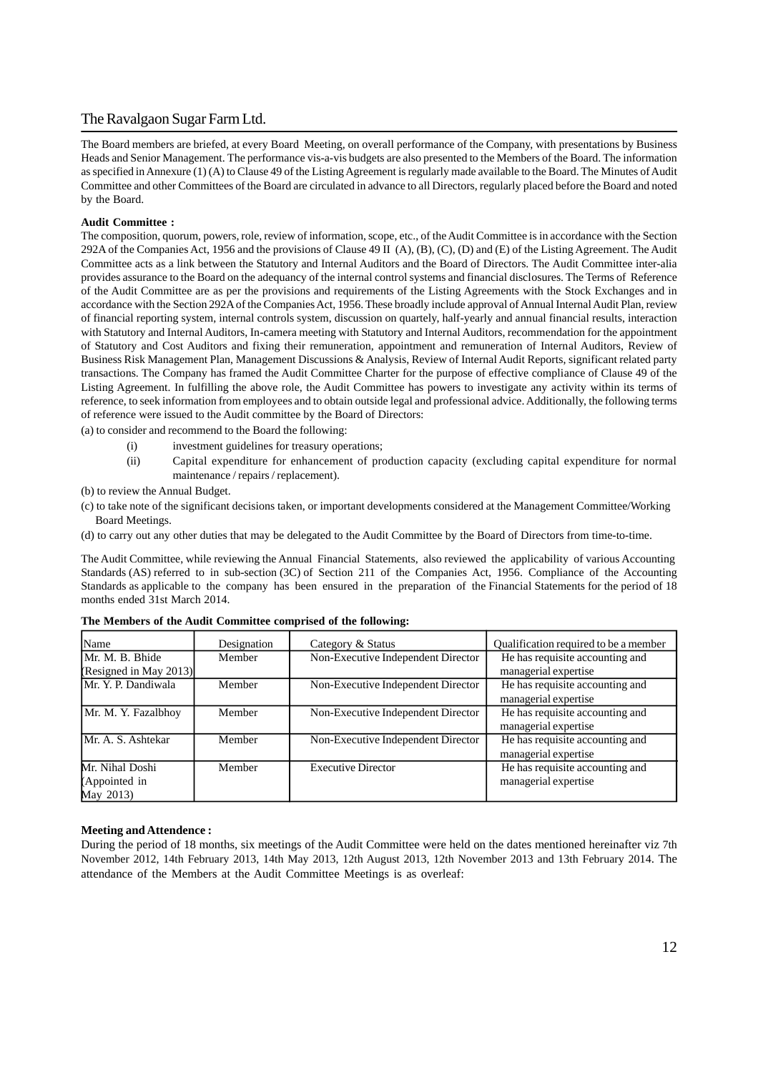The Board members are briefed, at every Board Meeting, on overall performance of the Company, with presentations by Business Heads and Senior Management. The performance vis-a-vis budgets are also presented to the Members of the Board. The information as specified in Annexure (1) (A) to Clause 49 of the Listing Agreement is regularly made available to the Board. The Minutes of Audit Committee and other Committees of the Board are circulated in advance to all Directors, regularly placed before the Board and noted by the Board.

#### **Audit Committee :**

The composition, quorum, powers, role, review of information, scope, etc., of the Audit Committee is in accordance with the Section 292A of the Companies Act, 1956 and the provisions of Clause 49 II (A), (B), (C), (D) and (E) of the Listing Agreement. The Audit Committee acts as a link between the Statutory and Internal Auditors and the Board of Directors. The Audit Committee inter-alia provides assurance to the Board on the adequancy of the internal control systems and financial disclosures. The Terms of Reference of the Audit Committee are as per the provisions and requirements of the Listing Agreements with the Stock Exchanges and in accordance with the Section 292A of the Companies Act, 1956. These broadly include approval of Annual Internal Audit Plan, review of financial reporting system, internal controls system, discussion on quartely, half-yearly and annual financial results, interaction with Statutory and Internal Auditors, In-camera meeting with Statutory and Internal Auditors, recommendation for the appointment of Statutory and Cost Auditors and fixing their remuneration, appointment and remuneration of Internal Auditors, Review of Business Risk Management Plan, Management Discussions & Analysis, Review of Internal Audit Reports, significant related party transactions. The Company has framed the Audit Committee Charter for the purpose of effective compliance of Clause 49 of the Listing Agreement. In fulfilling the above role, the Audit Committee has powers to investigate any activity within its terms of reference, to seek information from employees and to obtain outside legal and professional advice. Additionally, the following terms of reference were issued to the Audit committee by the Board of Directors:

(a) to consider and recommend to the Board the following:

- (i) investment guidelines for treasury operations;
- (ii) Capital expenditure for enhancement of production capacity (excluding capital expenditure for normal maintenance / repairs / replacement).
- (b) to review the Annual Budget.
- (c) to take note of the significant decisions taken, or important developments considered at the Management Committee/Working Board Meetings.

(d) to carry out any other duties that may be delegated to the Audit Committee by the Board of Directors from time-to-time.

The Audit Committee, while reviewing the Annual Financial Statements, also reviewed the applicability of various Accounting Standards (AS) referred to in sub-section (3C) of Section 211 of the Companies Act, 1956. Compliance of the Accounting Standards as applicable to the company has been ensured in the preparation of the Financial Statements for the period of 18 months ended 31st March 2014.

| Name                   | Designation | Category & Status                  | Qualification required to be a member |
|------------------------|-------------|------------------------------------|---------------------------------------|
| Mr. M. B. Bhide        | Member      | Non-Executive Independent Director | He has requisite accounting and       |
| (Resigned in May 2013) |             |                                    | managerial expertise                  |
| Mr. Y. P. Dandiwala    | Member      | Non-Executive Independent Director | He has requisite accounting and       |
|                        |             |                                    | managerial expertise                  |
| Mr. M. Y. Fazalbhoy    | Member      | Non-Executive Independent Director | He has requisite accounting and       |
|                        |             |                                    | managerial expertise                  |
| Mr. A. S. Ashtekar     | Member      | Non-Executive Independent Director | He has requisite accounting and       |
|                        |             |                                    | managerial expertise                  |
| Mr. Nihal Doshi        | Member      | <b>Executive Director</b>          | He has requisite accounting and       |
| Appointed in           |             |                                    | managerial expertise                  |
| May 2013)              |             |                                    |                                       |

**The Members of the Audit Committee comprised of the following:**

#### **Meeting and Attendence :**

During the period of 18 months, six meetings of the Audit Committee were held on the dates mentioned hereinafter viz 7th November 2012, 14th February 2013, 14th May 2013, 12th August 2013, 12th November 2013 and 13th February 2014. The attendance of the Members at the Audit Committee Meetings is as overleaf: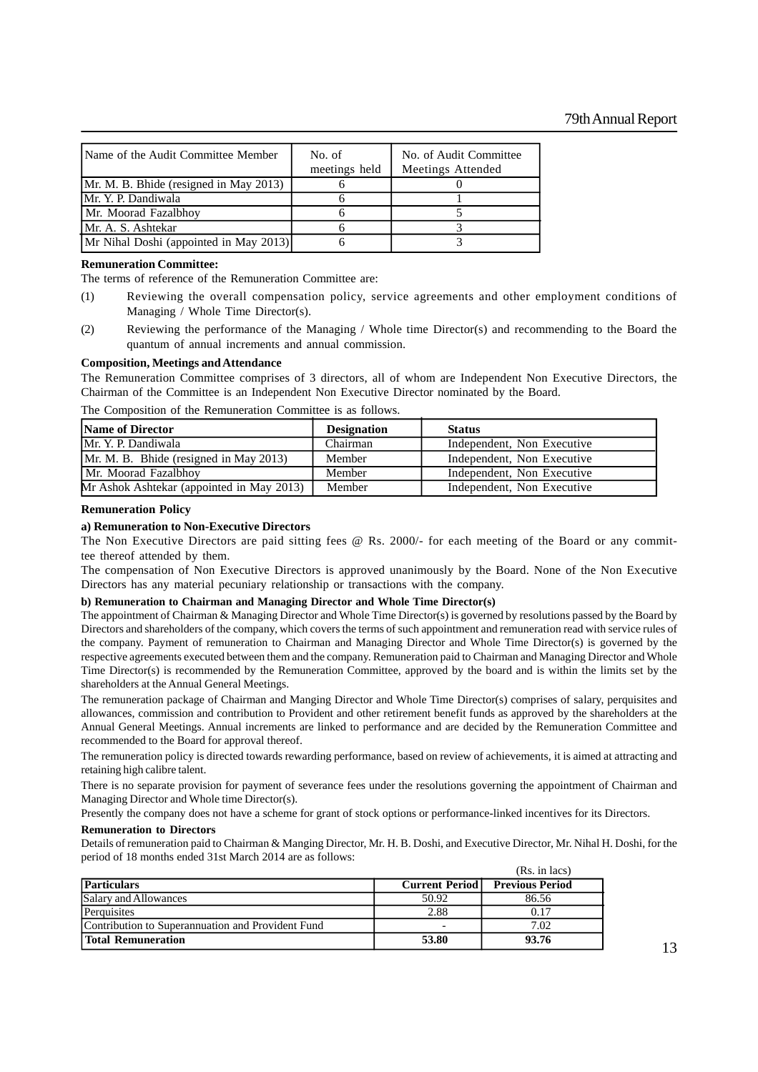| IName of the Audit Committee Member    | No. of<br>meetings held | No. of Audit Committee<br>Meetings Attended |
|----------------------------------------|-------------------------|---------------------------------------------|
| Mr. M. B. Bhide (resigned in May 2013) |                         |                                             |
| Mr. Y. P. Dandiwala                    |                         |                                             |
| Mr. Moorad Fazalbhoy                   |                         |                                             |
| Mr. A. S. Ashtekar                     |                         |                                             |
| Mr Nihal Doshi (appointed in May 2013) |                         |                                             |

#### **Remuneration Committee:**

The terms of reference of the Remuneration Committee are:

- (1) Reviewing the overall compensation policy, service agreements and other employment conditions of Managing / Whole Time Director(s).
- (2) Reviewing the performance of the Managing / Whole time Director(s) and recommending to the Board the quantum of annual increments and annual commission.

#### **Composition, Meetings and Attendance**

The Remuneration Committee comprises of 3 directors, all of whom are Independent Non Executive Directors, the Chairman of the Committee is an Independent Non Executive Director nominated by the Board.

| <b>Name of Director</b>                   | <b>Designation</b> | <b>Status</b>              |
|-------------------------------------------|--------------------|----------------------------|
| Mr. Y. P. Dandiwala                       | Chairman           | Independent, Non Executive |
| Mr. M. B. Bhide (resigned in May 2013)    | Member             | Independent, Non Executive |
| Mr. Moorad Fazalbhoy                      | Member             | Independent, Non Executive |
| Mr Ashok Ashtekar (appointed in May 2013) | Member             | Independent, Non Executive |

The Composition of the Remuneration Committee is as follows.

#### **Remuneration Policy**

#### **a) Remuneration to Non-Executive Directors**

The Non Executive Directors are paid sitting fees @ Rs. 2000/- for each meeting of the Board or any committee thereof attended by them.

The compensation of Non Executive Directors is approved unanimously by the Board. None of the Non Executive Directors has any material pecuniary relationship or transactions with the company.

#### **b) Remuneration to Chairman and Managing Director and Whole Time Director(s)**

The appointment of Chairman & Managing Director and Whole Time Director(s) is governed by resolutions passed by the Board by Directors and shareholders of the company, which covers the terms of such appointment and remuneration read with service rules of the company. Payment of remuneration to Chairman and Managing Director and Whole Time Director(s) is governed by the respective agreements executed between them and the company. Remuneration paid to Chairman and Managing Director and Whole Time Director(s) is recommended by the Remuneration Committee, approved by the board and is within the limits set by the shareholders at the Annual General Meetings.

The remuneration package of Chairman and Manging Director and Whole Time Director(s) comprises of salary, perquisites and allowances, commission and contribution to Provident and other retirement benefit funds as approved by the shareholders at the Annual General Meetings. Annual increments are linked to performance and are decided by the Remuneration Committee and recommended to the Board for approval thereof.

The remuneration policy is directed towards rewarding performance, based on review of achievements, it is aimed at attracting and retaining high calibre talent.

There is no separate provision for payment of severance fees under the resolutions governing the appointment of Chairman and Managing Director and Whole time Director(s).

Presently the company does not have a scheme for grant of stock options or performance-linked incentives for its Directors.

#### **Remuneration to Directors**

Details of remuneration paid to Chairman & Manging Director, Mr. H. B. Doshi, and Executive Director, Mr. Nihal H. Doshi, for the period of 18 months ended 31st March 2014 are as follows:

|                                                   |                       | (Rs. in lacs)          |
|---------------------------------------------------|-----------------------|------------------------|
| <b>Particulars</b>                                | <b>Current Period</b> | <b>Previous Period</b> |
| Salary and Allowances                             | 50.92                 | 86.56                  |
| Perquisites                                       | 2.88                  | 0.17                   |
| Contribution to Superannuation and Provident Fund |                       | 7.02                   |
| Total Remuneration                                | 53.80                 | 93.76                  |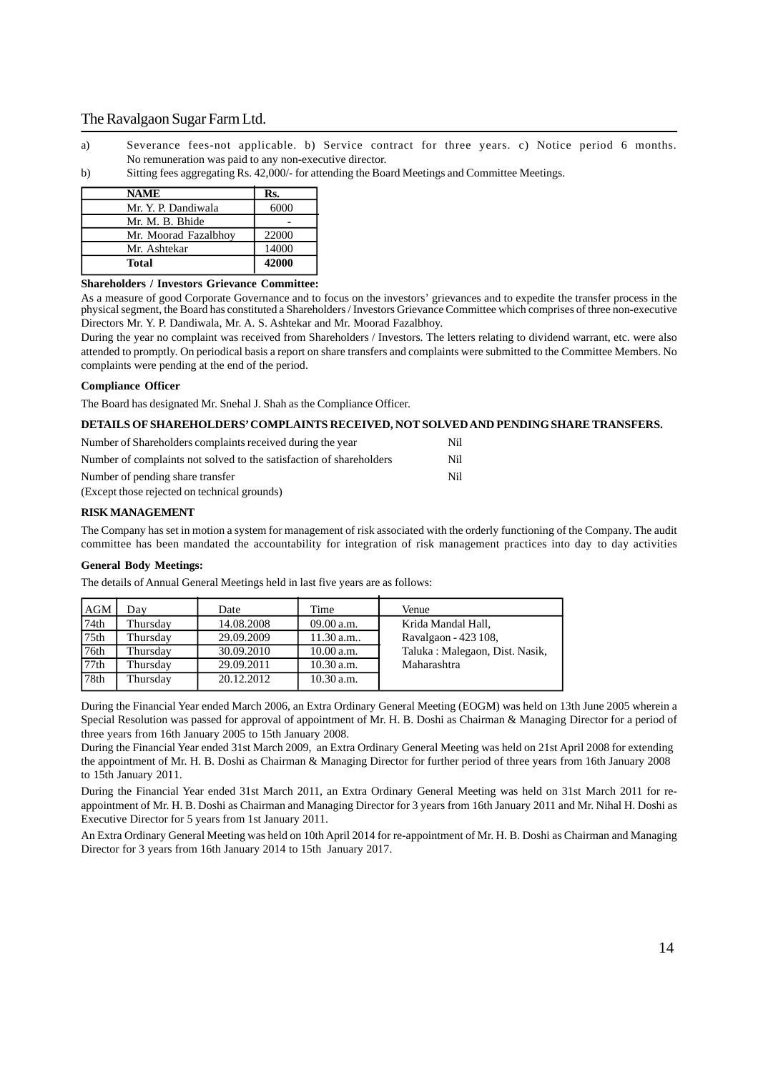- a) Severance fees-not applicable. b) Service contract for three years. c) Notice period 6 months. No remuneration was paid to any non-executive director.
- b) Sitting fees aggregating Rs. 42,000/- for attending the Board Meetings and Committee Meetings.

| NAME                 | Rs.   |
|----------------------|-------|
| Mr. Y. P. Dandiwala  | 6000  |
| Mr. M. B. Bhide      |       |
| Mr. Moorad Fazalbhoy | 22000 |
| Mr. Ashtekar         | 14000 |
| Total                | 42000 |

#### **Shareholders / Investors Grievance Committee:**

As a measure of good Corporate Governance and to focus on the investors' grievances and to expedite the transfer process in the physical segment, the Board has constituted a Shareholders / Investors Grievance Committee which comprises of three non-executive Directors Mr. Y. P. Dandiwala, Mr. A. S. Ashtekar and Mr. Moorad Fazalbhoy.

During the year no complaint was received from Shareholders / Investors. The letters relating to dividend warrant, etc. were also attended to promptly. On periodical basis a report on share transfers and complaints were submitted to the Committee Members. No complaints were pending at the end of the period.

#### **Compliance Officer**

The Board has designated Mr. Snehal J. Shah as the Compliance Officer.

#### **DETAILS OF SHAREHOLDERS' COMPLAINTS RECEIVED, NOT SOLVED AND PENDING SHARE TRANSFERS.**

| Number of Shareholders complaints received during the year          | Nil |
|---------------------------------------------------------------------|-----|
| Number of complaints not solved to the satisfaction of shareholders | Nil |
| Number of pending share transfer                                    | Nil |
| (Except those rejected on technical grounds)                        |     |

#### **RISK MANAGEMENT**

The Company has set in motion a system for management of risk associated with the orderly functioning of the Company. The audit committee has been mandated the accountability for integration of risk management practices into day to day activities

#### **General Body Meetings:**

The details of Annual General Meetings held in last five years are as follows:

| l AGM            | Dav      | Date       | Time       | Venue                          |
|------------------|----------|------------|------------|--------------------------------|
| 74th             | Thursday | 14.08.2008 | 09.00 a.m. | Krida Mandal Hall,             |
| 75 <sub>th</sub> | Thursday | 29.09.2009 | 11.30 a.m. | Ravalgaon - 423 108,           |
| 76th             | Thursday | 30.09.2010 | 10.00 a.m. | Taluka: Malegaon, Dist. Nasik, |
| 77th             | Thursday | 29.09.2011 | 10.30 a.m. | Maharashtra                    |
| 78th             | Thursday | 20.12.2012 | 10.30 a.m. |                                |

During the Financial Year ended March 2006, an Extra Ordinary General Meeting (EOGM) was held on 13th June 2005 wherein a Special Resolution was passed for approval of appointment of Mr. H. B. Doshi as Chairman & Managing Director for a period of three years from 16th January 2005 to 15th January 2008.

During the Financial Year ended 31st March 2009, an Extra Ordinary General Meeting was held on 21st April 2008 for extending the appointment of Mr. H. B. Doshi as Chairman & Managing Director for further period of three years from 16th January 2008 to 15th January 2011.

During the Financial Year ended 31st March 2011, an Extra Ordinary General Meeting was held on 31st March 2011 for reappointment of Mr. H. B. Doshi as Chairman and Managing Director for 3 years from 16th January 2011 and Mr. Nihal H. Doshi as Executive Director for 5 years from 1st January 2011.

An Extra Ordinary General Meeting was held on 10th April 2014 for re-appointment of Mr. H. B. Doshi as Chairman and Managing Director for 3 years from 16th January 2014 to 15th January 2017.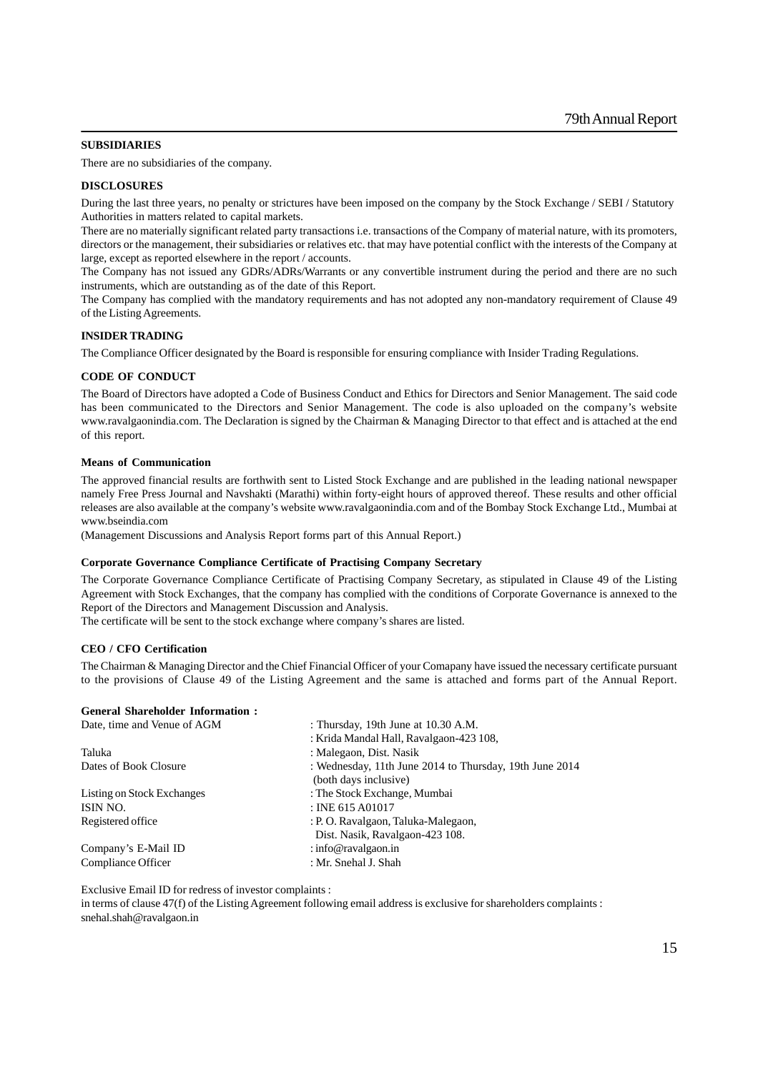#### **SUBSIDIARIES**

There are no subsidiaries of the company.

#### **DISCLOSURES**

During the last three years, no penalty or strictures have been imposed on the company by the Stock Exchange / SEBI / Statutory Authorities in matters related to capital markets.

There are no materially significant related party transactions i.e. transactions of the Company of material nature, with its promoters, directors or the management, their subsidiaries or relatives etc. that may have potential conflict with the interests of the Company at large, except as reported elsewhere in the report / accounts.

The Company has not issued any GDRs/ADRs/Warrants or any convertible instrument during the period and there are no such instruments, which are outstanding as of the date of this Report.

The Company has complied with the mandatory requirements and has not adopted any non-mandatory requirement of Clause 49 of the Listing Agreements.

#### **INSIDER TRADING**

The Compliance Officer designated by the Board is responsible for ensuring compliance with Insider Trading Regulations.

#### **CODE OF CONDUCT**

The Board of Directors have adopted a Code of Business Conduct and Ethics for Directors and Senior Management. The said code has been communicated to the Directors and Senior Management. The code is also uploaded on the company's website www.ravalgaonindia.com. The Declaration is signed by the Chairman & Managing Director to that effect and is attached at the end of this report.

#### **Means of Communication**

The approved financial results are forthwith sent to Listed Stock Exchange and are published in the leading national newspaper namely Free Press Journal and Navshakti (Marathi) within forty-eight hours of approved thereof. These results and other official releases are also available at the company's website www.ravalgaonindia.com and of the Bombay Stock Exchange Ltd., Mumbai at www.bseindia.com

(Management Discussions and Analysis Report forms part of this Annual Report.)

#### **Corporate Governance Compliance Certificate of Practising Company Secretary**

The Corporate Governance Compliance Certificate of Practising Company Secretary, as stipulated in Clause 49 of the Listing Agreement with Stock Exchanges, that the company has complied with the conditions of Corporate Governance is annexed to the Report of the Directors and Management Discussion and Analysis.

The certificate will be sent to the stock exchange where company's shares are listed.

#### **CEO / CFO Certification**

The Chairman & Managing Director and the Chief Financial Officer of your Comapany have issued the necessary certificate pursuant to the provisions of Clause 49 of the Listing Agreement and the same is attached and forms part of the Annual Report.

#### **General Shareholder Information :**

| Date, time and Venue of AGM | : Thursday, 19th June at 10.30 A.M.                     |
|-----------------------------|---------------------------------------------------------|
|                             | : Krida Mandal Hall, Ravalgaon-423 108,                 |
| Taluka                      | : Malegaon, Dist. Nasik                                 |
| Dates of Book Closure       | : Wednesday, 11th June 2014 to Thursday, 19th June 2014 |
|                             | (both days inclusive)                                   |
| Listing on Stock Exchanges  | : The Stock Exchange, Mumbai                            |
| ISIN NO.                    | $:$ INE 615 A01017                                      |
| Registered office           | : P.O. Ravalgaon, Taluka-Malegaon,                      |
|                             | Dist. Nasik, Ravalgaon-423 108.                         |
| Company's E-Mail ID         | : info@ravalgaon.in                                     |
| Compliance Officer          | : Mr. Snehal J. Shah                                    |
|                             |                                                         |

Exclusive Email ID for redress of investor complaints :

in terms of clause 47(f) of the Listing Agreement following email address is exclusive for shareholders complaints : snehal.shah@ravalgaon.in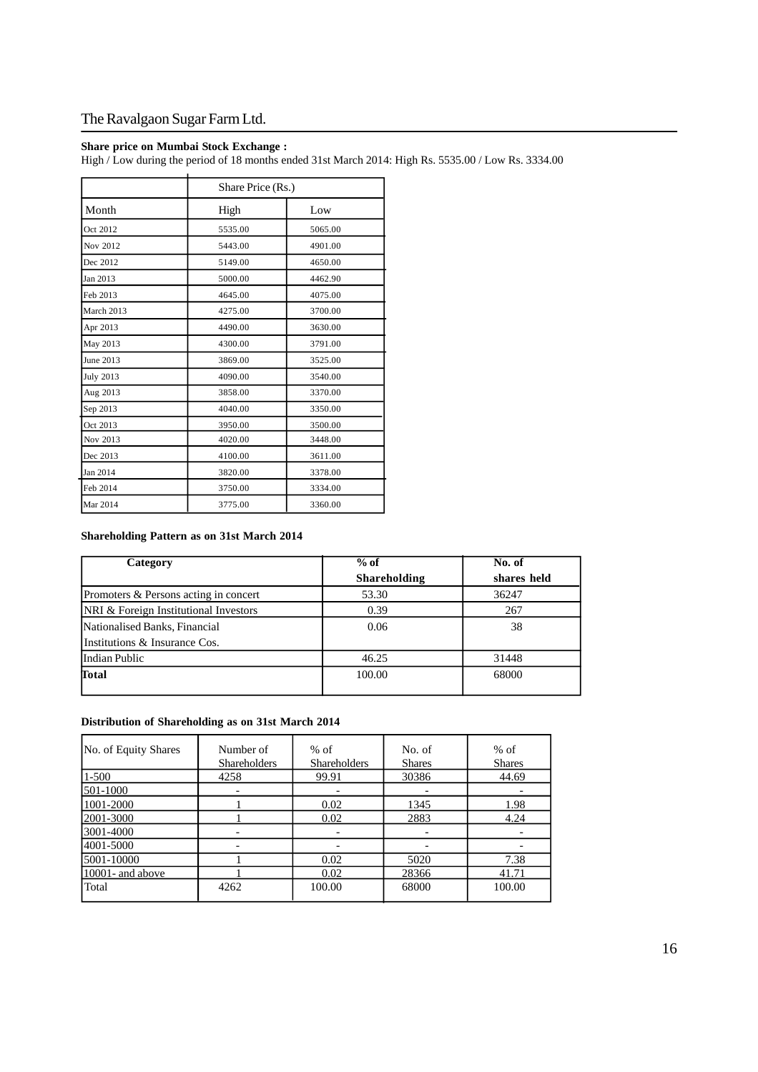#### **Share price on Mumbai Stock Exchange :**

High / Low during the period of 18 months ended 31st March 2014: High Rs. 5535.00 / Low Rs. 3334.00

|                  | Share Price (Rs.) |         |
|------------------|-------------------|---------|
| Month            | High              | Low     |
| Oct 2012         | 5535.00           | 5065.00 |
| Nov 2012         | 5443.00           | 4901.00 |
| Dec 2012         | 5149.00           | 4650.00 |
| Jan 2013         | 5000.00           | 4462.90 |
| Feb 2013         | 4645.00           | 4075.00 |
| March 2013       | 4275.00           | 3700.00 |
| Apr 2013         | 4490.00           | 3630.00 |
| May 2013         | 4300.00           | 3791.00 |
| June 2013        | 3869.00           | 3525.00 |
| <b>July 2013</b> | 4090.00           | 3540.00 |
| Aug 2013         | 3858.00           | 3370.00 |
| Sep 2013         | 4040.00           | 3350.00 |
| Oct 2013         | 3950.00           | 3500.00 |
| Nov 2013         | 4020.00           | 3448.00 |
| Dec 2013         | 4100.00           | 3611.00 |
| Jan 2014         | 3820.00           | 3378.00 |
| Feb 2014         | 3750.00           | 3334.00 |
| <b>Mar 2014</b>  | 3775.00           | 3360.00 |

## **Shareholding Pattern as on 31st March 2014**

| Category                              | $%$ of              | No. of      |
|---------------------------------------|---------------------|-------------|
|                                       | <b>Shareholding</b> | shares held |
| Promoters & Persons acting in concert | 53.30               | 36247       |
| NRI & Foreign Institutional Investors | 0.39                | 267         |
| Nationalised Banks, Financial         | 0.06                | 38          |
| Institutions & Insurance Cos.         |                     |             |
| Indian Public                         | 46.25               | 31448       |
| <b>Total</b>                          | 100.00              | 68000       |
|                                       |                     |             |

#### **Distribution of Shareholding as on 31st March 2014**

| No. of Equity Shares | Number of           | $%$ of       | No. of        | $%$ of        |
|----------------------|---------------------|--------------|---------------|---------------|
|                      | <b>Shareholders</b> | Shareholders | <b>Shares</b> | <b>Shares</b> |
| $1 - 500$            | 4258                | 99.91        | 30386         | 44.69         |
| 501-1000             |                     |              |               |               |
| 1001-2000            |                     | 0.02         | 1345          | 1.98          |
| 2001-3000            |                     | 0.02         | 2883          | 4.24          |
| 3001-4000            |                     |              |               |               |
| 4001-5000            |                     |              |               |               |
| 5001-10000           |                     | 0.02         | 5020          | 7.38          |
| 10001- and above     |                     | 0.02         | 28366         | 41.71         |
| Total                | 4262                | 100.00       | 68000         | 100.00        |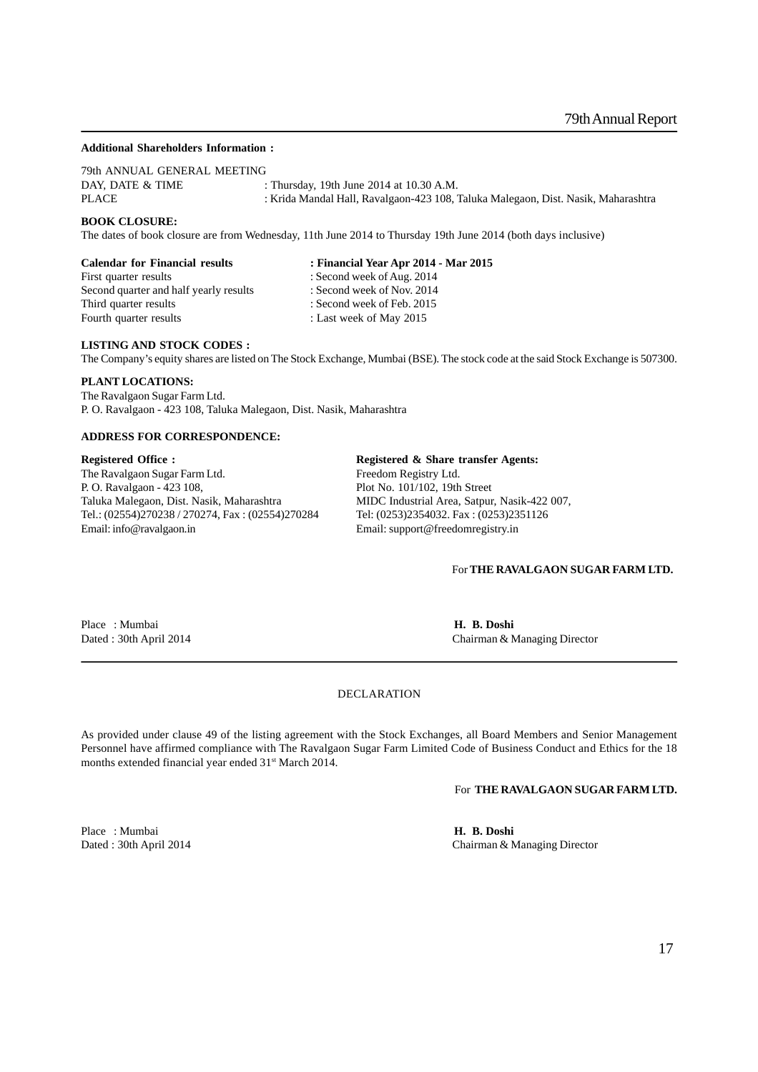#### **Additional Shareholders Information :**

79th ANNUAL GENERAL MEETING DAY, DATE & TIME : Thursday, 19th June 2014 at 10.30 A.M. PLACE : Krida Mandal Hall, Ravalgaon-423 108, Taluka Malegaon, Dist. Nasik, Maharashtra

#### **BOOK CLOSURE:**

The dates of book closure are from Wednesday, 11th June 2014 to Thursday 19th June 2014 (both days inclusive)

Second quarter and half yearly results : Second week of Nov. 2014<br>Third quarter results : Second week of Feb. 2015 Fourth quarter results : Last week of May 2015

# **Calendar for Financial results : Financial Year Apr 2014 - Mar 2015**<br>First quarter results **: Second week of Aug. 2014** : Second week of Aug.  $2014$ : Second week of Feb. 2015

#### **LISTING AND STOCK CODES :**

The Company's equity shares are listed on The Stock Exchange, Mumbai (BSE). The stock code at the said Stock Exchange is 507300.

#### **PLANT LOCATIONS:**

The Ravalgaon Sugar Farm Ltd. P. O. Ravalgaon - 423 108, Taluka Malegaon, Dist. Nasik, Maharashtra

#### **ADDRESS FOR CORRESPONDENCE:**

The Ravalgaon Sugar Farm Ltd.<br>
P. O. Ravalgaon - 423 108, Plot No. 101/102, 19th Street P. O. Ravalgaon - 423 108, Taluka Malegaon, Dist. Nasik, Maharashtra MIDC Industrial Area, Satpur, Nasik-422 007, Tel.: (02554)270238 / 270274, Fax : (02554)270284 Tel: (0253)2354032. Fax : (0253)2351126 Email: info@ravalgaon.in Email: support@freedomregistry.in

# **Registered Office : Registered & Share transfer Agents:**

#### For **THE RAVALGAON SUGAR FARM LTD.**

Place : Mumbai **H. B. Doshi**

Dated : 30th April 2014 Chairman & Managing Director

#### DECLARATION

As provided under clause 49 of the listing agreement with the Stock Exchanges, all Board Members and Senior Management Personnel have affirmed compliance with The Ravalgaon Sugar Farm Limited Code of Business Conduct and Ethics for the 18 months extended financial year ended 31<sup>st</sup> March 2014.

For **THE RAVALGAON SUGAR FARM LTD.**

Place : Mumbai<br>
Dated : 30th April 2014<br>
Chairman & N

Chairman & Managing Director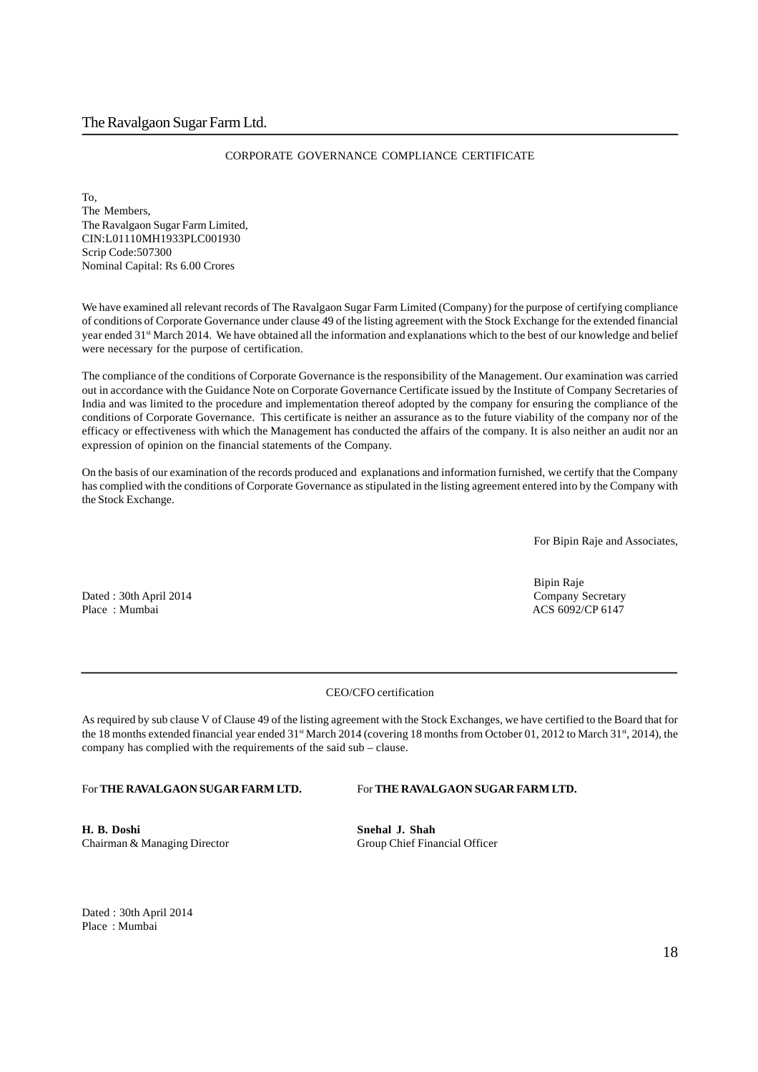#### CORPORATE GOVERNANCE COMPLIANCE CERTIFICATE

To, The Members, The Ravalgaon Sugar Farm Limited, CIN:L01110MH1933PLC001930 Scrip Code:507300 Nominal Capital: Rs 6.00 Crores

We have examined all relevant records of The Ravalgaon Sugar Farm Limited (Company) for the purpose of certifying compliance of conditions of Corporate Governance under clause 49 of the listing agreement with the Stock Exchange for the extended financial year ended 31<sup>st</sup> March 2014. We have obtained all the information and explanations which to the best of our knowledge and belief were necessary for the purpose of certification.

The compliance of the conditions of Corporate Governance is the responsibility of the Management. Our examination was carried out in accordance with the Guidance Note on Corporate Governance Certificate issued by the Institute of Company Secretaries of India and was limited to the procedure and implementation thereof adopted by the company for ensuring the compliance of the conditions of Corporate Governance. This certificate is neither an assurance as to the future viability of the company nor of the efficacy or effectiveness with which the Management has conducted the affairs of the company. It is also neither an audit nor an expression of opinion on the financial statements of the Company.

On the basis of our examination of the records produced and explanations and information furnished, we certify that the Company has complied with the conditions of Corporate Governance as stipulated in the listing agreement entered into by the Company with the Stock Exchange.

For Bipin Raje and Associates,

Dated : 30th April 2014 Company Secretary Place : Mumbai ACS 6092/CP 6147

Bipin Raje

#### CEO/CFO certification

As required by sub clause V of Clause 49 of the listing agreement with the Stock Exchanges, we have certified to the Board that for the 18 months extended financial year ended 31<sup>st</sup> March 2014 (covering 18 months from October 01, 2012 to March 31<sup>st</sup>, 2014), the company has complied with the requirements of the said sub – clause.

#### For **THE RAVALGAON SUGAR FARM LTD.** For **THE RAVALGAON SUGAR FARM LTD.**

**H. B. Doshi Snehal J. Shah** Chairman & Managing Director Group Chief Financial Officer

Dated : 30th April 2014 Place : Mumbai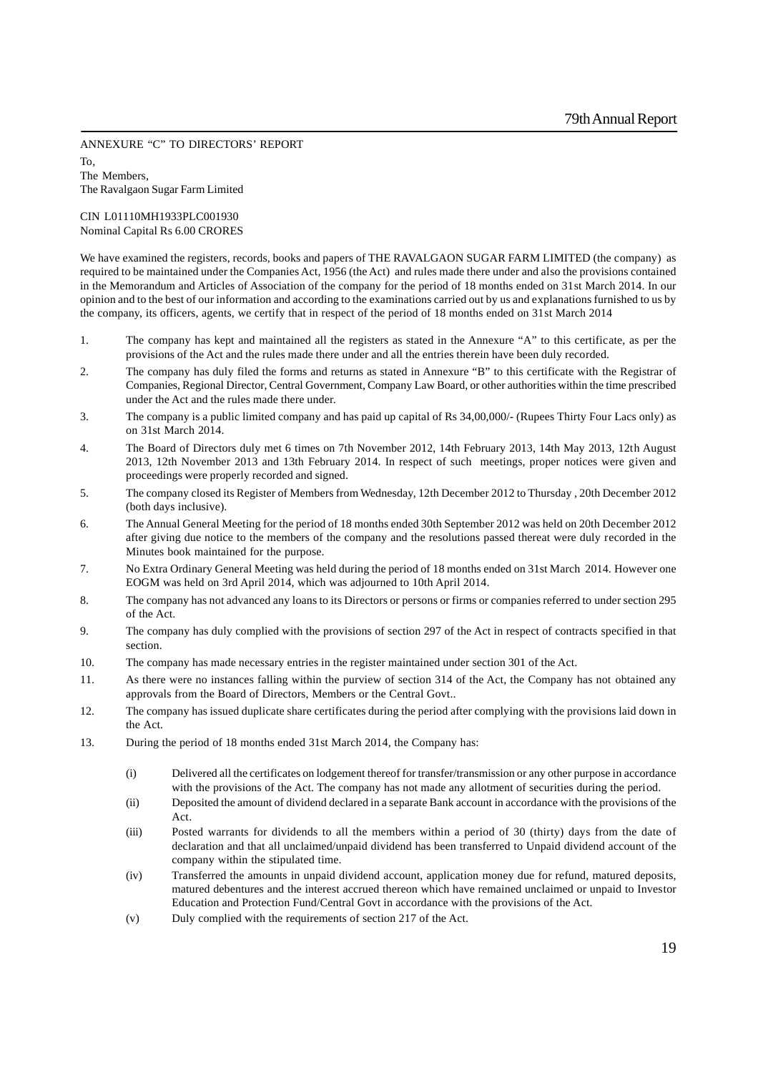ANNEXURE "C" TO DIRECTORS' REPORT

To, The Members, The Ravalgaon Sugar Farm Limited

CIN L01110MH1933PLC001930 Nominal Capital Rs 6.00 CRORES

We have examined the registers, records, books and papers of THE RAVALGAON SUGAR FARM LIMITED (the company) as required to be maintained under the Companies Act, 1956 (the Act) and rules made there under and also the provisions contained in the Memorandum and Articles of Association of the company for the period of 18 months ended on 31st March 2014. In our opinion and to the best of our information and according to the examinations carried out by us and explanations furnished to us by the company, its officers, agents, we certify that in respect of the period of 18 months ended on 31st March 2014

- 1. The company has kept and maintained all the registers as stated in the Annexure "A" to this certificate, as per the provisions of the Act and the rules made there under and all the entries therein have been duly recorded.
- 2. The company has duly filed the forms and returns as stated in Annexure "B" to this certificate with the Registrar of Companies, Regional Director, Central Government, Company Law Board, or other authorities within the time prescribed under the Act and the rules made there under.
- 3. The company is a public limited company and has paid up capital of Rs 34,00,000/- (Rupees Thirty Four Lacs only) as on 31st March 2014.
- 4. The Board of Directors duly met 6 times on 7th November 2012, 14th February 2013, 14th May 2013, 12th August 2013, 12th November 2013 and 13th February 2014. In respect of such meetings, proper notices were given and proceedings were properly recorded and signed.
- 5. The company closed its Register of Members from Wednesday, 12th December 2012 to Thursday , 20th December 2012 (both days inclusive).
- 6. The Annual General Meeting for the period of 18 months ended 30th September 2012 was held on 20th December 2012 after giving due notice to the members of the company and the resolutions passed thereat were duly recorded in the Minutes book maintained for the purpose.
- 7. No Extra Ordinary General Meeting was held during the period of 18 months ended on 31st March 2014. However one EOGM was held on 3rd April 2014, which was adjourned to 10th April 2014.
- 8. The company has not advanced any loans to its Directors or persons or firms or companies referred to under section 295 of the Act.
- 9. The company has duly complied with the provisions of section 297 of the Act in respect of contracts specified in that section.
- 10. The company has made necessary entries in the register maintained under section 301 of the Act.
- 11. As there were no instances falling within the purview of section 314 of the Act, the Company has not obtained any approvals from the Board of Directors, Members or the Central Govt..
- 12. The company has issued duplicate share certificates during the period after complying with the provisions laid down in the Act.
- 13. During the period of 18 months ended 31st March 2014, the Company has:
	- (i) Delivered all the certificates on lodgement thereof for transfer/transmission or any other purpose in accordance with the provisions of the Act. The company has not made any allotment of securities during the period.
	- (ii) Deposited the amount of dividend declared in a separate Bank account in accordance with the provisions of the Act.
	- (iii) Posted warrants for dividends to all the members within a period of 30 (thirty) days from the date of declaration and that all unclaimed/unpaid dividend has been transferred to Unpaid dividend account of the company within the stipulated time.
	- (iv) Transferred the amounts in unpaid dividend account, application money due for refund, matured deposits, matured debentures and the interest accrued thereon which have remained unclaimed or unpaid to Investor Education and Protection Fund/Central Govt in accordance with the provisions of the Act.
	- (v) Duly complied with the requirements of section 217 of the Act.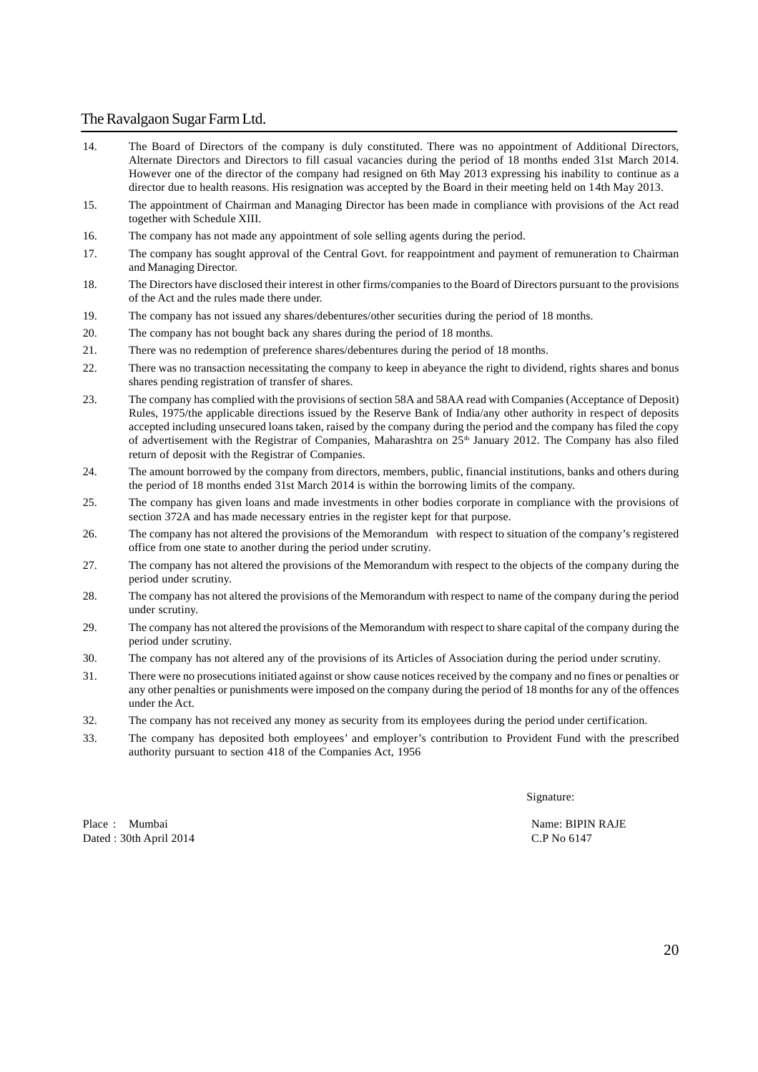- 14. The Board of Directors of the company is duly constituted. There was no appointment of Additional Directors, Alternate Directors and Directors to fill casual vacancies during the period of 18 months ended 31st March 2014. However one of the director of the company had resigned on 6th May 2013 expressing his inability to continue as a director due to health reasons. His resignation was accepted by the Board in their meeting held on 14th May 2013.
- 15. The appointment of Chairman and Managing Director has been made in compliance with provisions of the Act read together with Schedule XIII.
- 16. The company has not made any appointment of sole selling agents during the period.
- 17. The company has sought approval of the Central Govt. for reappointment and payment of remuneration to Chairman and Managing Director.
- 18. The Directors have disclosed their interest in other firms/companies to the Board of Directors pursuant to the provisions of the Act and the rules made there under.
- 19. The company has not issued any shares/debentures/other securities during the period of 18 months.
- 20. The company has not bought back any shares during the period of 18 months.
- 21. There was no redemption of preference shares/debentures during the period of 18 months.
- 22. There was no transaction necessitating the company to keep in abeyance the right to dividend, rights shares and bonus shares pending registration of transfer of shares.
- 23. The company has complied with the provisions of section 58A and 58AA read with Companies (Acceptance of Deposit) Rules, 1975/the applicable directions issued by the Reserve Bank of India/any other authority in respect of deposits accepted including unsecured loans taken, raised by the company during the period and the company has filed the copy of advertisement with the Registrar of Companies, Maharashtra on 25<sup>th</sup> January 2012. The Company has also filed return of deposit with the Registrar of Companies.
- 24. The amount borrowed by the company from directors, members, public, financial institutions, banks and others during the period of 18 months ended 31st March 2014 is within the borrowing limits of the company.
- 25. The company has given loans and made investments in other bodies corporate in compliance with the provisions of section 372A and has made necessary entries in the register kept for that purpose.
- 26. The company has not altered the provisions of the Memorandum with respect to situation of the company's registered office from one state to another during the period under scrutiny.
- 27. The company has not altered the provisions of the Memorandum with respect to the objects of the company during the period under scrutiny.
- 28. The company has not altered the provisions of the Memorandum with respect to name of the company during the period under scrutiny.
- 29. The company has not altered the provisions of the Memorandum with respect to share capital of the company during the period under scrutiny.
- 30. The company has not altered any of the provisions of its Articles of Association during the period under scrutiny.
- 31. There were no prosecutions initiated against or show cause notices received by the company and no fines or penalties or any other penalties or punishments were imposed on the company during the period of 18 months for any of the offences under the Act.
- 32. The company has not received any money as security from its employees during the period under certification.
- 33. The company has deposited both employees' and employer's contribution to Provident Fund with the prescribed authority pursuant to section 418 of the Companies Act, 1956

Place : Mumbai Name: BIPIN RAJE Dated : 30th April 2014 C.P No 6147

Signature: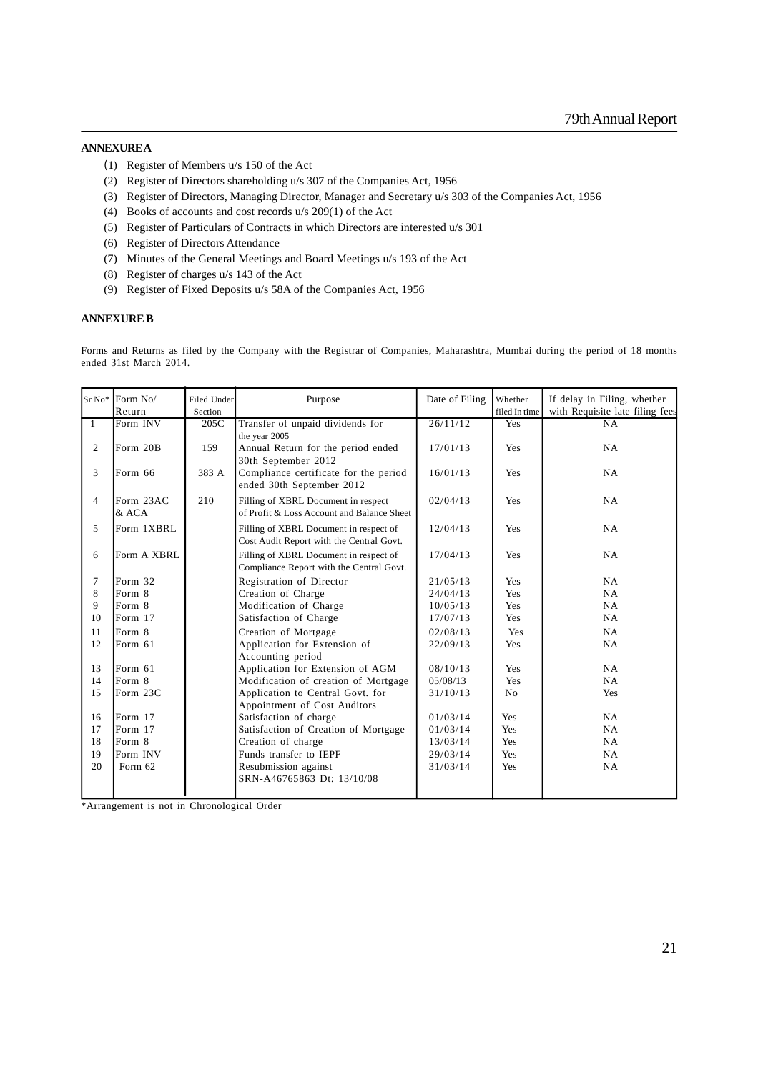# **ANNEXURE A**

- (1) Register of Members u/s 150 of the Act
- (2) Register of Directors shareholding u/s 307 of the Companies Act, 1956
- (3) Register of Directors, Managing Director, Manager and Secretary u/s 303 of the Companies Act, 1956
- (4) Books of accounts and cost records u/s 209(1) of the Act
- (5) Register of Particulars of Contracts in which Directors are interested u/s 301
- (6) Register of Directors Attendance
- (7) Minutes of the General Meetings and Board Meetings u/s 193 of the Act
- (8) Register of charges u/s 143 of the Act
- (9) Register of Fixed Deposits u/s 58A of the Companies Act, 1956

#### **ANNEXURE B**

Forms and Returns as filed by the Company with the Registrar of Companies, Maharashtra, Mumbai during the period of 18 months ended 31st March 2014.

|                | Sr No* Form No/      | Filed Under | Purpose                                                                            | Date of Filing | Whether        | If delay in Filing, whether     |
|----------------|----------------------|-------------|------------------------------------------------------------------------------------|----------------|----------------|---------------------------------|
|                | Return               | Section     |                                                                                    |                | filed In time  | with Requisite late filing fees |
| $\mathbf{1}$   | Form INV             | 205C        | Transfer of unpaid dividends for<br>the year 2005                                  | 26/11/12       | Yes            | <b>NA</b>                       |
| 2              | Form 20B             | 159         | Annual Return for the period ended<br>30th September 2012                          | 17/01/13       | Yes            | <b>NA</b>                       |
| 3              | Form 66              | 383 A       | Compliance certificate for the period<br>ended 30th September 2012                 | 16/01/13       | Yes            | NA                              |
| $\overline{4}$ | Form 23AC<br>$&$ ACA | 210         | Filling of XBRL Document in respect<br>of Profit & Loss Account and Balance Sheet  | 02/04/13       | Yes            | NA                              |
| 5              | Form 1XBRL           |             | Filling of XBRL Document in respect of<br>Cost Audit Report with the Central Govt. | 12/04/13       | Yes            | NA                              |
| 6              | Form A XBRL          |             | Filling of XBRL Document in respect of<br>Compliance Report with the Central Govt. | 17/04/13       | Yes            | <b>NA</b>                       |
| 7              | Form 32              |             | Registration of Director                                                           | 21/05/13       | Yes            | NA                              |
| 8              | Form 8               |             | Creation of Charge                                                                 | 24/04/13       | Yes            | NA                              |
| 9              | Form 8               |             | Modification of Charge                                                             | 10/05/13       | Yes            | NA                              |
| 10             | Form 17              |             | Satisfaction of Charge                                                             | 17/07/13       | Yes            | NA.                             |
| 11             | Form 8               |             | Creation of Mortgage                                                               | 02/08/13       | Yes            | NA                              |
| 12             | Form 61              |             | Application for Extension of<br>Accounting period                                  | 22/09/13       | Yes            | NA                              |
| 13             | Form 61              |             | Application for Extension of AGM                                                   | 08/10/13       | Yes            | NA                              |
| 14             | Form 8               |             | Modification of creation of Mortgage                                               | 05/08/13       | Yes            | NA                              |
| 15             | Form 23C             |             | Application to Central Govt. for<br>Appointment of Cost Auditors                   | 31/10/13       | N <sub>0</sub> | Yes                             |
| 16             | Form 17              |             | Satisfaction of charge                                                             | 01/03/14       | Yes            | NA                              |
| 17             | Form 17              |             | Satisfaction of Creation of Mortgage                                               | 01/03/14       | Yes            | NA                              |
| 18             | Form 8               |             | Creation of charge                                                                 | 13/03/14       | Yes            | NA                              |
| 19             | Form INV             |             | Funds transfer to IEPF                                                             | 29/03/14       | Yes            | NA                              |
| 20             | Form 62              |             | Resubmission against<br>SRN-A46765863 Dt: 13/10/08                                 | 31/03/14       | Yes            | <b>NA</b>                       |

\*Arrangement is not in Chronological Order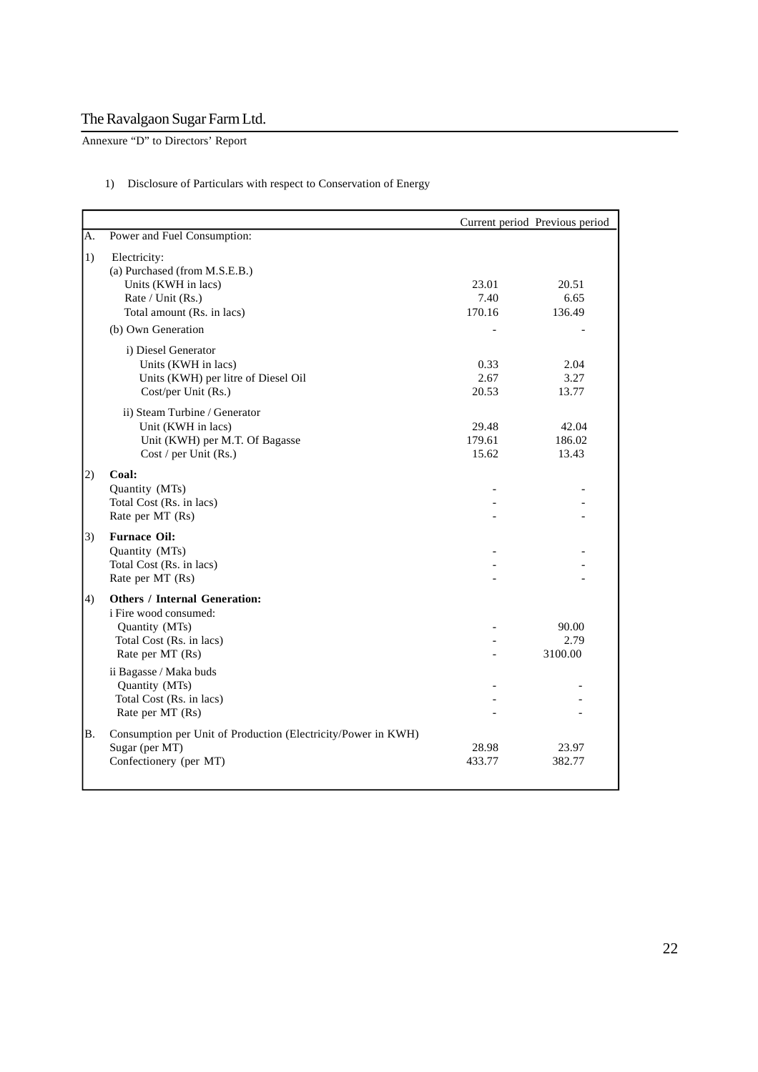Annexure "D" to Directors' Report

# 1) Disclosure of Particulars with respect to Conservation of Energy

|    |                                                                                                                                                                                                                             |                          | Current period Previous period |
|----|-----------------------------------------------------------------------------------------------------------------------------------------------------------------------------------------------------------------------------|--------------------------|--------------------------------|
| A. | Power and Fuel Consumption:                                                                                                                                                                                                 |                          |                                |
| 1) | Electricity:<br>(a) Purchased (from M.S.E.B.)<br>Units (KWH in lacs)<br>Rate / Unit (Rs.)<br>Total amount (Rs. in lacs)<br>(b) Own Generation                                                                               | 23.01<br>7.40<br>170.16  | 20.51<br>6.65<br>136.49        |
|    | i) Diesel Generator<br>Units (KWH in lacs)<br>Units (KWH) per litre of Diesel Oil<br>Cost/per Unit (Rs.)                                                                                                                    | 0.33<br>2.67<br>20.53    | 2.04<br>3.27<br>13.77          |
|    | ii) Steam Turbine / Generator<br>Unit (KWH in lacs)<br>Unit (KWH) per M.T. Of Bagasse<br>Cost / per Unit (Rs.)                                                                                                              | 29.48<br>179.61<br>15.62 | 42.04<br>186.02<br>13.43       |
| 2) | Coal:<br>Quantity (MTs)<br>Total Cost (Rs. in lacs)<br>Rate per MT (Rs)                                                                                                                                                     |                          |                                |
| 3) | <b>Furnace Oil:</b><br>Quantity (MTs)<br>Total Cost (Rs. in lacs)<br>Rate per MT (Rs)                                                                                                                                       |                          |                                |
| 4) | <b>Others / Internal Generation:</b><br>i Fire wood consumed:<br>Quantity (MTs)<br>Total Cost (Rs. in lacs)<br>Rate per MT (Rs)<br>ii Bagasse / Maka buds<br>Quantity (MTs)<br>Total Cost (Rs. in lacs)<br>Rate per MT (Rs) |                          | 90.00<br>2.79<br>3100.00       |
| Β. | Consumption per Unit of Production (Electricity/Power in KWH)<br>Sugar (per MT)<br>Confectionery (per MT)                                                                                                                   | 28.98<br>433.77          | 23.97<br>382.77                |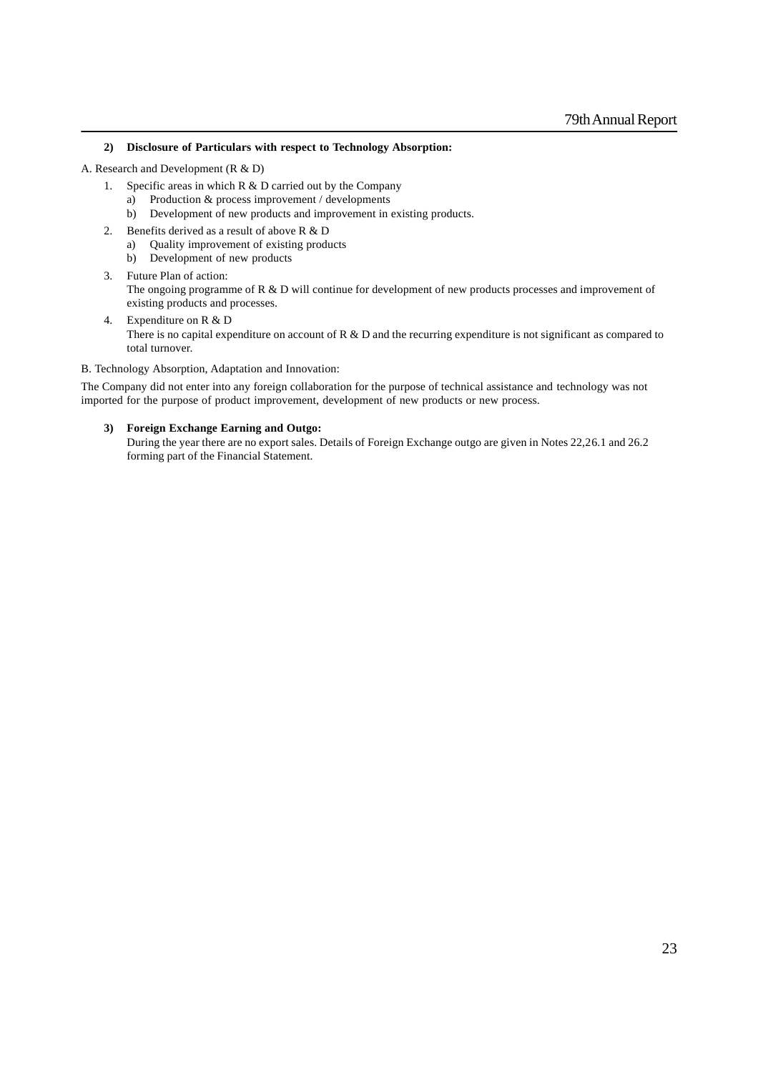#### **2) Disclosure of Particulars with respect to Technology Absorption:**

A. Research and Development (R & D)

- 1. Specific areas in which R & D carried out by the Company
	- a) Production & process improvement / developments
	- b) Development of new products and improvement in existing products.
- 2. Benefits derived as a result of above R & D
	- a) Quality improvement of existing products
	- b) Development of new products
- 3. Future Plan of action: The ongoing programme of R & D will continue for development of new products processes and improvement of existing products and processes.
- 4. Expenditure on R & D There is no capital expenditure on account of R  $\&$  D and the recurring expenditure is not significant as compared to total turnover.
- B. Technology Absorption, Adaptation and Innovation:

The Company did not enter into any foreign collaboration for the purpose of technical assistance and technology was not imported for the purpose of product improvement, development of new products or new process.

#### **3) Foreign Exchange Earning and Outgo:**

During the year there are no export sales. Details of Foreign Exchange outgo are given in Notes 22,26.1 and 26.2 forming part of the Financial Statement.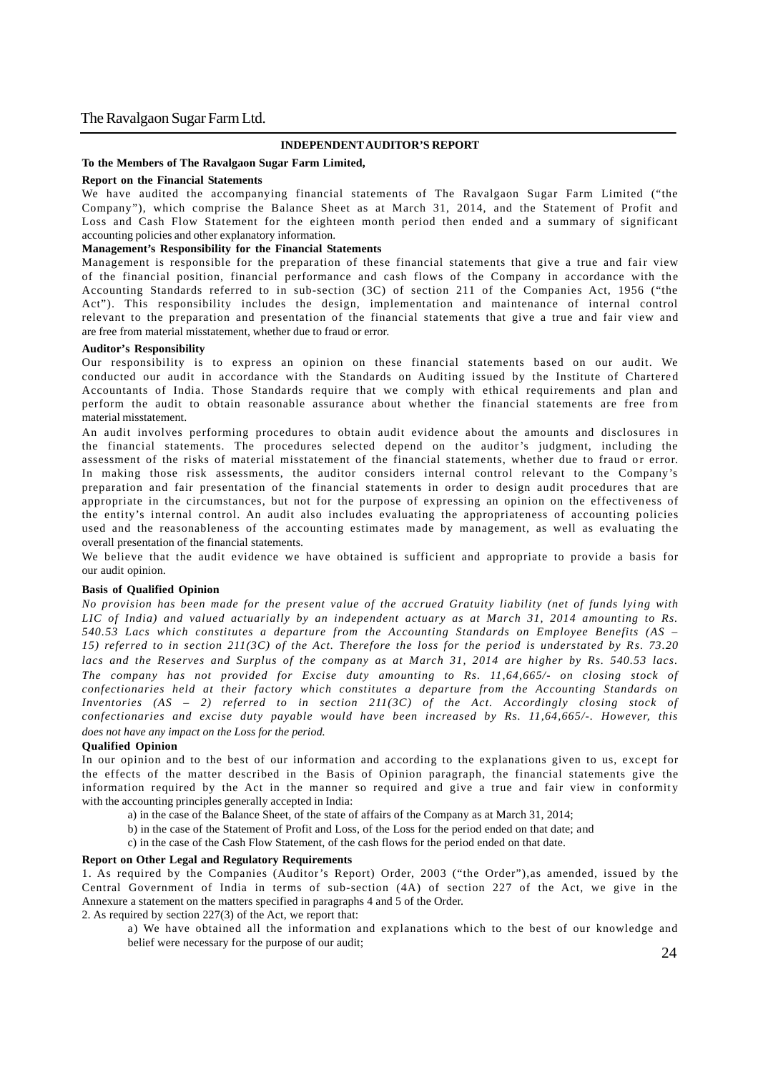#### **INDEPENDENT AUDITOR'S REPORT**

#### **To the Members of The Ravalgaon Sugar Farm Limited,**

#### **Report on the Financial Statements**

We have audited the accompanying financial statements of The Ravalgaon Sugar Farm Limited ("the Company"), which comprise the Balance Sheet as at March 31, 2014, and the Statement of Profit and Loss and Cash Flow Statement for the eighteen month period then ended and a summary of significant accounting policies and other explanatory information.

#### **Management's Responsibility for the Financial Statements**

Management is responsible for the preparation of these financial statements that give a true and fair view of the financial position, financial performance and cash flows of the Company in accordance with the Accounting Standards referred to in sub-section (3C) of section 211 of the Companies Act, 1956 ("the Act"). This responsibility includes the design, implementation and maintenance of internal control relevant to the preparation and presentation of the financial statements that give a true and fair view and are free from material misstatement, whether due to fraud or error.

#### **Auditor's Responsibility**

Our responsibility is to express an opinion on these financial statements based on our audit. We conducted our audit in accordance with the Standards on Auditing issued by the Institute of Chartered Accountants of India. Those Standards require that we comply with ethical requirements and plan and perform the audit to obtain reasonable assurance about whether the financial statements are free from material misstatement.

An audit involves performing procedures to obtain audit evidence about the amounts and disclosures in the financial statements. The procedures selected depend on the auditor's judgment, including the assessment of the risks of material misstatement of the financial statements, whether due to fraud or error. In making those risk assessments, the auditor considers internal control relevant to the Company's preparation and fair presentation of the financial statements in order to design audit procedures that are appropriate in the circumstances, but not for the purpose of expressing an opinion on the effectiveness of the entity's internal control. An audit also includes evaluating the appropriateness of accounting p olicies used and the reasonableness of the accounting estimates made by management, as well as evaluating the overall presentation of the financial statements.

We believe that the audit evidence we have obtained is sufficient and appropriate to provide a basis for our audit opinion.

#### **Basis of Qualified Opinion**

*No provision has been made for the present value of the accrued Gratuity liability (net of funds lying with LIC of India) and valued actuarially by an independent actuary as at March 31, 2014 amounting to Rs. 540.53 Lacs which constitutes a departure from the Accounting Standards on Employee Benefits (AS – 15) referred to in section 211(3C) of the Act. Therefore the loss for the period is understated by Rs. 73.20 lacs and the Reserves and Surplus of the company as at March 31, 2014 are higher by Rs. 540.53 lacs. The company has not provided for Excise duty amounting to Rs. 11,64,665/- on closing stock of confectionaries held at their factory which constitutes a departure from the Accounting Standards on Inventories (AS – 2) referred to in section 211(3C) of the Act. Accordingly closing stock of confectionaries and excise duty payable would have been increased by Rs. 11,64,665/-. However, this does not have any impact on the Loss for the period.*

#### **Qualified Opinion**

In our opinion and to the best of our information and according to the explanations given to us, except for the effects of the matter described in the Basis of Opinion paragraph, the financial statements give the information required by the Act in the manner so required and give a true and fair view in conformity with the accounting principles generally accepted in India:

a) in the case of the Balance Sheet, of the state of affairs of the Company as at March 31, 2014;

b) in the case of the Statement of Profit and Loss, of the Loss for the period ended on that date; and

c) in the case of the Cash Flow Statement, of the cash flows for the period ended on that date.

#### **Report on Other Legal and Regulatory Requirements**

1. As required by the Companies (Auditor's Report) Order, 2003 ("the Order"), as amended, issued by the Central Government of India in terms of sub-section (4A) of section 227 of the Act, we give in the Annexure a statement on the matters specified in paragraphs 4 and 5 of the Order.

2. As required by section 227(3) of the Act, we report that:

a) We have obtained all the information and explanations which to the best of our knowledge and belief were necessary for the purpose of our audit;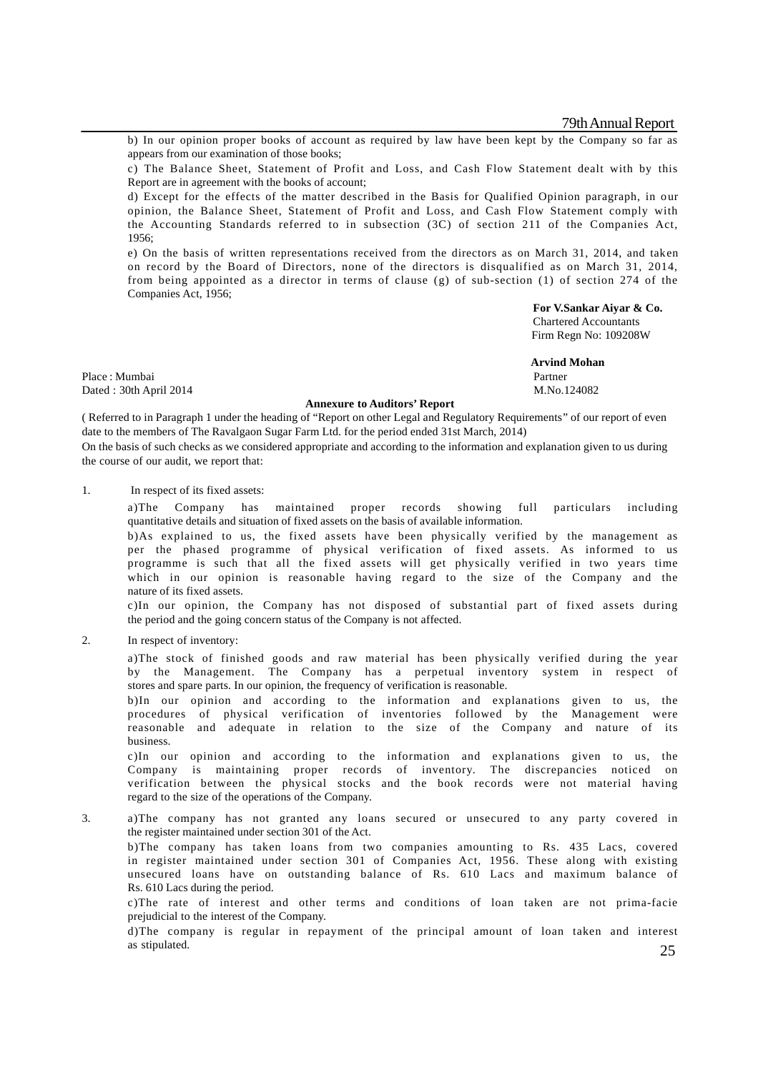b) In our opinion proper books of account as required by law have been kept by the Company so far as appears from our examination of those books;

c) The Balance Sheet, Statement of Profit and Loss, and Cash Flow Statement dealt with by this Report are in agreement with the books of account;

d) Except for the effects of the matter described in the Basis for Qualified Opinion paragraph, in our opinion, the Balance Sheet, Statement of Profit and Loss, and Cash Flow Statement comply with the Accounting Standards referred to in subsection (3C) of section 211 of the Companies Act, 1956;

e) On the basis of written representations received from the directors as on March 31, 2014, and taken on record by the Board of Directors, none of the directors is disqualified as on March 31, 2014, from being appointed as a director in terms of clause (g) of sub-section (1) of section 274 of the Companies Act, 1956;

> **For V.Sankar Aiyar & Co.** Chartered Accountants Firm Regn No: 109208W

Place : Mumbai Partner Dated : 30th April 2014 M.No.124082

#### **Annexure to Auditors' Report**

( Referred to in Paragraph 1 under the heading of "Report on other Legal and Regulatory Requirements" of our report of even date to the members of The Ravalgaon Sugar Farm Ltd. for the period ended 31st March, 2014)

On the basis of such checks as we considered appropriate and according to the information and explanation given to us during the course of our audit, we report that:

#### 1. In respect of its fixed assets:

a)The Company has maintained proper records showing full particulars including quantitative details and situation of fixed assets on the basis of available information.

b)As explained to us, the fixed assets have been physically verified by the management as per the phased programme of physical verification of fixed assets. As informed to us programme is such that all the fixed assets will get physically verified in two years time which in our opinion is reasonable having regard to the size of the Company and the nature of its fixed assets.

c)In our opinion, the Company has not disposed of substantial part of fixed assets during the period and the going concern status of the Company is not affected.

2. In respect of inventory:

a)The stock of finished goods and raw material has been physically verified during the year by the Management. The Company has a perpetual inventory system in respect of stores and spare parts. In our opinion, the frequency of verification is reasonable.

b)In our opinion and according to the information and explanations given to us, the procedures of physical verification of inventories followed by the Management were reasonable and adequate in relation to the size of the Company and nature of its business.

c)In our opinion and according to the information and explanations given to us, the Company is maintaining proper records of inventory. The discrepancies noticed on verification between the physical stocks and the book records were not material having regard to the size of the operations of the Company.

3. a)The company has not granted any loans secured or unsecured to any party covered in the register maintained under section 301 of the Act. b)The company has taken loans from two companies amounting to Rs. 435 Lacs, covered in register maintained under section 301 of Companies Act, 1956. These along with existing

unsecured loans have on outstanding balance of Rs. 610 Lacs and maximum balance of Rs. 610 Lacs during the period.

c)The rate of interest and other terms and conditions of loan taken are not prima-facie prejudicial to the interest of the Company.

d)The company is regular in repayment of the principal amount of loan taken and interest as stipulated.  $25$ 

 **Arvind Mohan**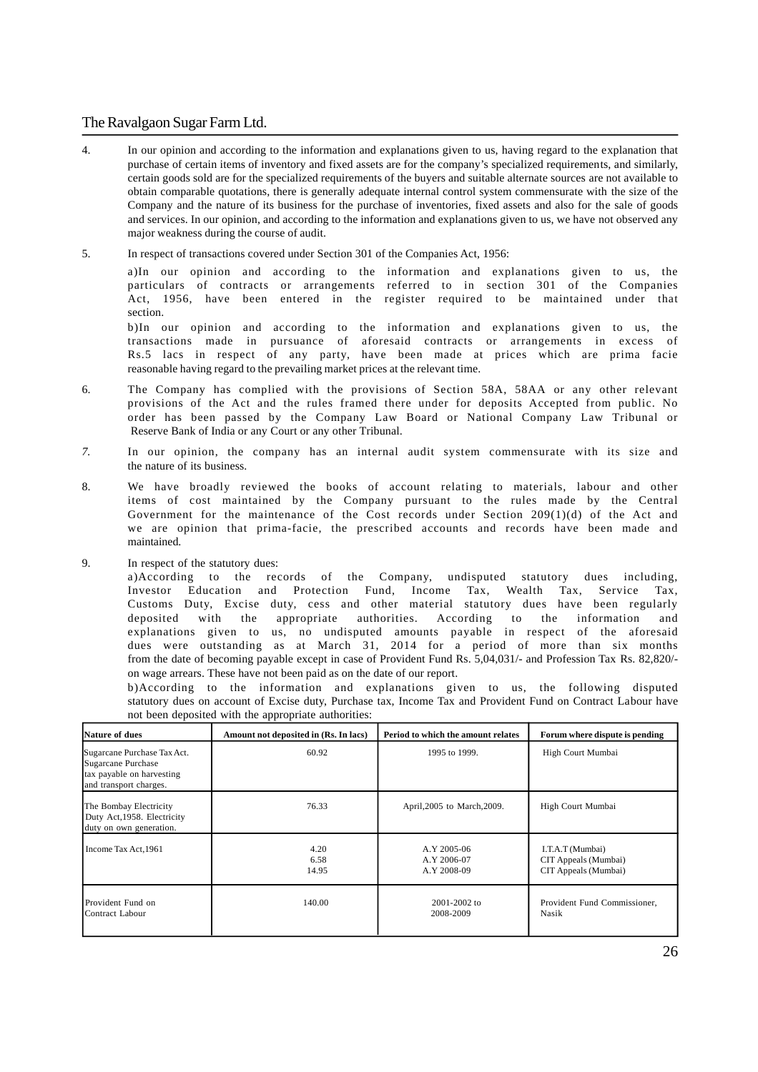- 4. In our opinion and according to the information and explanations given to us, having regard to the explanation that purchase of certain items of inventory and fixed assets are for the company's specialized requirements, and similarly, certain goods sold are for the specialized requirements of the buyers and suitable alternate sources are not available to obtain comparable quotations, there is generally adequate internal control system commensurate with the size of the Company and the nature of its business for the purchase of inventories, fixed assets and also for the sale of goods and services. In our opinion, and according to the information and explanations given to us, we have not observed any major weakness during the course of audit.
- 5. In respect of transactions covered under Section 301 of the Companies Act, 1956:

a)In our opinion and according to the information and explanations given to us, the particulars of contracts or arrangements referred to in section 301 of the Companies Act, 1956, have been entered in the register required to be maintained under that section.

b)In our opinion and according to the information and explanations given to us, the transactions made in pursuance of aforesaid contracts or arrangements in excess of Rs.5 lacs in respect of any party, have been made at prices which are prima facie reasonable having regard to the prevailing market prices at the relevant time.

- 6. The Company has complied with the provisions of Section 58A, 58AA or any other relevant provisions of the Act and the rules framed there under for deposits Accepted from public. No order has been passed by the Company Law Board or National Company Law Tribunal or Reserve Bank of India or any Court or any other Tribunal.
- *7.* In our opinion, the company has an internal audit system commensurate with its size and the nature of its business.
- 8. We have broadly reviewed the books of account relating to materials, labour and other items of cost maintained by the Company pursuant to the rules made by the Central Government for the maintenance of the Cost records under Section 209(1)(d) of the Act and we are opinion that prima-facie, the prescribed accounts and records have been made and maintained.
- 9. In respect of the statutory dues:

a)According to the records of the Company, undisputed statutory dues including, Investor Education and Protection Fund, Income Tax, Wealth Tax, Service Tax, Customs Duty, Excise duty, cess and other material statutory dues have been regularly deposited with the appropriate authorities. According to the information and explanations given to us, no undisputed amounts payable in respect of the aforesaid dues were outstanding as at March 31, 2014 for a period of more than six months from the date of becoming payable except in case of Provident Fund Rs. 5,04,031/- and Profession Tax Rs. 82,820/ on wage arrears. These have not been paid as on the date of our report.

b)According to the information and explanations given to us, the following disputed statutory dues on account of Excise duty, Purchase tax, Income Tax and Provident Fund on Contract Labour have not been deposited with the appropriate authorities:

| Nature of dues                                                                                           | Amount not deposited in (Rs. In lacs) | Period to which the amount relates        | Forum where dispute is pending                                   |
|----------------------------------------------------------------------------------------------------------|---------------------------------------|-------------------------------------------|------------------------------------------------------------------|
| Sugarcane Purchase Tax Act.<br>Sugarcane Purchase<br>tax payable on harvesting<br>and transport charges. | 60.92                                 | 1995 to 1999.                             | High Court Mumbai                                                |
| The Bombay Electricity<br>Duty Act, 1958. Electricity<br>duty on own generation.                         | 76.33                                 | April, 2005 to March, 2009.               | High Court Mumbai                                                |
| Income Tax Act, 1961                                                                                     | 4.20<br>6.58<br>14.95                 | A.Y 2005-06<br>A.Y 2006-07<br>A.Y 2008-09 | I.T.A.T (Mumbai)<br>CIT Appeals (Mumbai)<br>CIT Appeals (Mumbai) |
| Provident Fund on<br>Contract Labour                                                                     | 140.00                                | $2001 - 2002$ to<br>2008-2009             | Provident Fund Commissioner,<br>Nasik                            |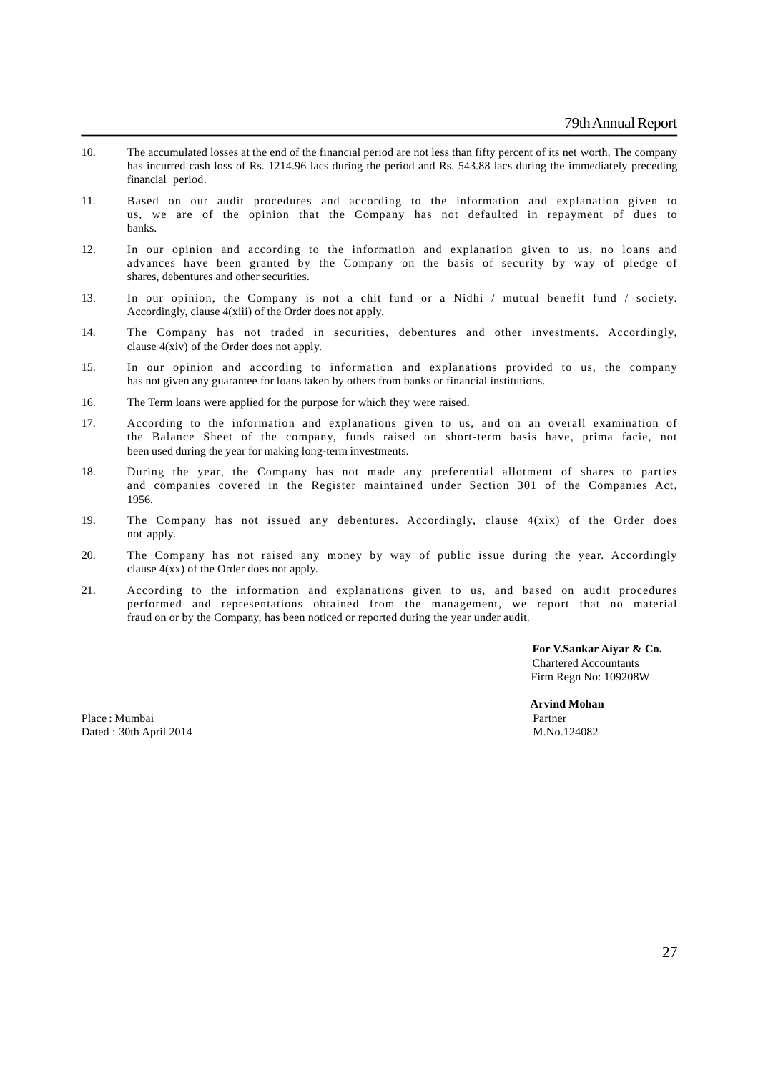- 10. The accumulated losses at the end of the financial period are not less than fifty percent of its net worth. The company has incurred cash loss of Rs. 1214.96 lacs during the period and Rs. 543.88 lacs during the immediately preceding financial period.
- 11. Based on our audit procedures and according to the information and explanation given to us, we are of the opinion that the Company has not defaulted in repayment of dues to banks.
- 12. In our opinion and according to the information and explanation given to us, no loans and advances have been granted by the Company on the basis of security by way of pledge of shares, debentures and other securities.
- 13. In our opinion, the Company is not a chit fund or a Nidhi / mutual benefit fund / society. Accordingly, clause 4(xiii) of the Order does not apply.
- 14. The Company has not traded in securities, debentures and other investments. Accordingly, clause 4(xiv) of the Order does not apply.
- 15. In our opinion and according to information and explanations provided to us, the company has not given any guarantee for loans taken by others from banks or financial institutions.
- 16. The Term loans were applied for the purpose for which they were raised.
- 17. According to the information and explanations given to us, and on an overall examination of the Balance Sheet of the company, funds raised on short-term basis have, prima facie, not been used during the year for making long-term investments.
- 18. During the year, the Company has not made any preferential allotment of shares to parties and companies covered in the Register maintained under Section 301 of the Companies Act, 1956.
- 19. The Company has not issued any debentures. Accordingly, clause 4(xix) of the Order does not apply.
- 20. The Company has not raised any money by way of public issue during the year. Accordingly clause 4(xx) of the Order does not apply.
- 21. According to the information and explanations given to us, and based on audit procedures performed and representations obtained from the management, we report that no material fraud on or by the Company, has been noticed or reported during the year under audit.

 **For V.Sankar Aiyar & Co.** Chartered Accountants Firm Regn No: 109208W

Place : Mumbai Partner New York 1999 and 2008 and 2009 and 2009 and 2009 and 2009 and 2009 and 2009 and 2009 and 2009 and 2009 and 2009 and 2009 and 2009 and 2009 and 2009 and 2009 and 2009 and 2009 and 2009 and 2009 and 2 Dated : 30th April 2014 M.No.124082

 **Arvind Mohan**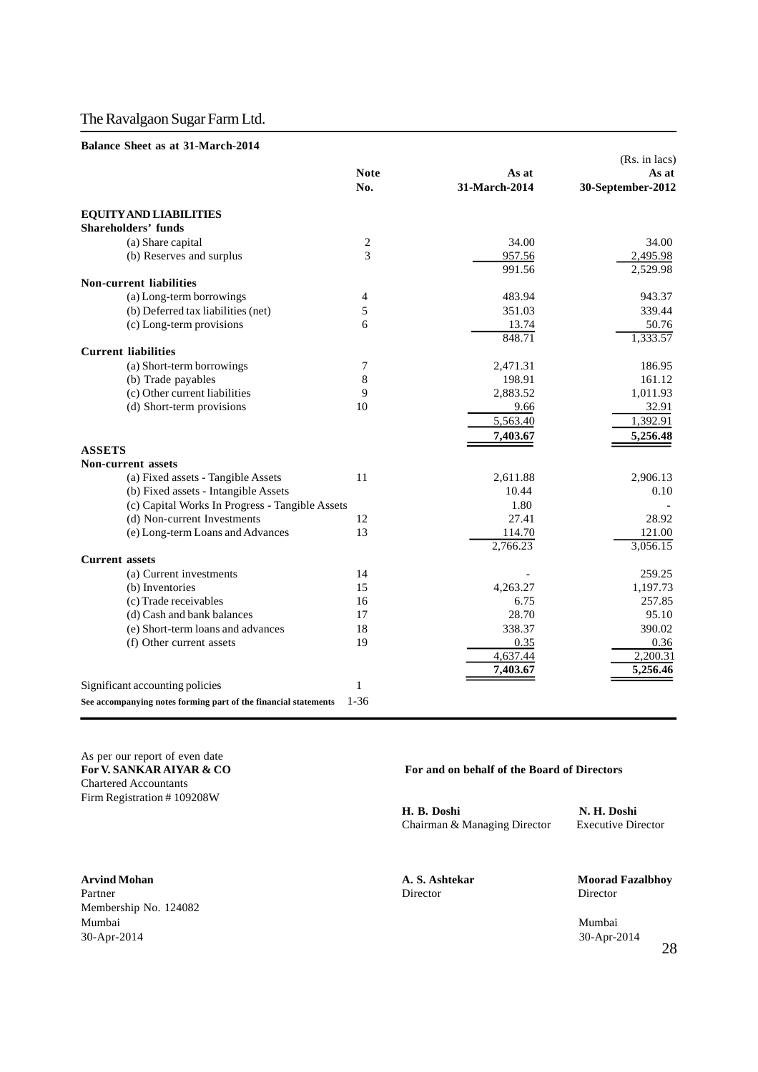#### **Balance Sheet as at 31-March-2014**

|                                                                 |                |               | (Rs. in lacs)     |
|-----------------------------------------------------------------|----------------|---------------|-------------------|
|                                                                 | <b>Note</b>    | As at         | As at             |
|                                                                 | No.            | 31-March-2014 | 30-September-2012 |
| <b>EQUITY AND LIABILITIES</b>                                   |                |               |                   |
| <b>Shareholders' funds</b>                                      |                |               |                   |
| (a) Share capital                                               | $\overline{c}$ | 34.00         | 34.00             |
| (b) Reserves and surplus                                        | 3              | 957.56        | 2,495.98          |
|                                                                 |                | 991.56        | 2,529.98          |
| Non-current liabilities                                         |                |               |                   |
| (a) Long-term borrowings                                        | 4              | 483.94        | 943.37            |
| (b) Deferred tax liabilities (net)                              | 5              | 351.03        | 339.44            |
| (c) Long-term provisions                                        | 6              | 13.74         | 50.76             |
|                                                                 |                | 848.71        | 1,333.57          |
| <b>Current liabilities</b>                                      |                |               |                   |
| (a) Short-term borrowings                                       | 7              | 2,471.31      | 186.95            |
| (b) Trade payables                                              | 8              | 198.91        | 161.12            |
| (c) Other current liabilities                                   | 9              | 2,883.52      | 1,011.93          |
| (d) Short-term provisions                                       | 10             | 9.66          | 32.91             |
|                                                                 |                | 5,563.40      | 1,392.91          |
|                                                                 |                | 7,403.67      | 5,256.48          |
| <b>ASSETS</b>                                                   |                |               |                   |
| <b>Non-current assets</b>                                       |                |               |                   |
| (a) Fixed assets - Tangible Assets                              | 11             | 2,611.88      | 2,906.13          |
| (b) Fixed assets - Intangible Assets                            |                | 10.44         | 0.10              |
| (c) Capital Works In Progress - Tangible Assets                 |                | 1.80          |                   |
| (d) Non-current Investments                                     | 12             | 27.41         | 28.92             |
| (e) Long-term Loans and Advances                                | 13             | 114.70        | 121.00            |
|                                                                 |                | 2,766.23      | 3,056.15          |
| <b>Current</b> assets                                           |                |               |                   |
| (a) Current investments                                         | 14             |               | 259.25            |
| (b) Inventories                                                 | 15             | 4,263.27      | 1,197.73          |
| (c) Trade receivables                                           | 16             | 6.75          | 257.85            |
| (d) Cash and bank balances                                      | 17             | 28.70         | 95.10             |
| (e) Short-term loans and advances                               | 18             | 338.37        | 390.02            |
| (f) Other current assets                                        | 19             | 0.35          | 0.36              |
|                                                                 |                | 4,637.44      | 2,200.31          |
|                                                                 |                | 7,403.67      | 5,256.46          |
| Significant accounting policies                                 | 1              |               |                   |
| See accompanying notes forming part of the financial statements | $1-36$         |               |                   |

As per our report of even date<br>For V. SANKAR AIYAR & CO Chartered Accountants Firm Registration # 109208W

#### For and on behalf of the Board of Directors

**H. B. Doshi N. H. Doshi** Chairman & Managing Director Executive Director

Partner Director Director Director Director Director Director Director Director Director Director Director Director  $\sim$ Membership No. 124082

Mumbai Mumbai 30-Apr-2014 30-Apr-2014

**A. S. Ashtekar Moorad Fazalbhoy A. S. Ashtekar Moorad Fazalbhoy**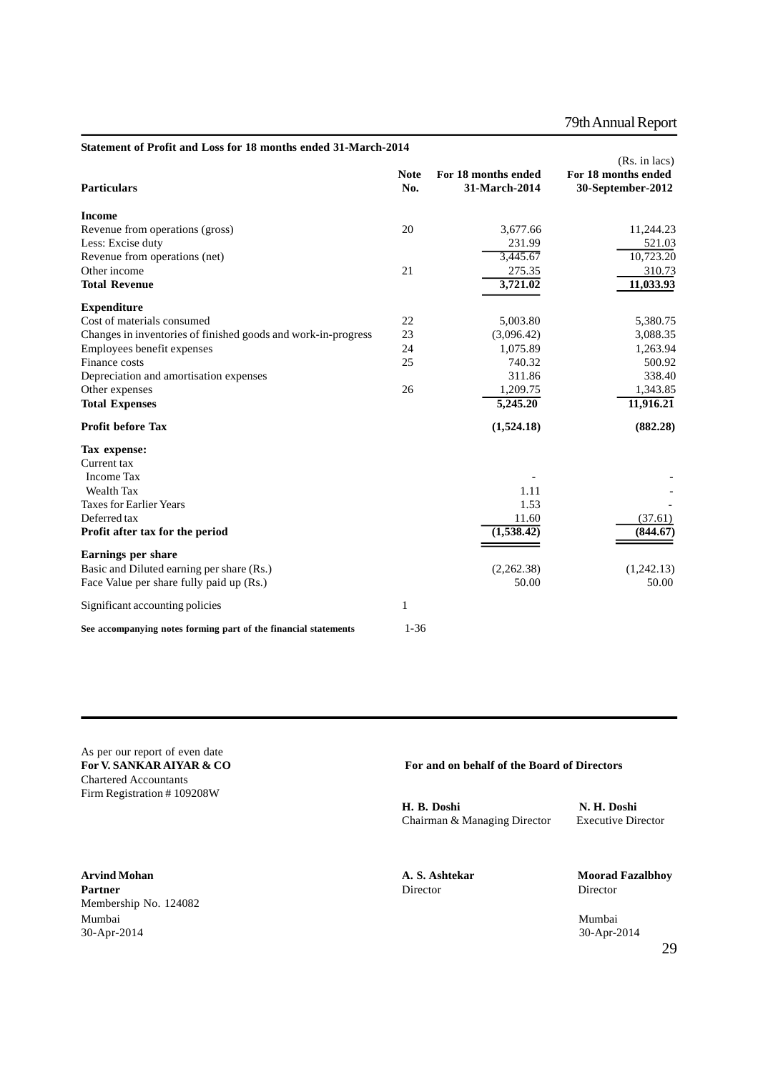| Statement of Profit and Loss for 18 months ended 31-March-2014  |                    |                                      |                                                           |
|-----------------------------------------------------------------|--------------------|--------------------------------------|-----------------------------------------------------------|
| <b>Particulars</b>                                              | <b>Note</b><br>No. | For 18 months ended<br>31-March-2014 | (Rs. in lacs)<br>For 18 months ended<br>30-September-2012 |
| <b>Income</b>                                                   |                    |                                      |                                                           |
| Revenue from operations (gross)                                 | 20                 | 3,677.66                             | 11,244.23                                                 |
| Less: Excise duty                                               |                    | 231.99                               | 521.03                                                    |
| Revenue from operations (net)                                   |                    | 3,445.67                             | 10,723.20                                                 |
| Other income                                                    | 21                 | 275.35                               | 310.73                                                    |
| <b>Total Revenue</b>                                            |                    | 3,721.02                             | 11,033.93                                                 |
| <b>Expenditure</b>                                              |                    |                                      |                                                           |
| Cost of materials consumed                                      | 22                 | 5,003.80                             | 5,380.75                                                  |
| Changes in inventories of finished goods and work-in-progress   | 23                 | (3,096.42)                           | 3,088.35                                                  |
| Employees benefit expenses                                      | 24                 | 1,075.89                             | 1,263.94                                                  |
| Finance costs                                                   | 25                 | 740.32                               | 500.92                                                    |
| Depreciation and amortisation expenses                          |                    | 311.86                               | 338.40                                                    |
| Other expenses                                                  | 26                 | 1,209.75                             | 1,343.85                                                  |
| <b>Total Expenses</b>                                           |                    | 5,245.20                             | 11,916.21                                                 |
| <b>Profit before Tax</b>                                        |                    | (1,524.18)                           | (882.28)                                                  |
| Tax expense:                                                    |                    |                                      |                                                           |
| Current tax                                                     |                    |                                      |                                                           |
| <b>Income Tax</b>                                               |                    |                                      |                                                           |
| Wealth Tax                                                      |                    | 1.11                                 |                                                           |
| <b>Taxes for Earlier Years</b>                                  |                    | 1.53                                 |                                                           |
| Deferred tax                                                    |                    | 11.60                                | (37.61)                                                   |
| Profit after tax for the period                                 |                    | (1,538.42)                           | (844.67)                                                  |
| Earnings per share                                              |                    |                                      |                                                           |
| Basic and Diluted earning per share (Rs.)                       |                    | (2,262.38)                           | (1,242.13)                                                |
| Face Value per share fully paid up (Rs.)                        |                    | 50.00                                | 50.00                                                     |
| Significant accounting policies                                 | 1                  |                                      |                                                           |
| See accompanying notes forming part of the financial statements | $1 - 36$           |                                      |                                                           |

# As per our report of even date<br>For V. SANKAR AIYAR & CO Chartered Accountants Firm Registration # 109208W

**A. S. Ashtekar Moorad Fazalbhoy**<br> **A. S. Ashtekar Moorad Fazalbhoy**<br>
Director Director Director Director **Partner** Director Director Director Director Director Director Membership No. 124082 Mumbai Mumbai 30-Apr-2014 30-Apr-2014

#### For and on behalf of the Board of Directors

**H. B. Doshi N. H. Doshi Chairman & Managing Director Executive Director** Chairman & Managing Director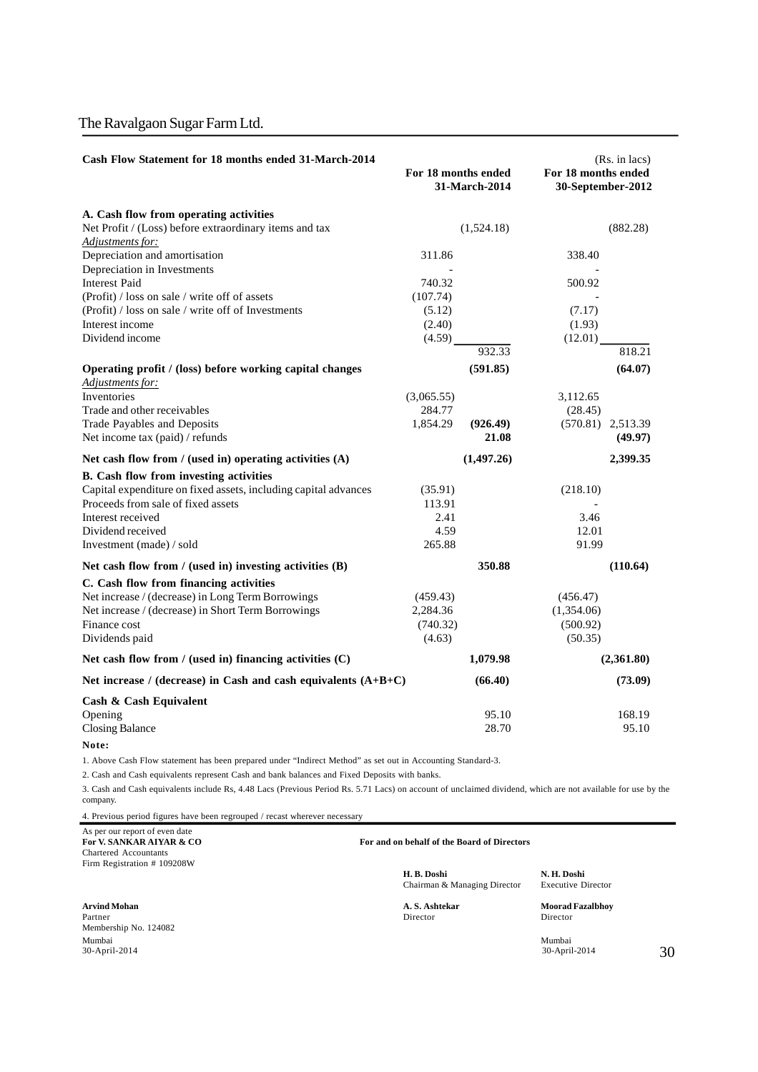| Cash Flow Statement for 18 months ended 31-March-2014                        | For 18 months ended | 31-March-2014 | For 18 months ended      | (Rs. in lacs)<br>30-September-2012 |
|------------------------------------------------------------------------------|---------------------|---------------|--------------------------|------------------------------------|
| A. Cash flow from operating activities                                       |                     |               |                          |                                    |
| Net Profit / (Loss) before extraordinary items and tax                       |                     | (1,524.18)    |                          | (882.28)                           |
| Adjustments for:                                                             |                     |               |                          |                                    |
| Depreciation and amortisation                                                | 311.86              |               | 338.40                   |                                    |
| Depreciation in Investments                                                  |                     |               |                          |                                    |
| <b>Interest Paid</b>                                                         | 740.32              |               | 500.92                   |                                    |
| (Profit) / loss on sale / write off of assets                                | (107.74)            |               |                          |                                    |
| (Profit) / loss on sale / write off of Investments                           | (5.12)              |               | (7.17)                   |                                    |
| Interest income                                                              | (2.40)              |               | (1.93)                   |                                    |
| Dividend income                                                              | (4.59)              |               | (12.01)                  |                                    |
|                                                                              |                     | 932.33        |                          | 818.21                             |
| Operating profit / (loss) before working capital changes<br>Adjustments for: |                     | (591.85)      |                          | (64.07)                            |
| <b>Inventories</b>                                                           | (3,065.55)          |               | 3,112.65                 |                                    |
| Trade and other receivables                                                  | 284.77              |               | (28.45)                  |                                    |
| Trade Payables and Deposits                                                  | 1,854.29            | (926.49)      |                          | $(570.81)$ 2,513.39                |
| Net income tax (paid) / refunds                                              |                     | 21.08         |                          | (49.97)                            |
| Net cash flow from $/$ (used in) operating activities $(A)$                  |                     | (1, 497.26)   |                          | 2,399.35                           |
| B. Cash flow from investing activities                                       |                     |               |                          |                                    |
| Capital expenditure on fixed assets, including capital advances              | (35.91)             |               | (218.10)                 |                                    |
| Proceeds from sale of fixed assets                                           | 113.91              |               | $\overline{\phantom{a}}$ |                                    |
| Interest received                                                            | 2.41                |               | 3.46                     |                                    |
| Dividend received                                                            | 4.59                |               | 12.01                    |                                    |
| Investment (made) / sold                                                     | 265.88              |               | 91.99                    |                                    |
|                                                                              |                     |               |                          |                                    |
| Net cash flow from / (used in) investing activities (B)                      |                     | 350.88        |                          | (110.64)                           |
| C. Cash flow from financing activities                                       |                     |               |                          |                                    |
| Net increase / (decrease) in Long Term Borrowings                            | (459.43)            |               | (456.47)                 |                                    |
| Net increase / (decrease) in Short Term Borrowings                           | 2,284.36            |               | (1,354.06)               |                                    |
| Finance cost                                                                 | (740.32)            |               | (500.92)                 |                                    |
| Dividends paid                                                               | (4.63)              |               | (50.35)                  |                                    |
| Net cash flow from / (used in) financing activities (C)                      |                     | 1,079.98      |                          | (2,361.80)                         |
| Net increase / (decrease) in Cash and cash equivalents $(A+B+C)$             |                     | (66.40)       |                          | (73.09)                            |
| Cash & Cash Equivalent                                                       |                     |               |                          |                                    |
| Opening                                                                      |                     | 95.10         |                          | 168.19                             |
| <b>Closing Balance</b>                                                       |                     | 28.70         |                          | 95.10                              |
| Note:                                                                        |                     |               |                          |                                    |

1. Above Cash Flow statement has been prepared under "Indirect Method" as set out in Accounting Standard-3.

2. Cash and Cash equivalents represent Cash and bank balances and Fixed Deposits with banks.

3. Cash and Cash equivalents include Rs, 4.48 Lacs (Previous Period Rs. 5.71 Lacs) on account of unclaimed dividend, which are not available for use by the company.

4. Previous period figures have been regrouped / recast wherever necessary

As per our report of even date<br>For V. SANKAR AIYAR & CO Chartered Accountants Firm Registration # 109208W

**Arvind Mohan A. S. Ashtekar Moorad Fazalbhoy** Partner Director Director Director Director Director Director Director Director Director Director Director Director Membership No. 124082 Mumbai Mumbai 30-April-2014 30-April-2014

#### For and on behalf of the Board of Directors

**H. B. Doshi N. H. Doshi** Chairman & Managing Director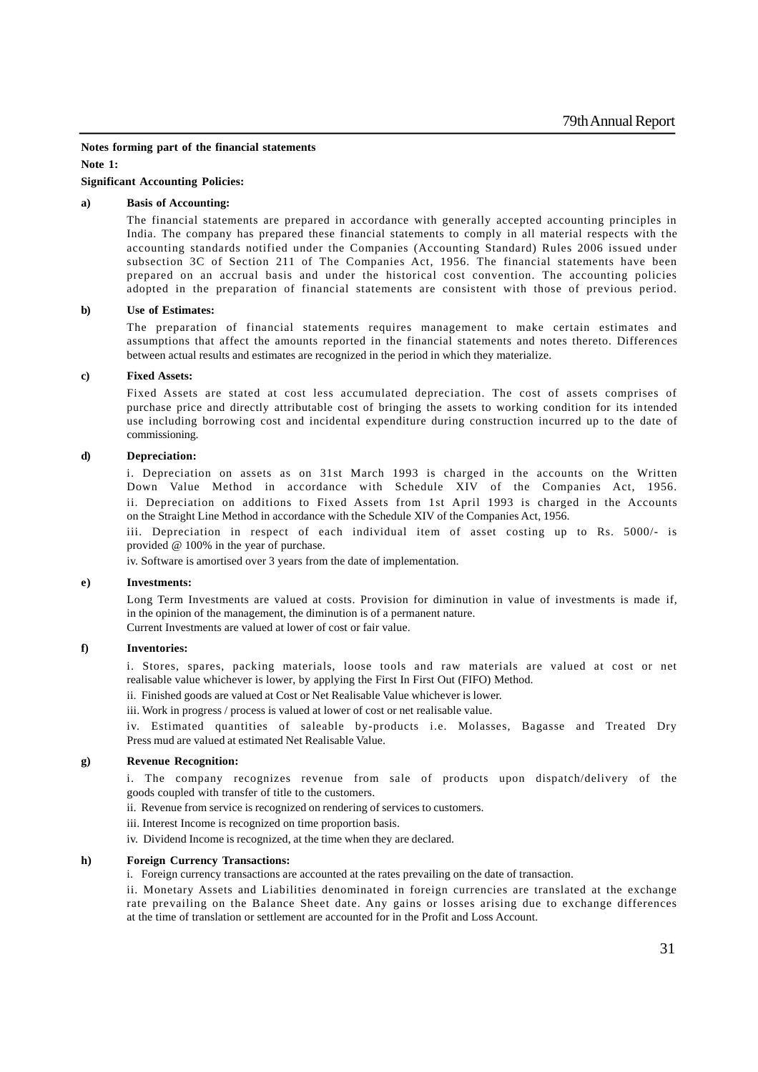#### **Notes forming part of the financial statements**

**Note 1:**

#### **Significant Accounting Policies:**

#### **a) Basis of Accounting:**

The financial statements are prepared in accordance with generally accepted accounting principles in India. The company has prepared these financial statements to comply in all material respects with the accounting standards notified under the Companies (Accounting Standard) Rules 2006 issued under subsection 3C of Section 211 of The Companies Act, 1956. The financial statements have been prepared on an accrual basis and under the historical cost convention. The accounting policies adopted in the preparation of financial statements are consistent with those of previous period.

#### **b) Use of Estimates:**

The preparation of financial statements requires management to make certain estimates and assumptions that affect the amounts reported in the financial statements and notes thereto. Differences between actual results and estimates are recognized in the period in which they materialize.

#### **c) Fixed Assets:**

Fixed Assets are stated at cost less accumulated depreciation. The cost of assets comprises of purchase price and directly attributable cost of bringing the assets to working condition for its intended use including borrowing cost and incidental expenditure during construction incurred up to the date of commissioning.

#### **d) Depreciation:**

i. Depreciation on assets as on 31st March 1993 is charged in the accounts on the Written Down Value Method in accordance with Schedule XIV of the Companies Act, 1956. ii. Depreciation on additions to Fixed Assets from 1st April 1993 is charged in the Accounts on the Straight Line Method in accordance with the Schedule XIV of the Companies Act, 1956.

iii. Depreciation in respect of each individual item of asset costing up to Rs. 5000/- is provided @ 100% in the year of purchase.

iv. Software is amortised over 3 years from the date of implementation.

#### **e) Investments:**

Long Term Investments are valued at costs. Provision for diminution in value of investments is made if, in the opinion of the management, the diminution is of a permanent nature.

Current Investments are valued at lower of cost or fair value.

#### **f) Inventories:**

i. Stores, spares, packing materials, loose tools and raw materials are valued at cost or net realisable value whichever is lower, by applying the First In First Out (FIFO) Method.

ii. Finished goods are valued at Cost or Net Realisable Value whichever is lower.

iii. Work in progress / process is valued at lower of cost or net realisable value.

iv. Estimated quantities of saleable by-products i.e. Molasses, Bagasse and Treated Dry Press mud are valued at estimated Net Realisable Value.

#### **g) Revenue Recognition:**

i. The company recognizes revenue from sale of products upon dispatch/delivery of the goods coupled with transfer of title to the customers.

ii. Revenue from service is recognized on rendering of services to customers.

- iii. Interest Income is recognized on time proportion basis.
- iv. Dividend Income is recognized, at the time when they are declared.

#### **h) Foreign Currency Transactions:**

i. Foreign currency transactions are accounted at the rates prevailing on the date of transaction.

ii. Monetary Assets and Liabilities denominated in foreign currencies are translated at the exchange rate prevailing on the Balance Sheet date. Any gains or losses arising due to exchange differences at the time of translation or settlement are accounted for in the Profit and Loss Account.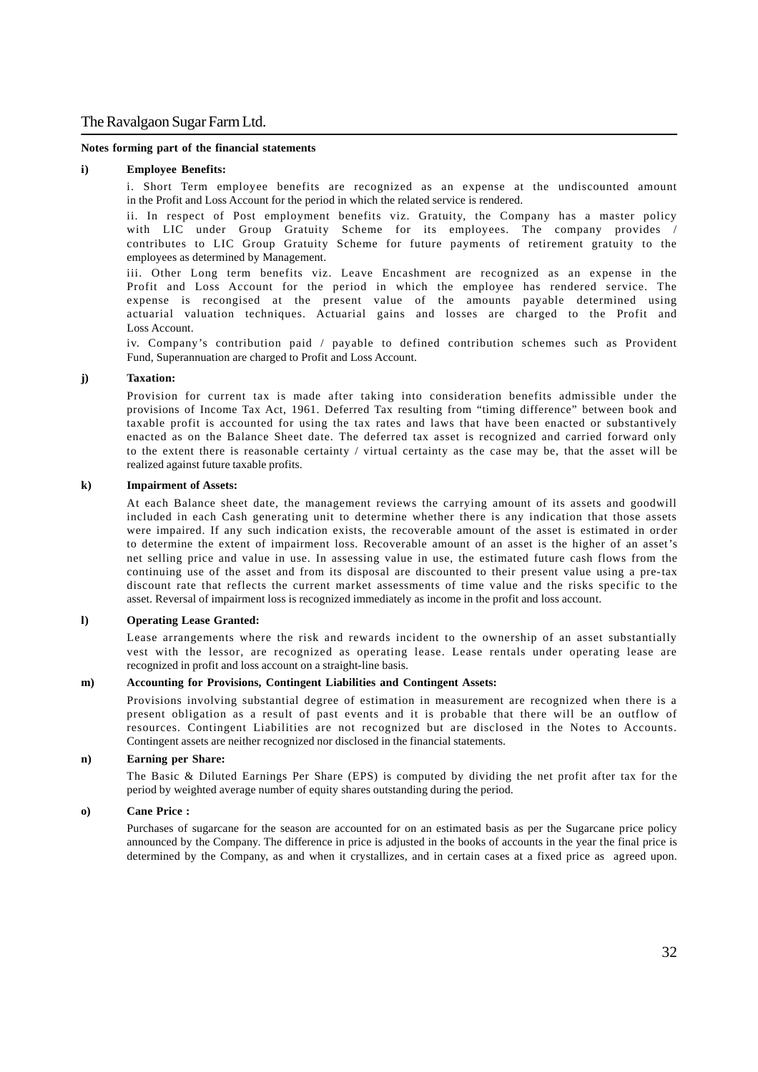#### **Notes forming part of the financial statements**

#### **i) Employee Benefits:**

i. Short Term employee benefits are recognized as an expense at the undiscounted amount in the Profit and Loss Account for the period in which the related service is rendered.

ii. In respect of Post employment benefits viz. Gratuity, the Company has a master policy with LIC under Group Gratuity Scheme for its employees. The company provides / contributes to LIC Group Gratuity Scheme for future payments of retirement gratuity to the employees as determined by Management.

iii. Other Long term benefits viz. Leave Encashment are recognized as an expense in the Profit and Loss Account for the period in which the employee has rendered service. The expense is recongised at the present value of the amounts payable determined using actuarial valuation techniques. Actuarial gains and losses are charged to the Profit and Loss Account.

iv. Company's contribution paid / payable to defined contribution schemes such as Provident Fund, Superannuation are charged to Profit and Loss Account.

#### **j) Taxation:**

Provision for current tax is made after taking into consideration benefits admissible under the provisions of Income Tax Act, 1961. Deferred Tax resulting from "timing difference" between book and taxable profit is accounted for using the tax rates and laws that have been enacted or substantively enacted as on the Balance Sheet date. The deferred tax asset is recognized and carried forward only to the extent there is reasonable certainty / virtual certainty as the case may be, that the asset will be realized against future taxable profits.

#### **k) Impairment of Assets:**

At each Balance sheet date, the management reviews the carrying amount of its assets and goodwill included in each Cash generating unit to determine whether there is any indication that those assets were impaired. If any such indication exists, the recoverable amount of the asset is estimated in order to determine the extent of impairment loss. Recoverable amount of an asset is the higher of an asset's net selling price and value in use. In assessing value in use, the estimated future cash flows from the continuing use of the asset and from its disposal are discounted to their present value using a pre-tax discount rate that reflects the current market assessments of time value and the risks specific to the asset. Reversal of impairment loss is recognized immediately as income in the profit and loss account.

#### **l) Operating Lease Granted:**

Lease arrangements where the risk and rewards incident to the ownership of an asset substantially vest with the lessor, are recognized as operating lease. Lease rentals under operating lease are recognized in profit and loss account on a straight-line basis.

#### **m) Accounting for Provisions, Contingent Liabilities and Contingent Assets:**

Provisions involving substantial degree of estimation in measurement are recognized when there is a present obligation as a result of past events and it is probable that there will be an outflow of resources. Contingent Liabilities are not recognized but are disclosed in the Notes to Accounts. Contingent assets are neither recognized nor disclosed in the financial statements.

#### **n) Earning per Share:**

The Basic & Diluted Earnings Per Share (EPS) is computed by dividing the net profit after tax for the period by weighted average number of equity shares outstanding during the period.

#### **o) Cane Price :**

Purchases of sugarcane for the season are accounted for on an estimated basis as per the Sugarcane price policy announced by the Company. The difference in price is adjusted in the books of accounts in the year the final price is determined by the Company, as and when it crystallizes, and in certain cases at a fixed price as agreed upon.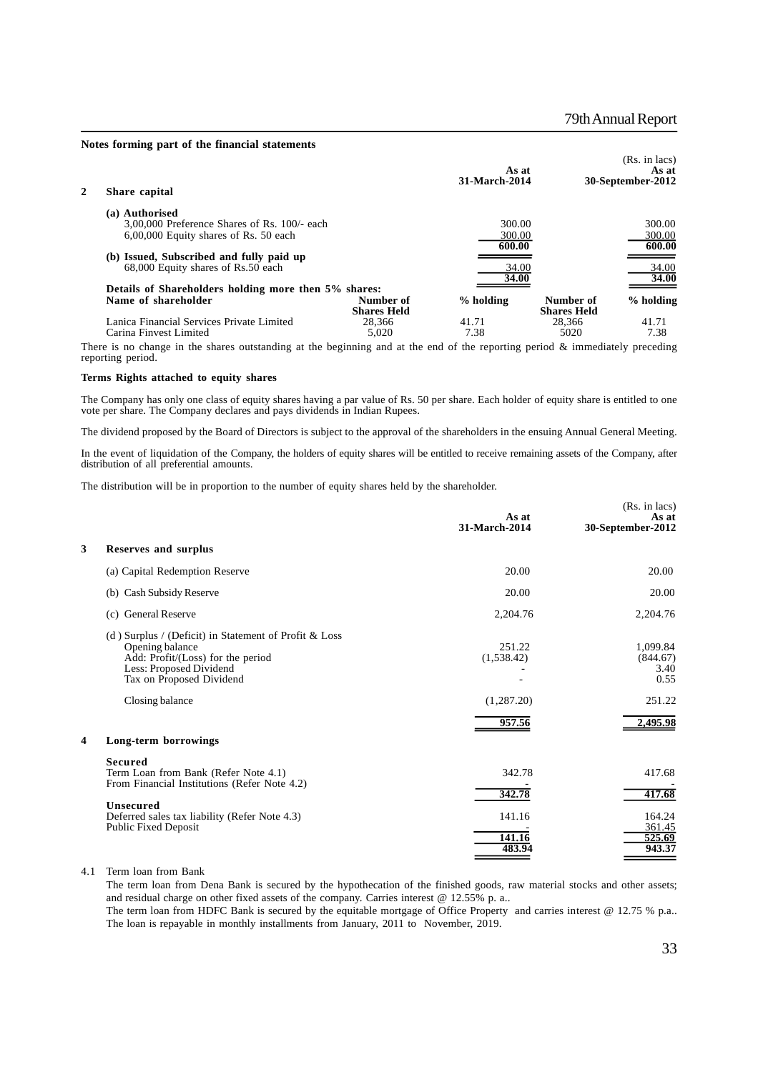#### **Notes forming part of the financial statements**

| 2 | Share capital                                        |                                 | As at<br>31-March-2014 |                                 | $(Rs. in lacs)$<br>As at<br>30-September-2012 |
|---|------------------------------------------------------|---------------------------------|------------------------|---------------------------------|-----------------------------------------------|
|   | (a) Authorised                                       |                                 |                        |                                 |                                               |
|   | 3,00,000 Preference Shares of Rs. 100/- each         |                                 | 300.00                 |                                 | 300.00                                        |
|   | 6,00,000 Equity shares of Rs. 50 each                |                                 | 300.00                 |                                 | 300.00                                        |
|   |                                                      |                                 | 600.00                 |                                 | 600.00                                        |
|   | (b) Issued, Subscribed and fully paid up             |                                 |                        |                                 |                                               |
|   | 68,000 Equity shares of Rs.50 each                   |                                 | 34.00                  |                                 | 34.00                                         |
|   |                                                      |                                 | 34.00                  |                                 | 34.00                                         |
|   | Details of Shareholders holding more then 5% shares: |                                 |                        |                                 |                                               |
|   | Name of shareholder                                  | Number of<br><b>Shares Held</b> | % holding              | Number of<br><b>Shares Held</b> | % holding                                     |
|   | Lanica Financial Services Private Limited            | 28.366                          | 41.71                  | 28.366                          | 41.71                                         |
|   | Carina Finvest Limited                               | 5.020                           | 7.38                   | 5020                            | 7.38                                          |
|   |                                                      |                                 |                        |                                 |                                               |
|   |                                                      |                                 |                        |                                 |                                               |

There is no change in the shares outstanding at the beginning and at the end of the reporting period  $\&$  immediately preceding reporting period.

#### **Terms Rights attached to equity shares**

The Company has only one class of equity shares having a par value of Rs. 50 per share. Each holder of equity share is entitled to one vote per share. The Company declares and pays dividends in Indian Rupees.

The dividend proposed by the Board of Directors is subject to the approval of the shareholders in the ensuing Annual General Meeting.

In the event of liquidation of the Company, the holders of equity shares will be entitled to receive remaining assets of the Company, after distribution of all preferential amounts.

The distribution will be in proportion to the number of equity shares held by the shareholder.

|                                                                                                                                                                      | As at<br>31-March-2014 | (Rs. in lacs)<br>As at<br>30-September-2012 |
|----------------------------------------------------------------------------------------------------------------------------------------------------------------------|------------------------|---------------------------------------------|
| 3<br>Reserves and surplus                                                                                                                                            |                        |                                             |
| (a) Capital Redemption Reserve                                                                                                                                       | 20.00                  | 20.00                                       |
| (b) Cash Subsidy Reserve                                                                                                                                             | 20.00                  | 20.00                                       |
| (c) General Reserve                                                                                                                                                  | 2,204.76               | 2,204.76                                    |
| (d) Surplus / (Deficit) in Statement of Profit & Loss<br>Opening balance<br>Add: Profit/(Loss) for the period<br>Less: Proposed Dividend<br>Tax on Proposed Dividend | 251.22<br>(1,538.42)   | 1.099.84<br>(844.67)<br>3.40<br>0.55        |
| Closing balance                                                                                                                                                      | (1,287.20)             | 251.22                                      |
| Long-term borrowings<br>4                                                                                                                                            | 957.56                 | 2,495.98                                    |
| <b>Secured</b><br>Term Loan from Bank (Refer Note 4.1)<br>From Financial Institutions (Refer Note 4.2)                                                               | 342.78                 | 417.68                                      |
| <b>Unsecured</b><br>Deferred sales tax liability (Refer Note 4.3)<br><b>Public Fixed Deposit</b>                                                                     | 342.78<br>141.16       | 417.68<br>164.24<br>361.45                  |
|                                                                                                                                                                      | 141.16<br>483.94       | 525.69<br>943.37                            |

#### 4.1 Term loan from Bank

The term loan from Dena Bank is secured by the hypothecation of the finished goods, raw material stocks and other assets; and residual charge on other fixed assets of the company. Carries interest @ 12.55% p. a..

The term loan from HDFC Bank is secured by the equitable mortgage of Office Property and carries interest @ 12.75 % p.a.. The loan is repayable in monthly installments from January, 2011 to November, 2019.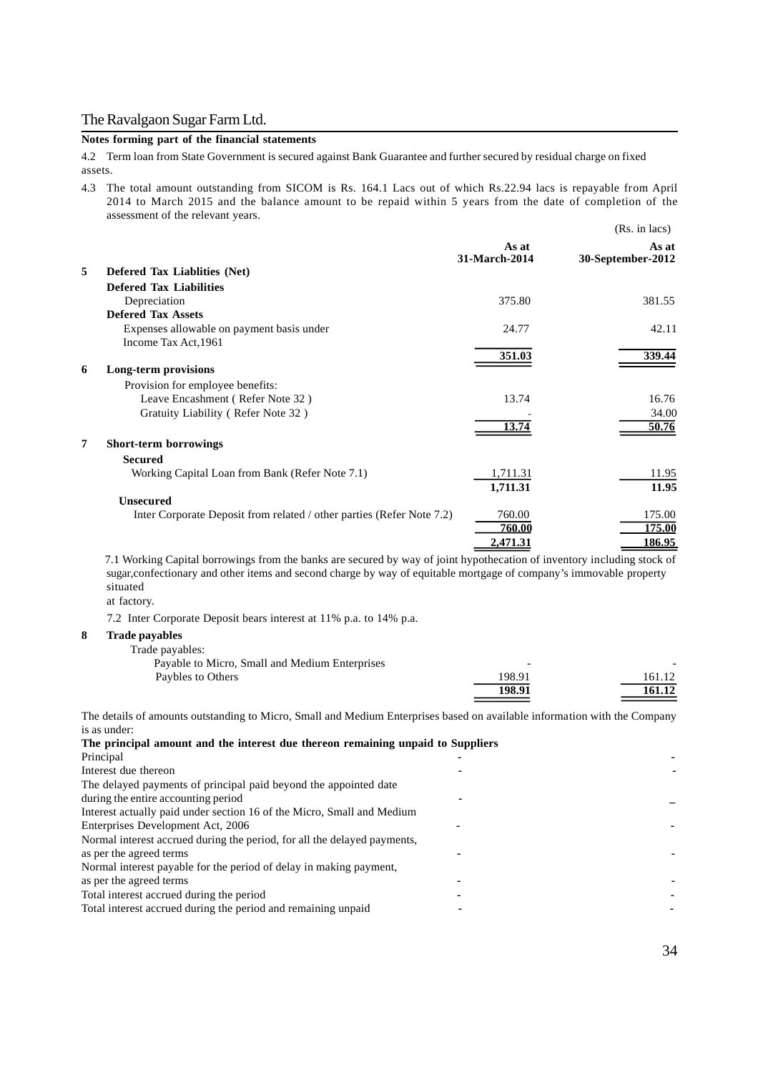#### **Notes forming part of the financial statements**

4.2 Term loan from State Government is secured against Bank Guarantee and further secured by residual charge on fixed assets.

4.3 The total amount outstanding from SICOM is Rs. 164.1 Lacs out of which Rs.22.94 lacs is repayable from April 2014 to March 2015 and the balance amount to be repaid within 5 years from the date of completion of the assessment of the relevant years.

| As at<br>31-March-2014<br>30-September-2012<br>5<br><b>Defered Tax Liablities (Net)</b><br><b>Defered Tax Liabilities</b><br>375.80<br>Depreciation<br><b>Defered Tax Assets</b><br>Expenses allowable on payment basis under<br>24.77<br>Income Tax Act, 1961 | (Rs. in lacs) |
|----------------------------------------------------------------------------------------------------------------------------------------------------------------------------------------------------------------------------------------------------------------|---------------|
|                                                                                                                                                                                                                                                                | As at         |
|                                                                                                                                                                                                                                                                |               |
|                                                                                                                                                                                                                                                                |               |
|                                                                                                                                                                                                                                                                | 381.55        |
|                                                                                                                                                                                                                                                                |               |
|                                                                                                                                                                                                                                                                | 42.11         |
|                                                                                                                                                                                                                                                                |               |
| 351.03                                                                                                                                                                                                                                                         | 339.44        |
| Long-term provisions<br>6                                                                                                                                                                                                                                      |               |
| Provision for employee benefits:                                                                                                                                                                                                                               |               |
| Leave Encashment (Refer Note 32)<br>13.74                                                                                                                                                                                                                      | 16.76         |
| Gratuity Liability (Refer Note 32)                                                                                                                                                                                                                             | 34.00         |
| 13.74                                                                                                                                                                                                                                                          | 50.76         |
| $\overline{7}$<br>Short-term borrowings                                                                                                                                                                                                                        |               |
| <b>Secured</b>                                                                                                                                                                                                                                                 |               |
| Working Capital Loan from Bank (Refer Note 7.1)<br>1,711.31                                                                                                                                                                                                    | 11.95         |
| 1,711.31                                                                                                                                                                                                                                                       | 11.95         |
| <b>Unsecured</b>                                                                                                                                                                                                                                               |               |
| Inter Corporate Deposit from related / other parties (Refer Note 7.2)<br>760.00                                                                                                                                                                                | 175.00        |
| 760.00                                                                                                                                                                                                                                                         | 175.00        |
| 2,471.31                                                                                                                                                                                                                                                       | <u>186.95</u> |

 7.1 Working Capital borrowings from the banks are secured by way of joint hypothecation of inventory including stock of sugar,confectionary and other items and second charge by way of equitable mortgage of company's immovable property situated

at factory.

7.2 Inter Corporate Deposit bears interest at 11% p.a. to 14% p.a.

#### **8 Trade payables**

|  | Trade payables: |
|--|-----------------|
|--|-----------------|

| Payable to Micro, Small and Medium Enterprises |        |        |
|------------------------------------------------|--------|--------|
| Paybles to Others                              | 198.91 | 161.12 |
|                                                | 198.91 | 161.12 |

The details of amounts outstanding to Micro, Small and Medium Enterprises based on available information with the Company is as under:

| The principal amount and the interest due thereon remaining unpaid to Suppliers |  |
|---------------------------------------------------------------------------------|--|
| Principal                                                                       |  |
| Interest due thereon                                                            |  |
| The delayed payments of principal paid beyond the appointed date                |  |
| during the entire accounting period                                             |  |
| Interest actually paid under section 16 of the Micro, Small and Medium          |  |
| Enterprises Development Act, 2006                                               |  |
| Normal interest accrued during the period, for all the delayed payments,        |  |
| as per the agreed terms                                                         |  |
| Normal interest payable for the period of delay in making payment,              |  |
| as per the agreed terms                                                         |  |
| Total interest accrued during the period                                        |  |
| Total interest accrued during the period and remaining unpaid                   |  |
|                                                                                 |  |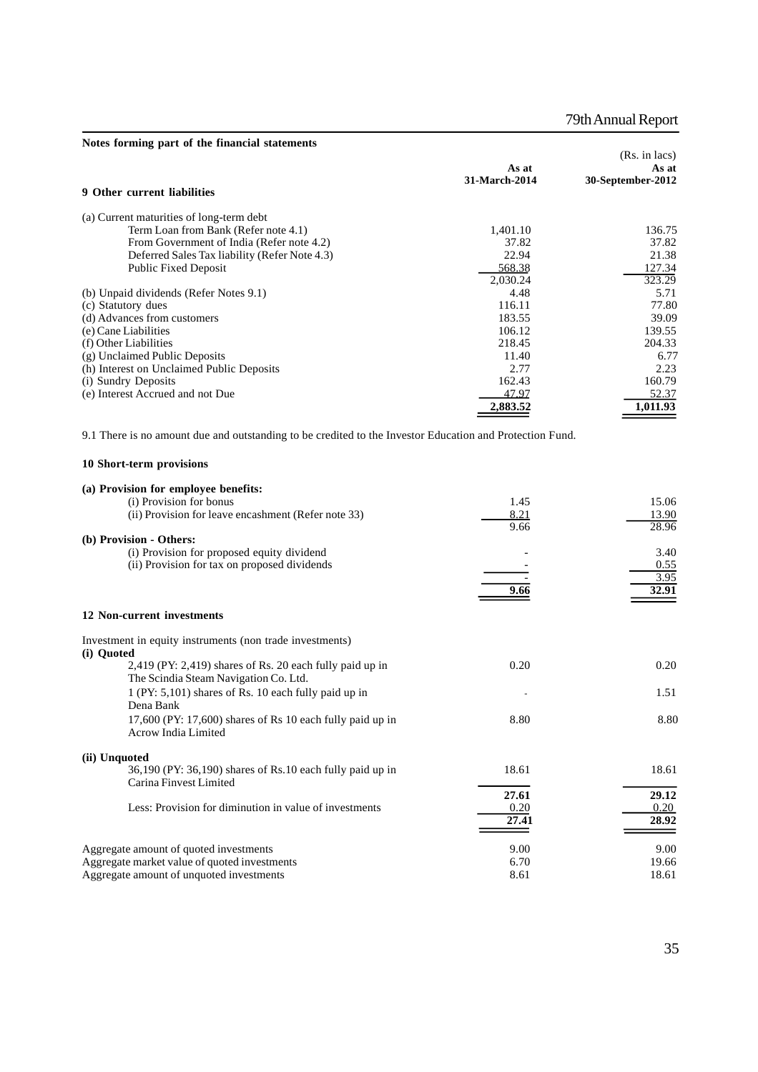| Notes forming part of the financial statements |               |                        |
|------------------------------------------------|---------------|------------------------|
|                                                | As at         | (Rs. in lacs)<br>As at |
|                                                | 31-March-2014 | 30-September-2012      |
| 9 Other current liabilities                    |               |                        |
| (a) Current maturities of long-term debt       |               |                        |
| Term Loan from Bank (Refer note 4.1)           | 1,401.10      | 136.75                 |
| From Government of India (Refer note 4.2)      | 37.82         | 37.82                  |
| Deferred Sales Tax liability (Refer Note 4.3)  | 22.94         | 21.38                  |
| Public Fixed Deposit                           | 568.38        | 127.34                 |
|                                                | 2,030.24      | 323.29                 |
| (b) Unpaid dividends (Refer Notes 9.1)         | 4.48          | 5.71                   |
| (c) Statutory dues                             | 116.11        | 77.80                  |
| (d) Advances from customers                    | 183.55        | 39.09                  |
| (e) Cane Liabilities                           | 106.12        | 139.55                 |
| (f) Other Liabilities                          | 218.45        | 204.33                 |
| (g) Unclaimed Public Deposits                  | 11.40         | 6.77                   |
| (h) Interest on Unclaimed Public Deposits      | 2.77          | 2.23                   |
| (i) Sundry Deposits                            | 162.43        | 160.79                 |
| (e) Interest Accrued and not Due               | 47.97         | 52.37                  |
|                                                | 2,883.52      | 1,011.93               |

9.1 There is no amount due and outstanding to be credited to the Investor Education and Protection Fund.

#### **10 Short-term provisions**

| (a) Provision for employee benefits:                           |       |       |
|----------------------------------------------------------------|-------|-------|
| (i) Provision for bonus                                        | 1.45  | 15.06 |
| (ii) Provision for leave encashment (Refer note 33)            | 8.21  | 13.90 |
|                                                                | 9.66  | 28.96 |
| (b) Provision - Others:                                        |       |       |
| (i) Provision for proposed equity dividend                     |       | 3.40  |
| (ii) Provision for tax on proposed dividends                   |       | 0.55  |
|                                                                |       | 3.95  |
|                                                                | 9.66  | 32.91 |
| 12 Non-current investments                                     |       |       |
|                                                                |       |       |
| Investment in equity instruments (non trade investments)       |       |       |
| (i) Quoted                                                     |       |       |
| 2,419 (PY: 2,419) shares of Rs. 20 each fully paid up in       | 0.20  | 0.20  |
| The Scindia Steam Navigation Co. Ltd.                          |       |       |
| $1$ (PY: 5,101) shares of Rs. 10 each fully paid up in         |       | 1.51  |
| Dena Bank                                                      |       |       |
| 17,600 (PY: 17,600) shares of Rs 10 each fully paid up in      | 8.80  | 8.80  |
| <b>Acrow India Limited</b>                                     |       |       |
| (ii) Unquoted                                                  |       |       |
| $36,190$ (PY: $36,190$ ) shares of Rs.10 each fully paid up in | 18.61 | 18.61 |
| Carina Finvest Limited                                         |       |       |
|                                                                | 27.61 | 29.12 |
| Less: Provision for diminution in value of investments         | 0.20  | 0.20  |
|                                                                | 27.41 | 28.92 |
| Aggregate amount of quoted investments                         | 9.00  | 9.00  |
| Aggregate market value of quoted investments                   | 6.70  | 19.66 |
| Aggregate amount of unquoted investments                       | 8.61  | 18.61 |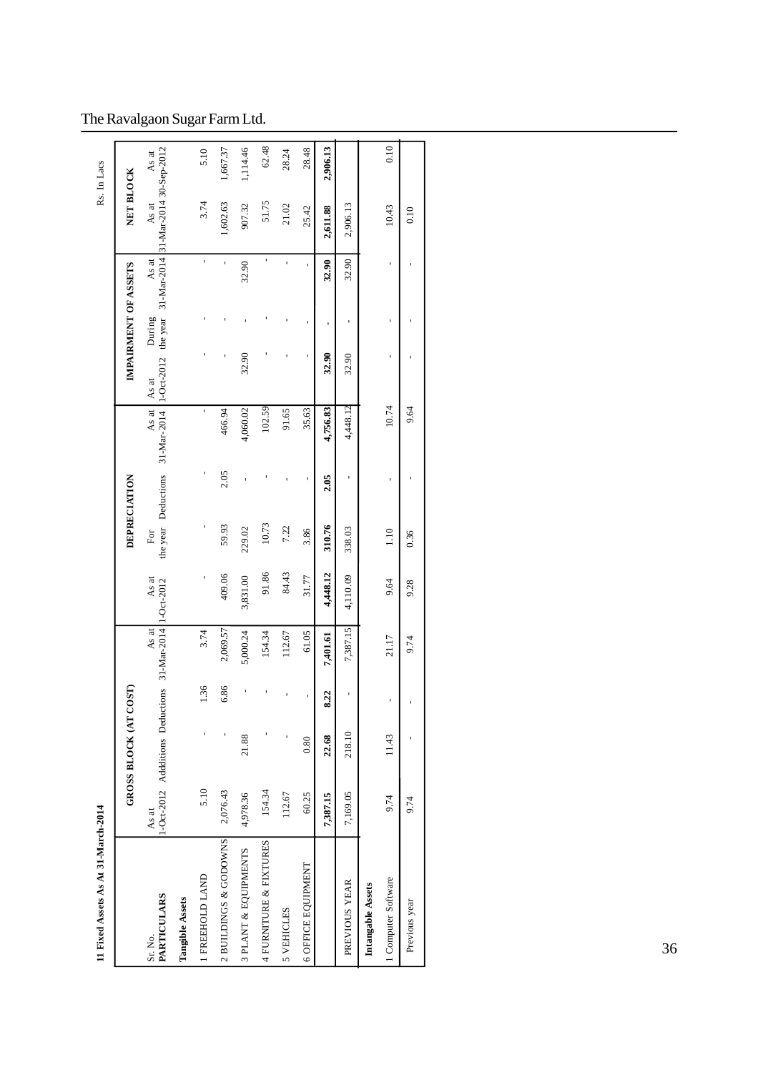| 11 Fixed Assets As At 31-March-2014 |          |                                  |      |                        |                           |                                     |      |                      |                       |                    |                      |                                              | Rs. In Lacs |
|-------------------------------------|----------|----------------------------------|------|------------------------|---------------------------|-------------------------------------|------|----------------------|-----------------------|--------------------|----------------------|----------------------------------------------|-------------|
|                                     |          | GROSS BLOCK (AT COST)            |      |                        |                           | DEPRECIATION                        |      |                      |                       |                    | IMPAIRMENT OF ASSETS | NET BLOCK                                    |             |
| <b>PARTICULARS</b><br>Sr. No.       | As at    | 1-Oct-2012 Addditions Deductions |      | $31-Mar-2014$<br>As at | As at<br>$1 - Oct - 2012$ | the year Deductions<br>$_{\rm For}$ |      | As at<br>31-Mar-2014 | $1-0ct-2012$<br>As at | the year<br>During | As at                | 31-Mar-2014 31-Mar-2014 30-Sep-2012<br>As at | As at       |
| Tangible Assets                     |          |                                  |      |                        |                           |                                     |      |                      |                       |                    |                      |                                              |             |
| FREEHOLD LAND                       | 5.10     |                                  | 1.36 | 3.74                   |                           |                                     |      | f,                   |                       |                    | ï                    | 3.74                                         | 5.10        |
| 2 BUILDINGS & GODOWNS               | 2,076.43 |                                  | 6.86 | 2,069.57               | 409.06                    | 59.93                               | 2.05 | 466.94               |                       |                    |                      | 1,602.63                                     | 1,667.37    |
| 3 PLANT & EQUIPMENTS                | 4,978.36 | 21.88                            |      | 5,000.24               | 3,831.00                  | 229.02                              |      | 4,060.02             | 32.90                 |                    | 32.90                | 907.32                                       | 1,114.46    |
| 4 FURNITURE & FIXTURES              | 154.34   |                                  |      | 154.34                 | 91.86                     | 10.73                               |      | 102.59               |                       |                    | í,                   | 51.75                                        | 62.48       |
| 5 VEHICLES                          | 112.67   |                                  |      | 112.67                 | 84.43                     | 7.22                                |      | 91.65                |                       |                    |                      | 21.02                                        | 28.24       |
| <b>6 OFFICE EQUIPMENT</b>           | 60.25    | 0.80                             |      | 61.05                  | 31.77                     | 3.86                                |      | 35.63                |                       |                    |                      | 25.42                                        | 28.48       |
|                                     | 7,387.15 | 22.68                            | 8.22 | 7,401.61               | 4,448.12                  | 310.76                              | 2.05 | 4,756.83             | 32.90                 |                    | 32.90                | 2,611.88                                     | 2,906.13    |
| PREVIOUS YEAR                       | 7,169.05 | 218.10                           |      | 7,387.15               | 4,110.09                  | 338.03                              |      | 4,448.12             | 32.90                 |                    | 32.90                | 2,906.13                                     |             |
| Intangable Assets                   |          |                                  |      |                        |                           |                                     |      |                      |                       |                    |                      |                                              |             |
| Computer Software                   | 9.74     | 11.43                            |      | 21.17                  | 9.64                      | 1.10                                |      | 10.74                | ı                     |                    |                      | 10.43                                        | 0.10        |
| Previous year                       | 9.74     |                                  |      | 9.74                   | 9.28                      | 0.36                                |      | 9.64                 |                       |                    |                      | 0.10                                         |             |
|                                     |          |                                  |      |                        |                           |                                     |      |                      |                       |                    |                      |                                              |             |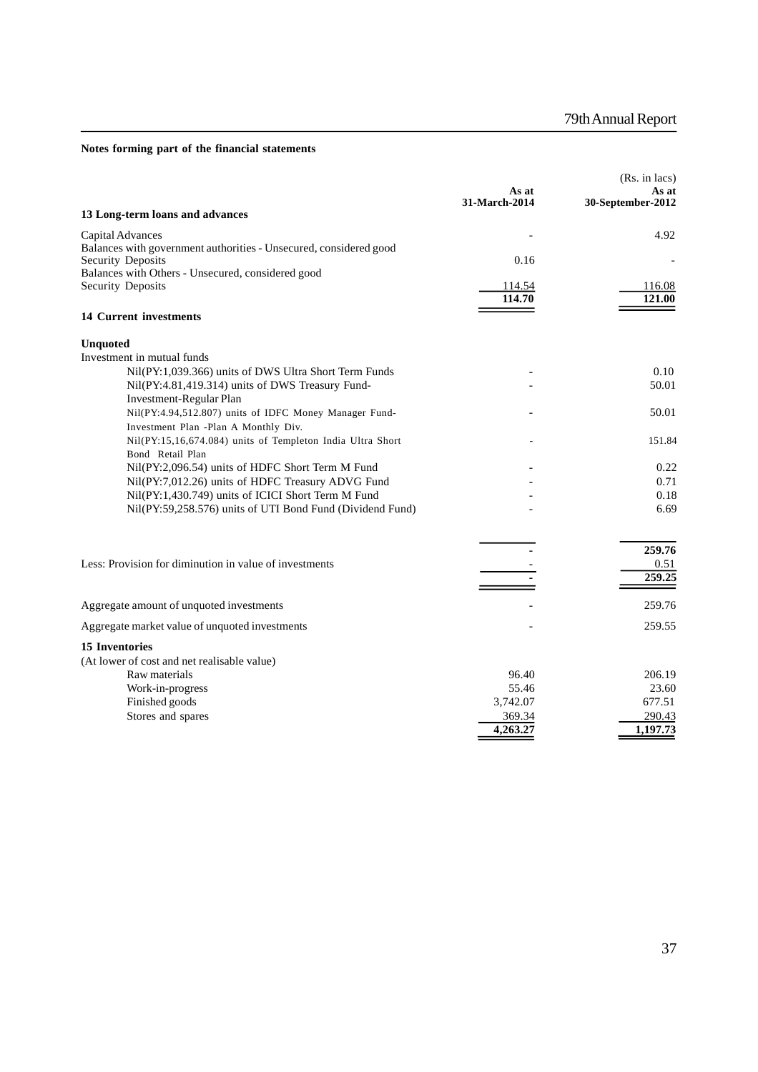# **Notes forming part of the financial statements**

|                                                                                                |                        | (Rs. in lacs)              |
|------------------------------------------------------------------------------------------------|------------------------|----------------------------|
|                                                                                                | As at<br>31-March-2014 | As at<br>30-September-2012 |
| 13 Long-term loans and advances                                                                |                        |                            |
| Capital Advances                                                                               |                        | 4.92                       |
| Balances with government authorities - Unsecured, considered good                              |                        |                            |
| <b>Security Deposits</b><br>Balances with Others - Unsecured, considered good                  | 0.16                   |                            |
| Security Deposits                                                                              | 114.54                 | 116.08                     |
|                                                                                                | 114.70                 | 121.00                     |
| <b>14 Current investments</b>                                                                  |                        |                            |
| <b>Unquoted</b>                                                                                |                        |                            |
| Investment in mutual funds                                                                     |                        |                            |
| Nil(PY:1,039.366) units of DWS Ultra Short Term Funds                                          |                        | 0.10                       |
| Nil(PY:4.81,419.314) units of DWS Treasury Fund-                                               |                        | 50.01                      |
| Investment-Regular Plan                                                                        |                        |                            |
| Nil(PY:4.94,512.807) units of IDFC Money Manager Fund-<br>Investment Plan -Plan A Monthly Div. |                        | 50.01                      |
| Nil(PY:15,16,674.084) units of Templeton India Ultra Short                                     |                        | 151.84                     |
| Bond Retail Plan                                                                               |                        |                            |
| Nil(PY:2,096.54) units of HDFC Short Term M Fund                                               |                        | 0.22                       |
| Nil(PY:7,012.26) units of HDFC Treasury ADVG Fund                                              |                        | 0.71                       |
| Nil(PY:1,430.749) units of ICICI Short Term M Fund                                             |                        | 0.18                       |
| Nil(PY:59,258.576) units of UTI Bond Fund (Dividend Fund)                                      |                        | 6.69                       |
|                                                                                                |                        | 259.76                     |
| Less: Provision for diminution in value of investments                                         |                        | 0.51                       |
|                                                                                                |                        | 259.25                     |
|                                                                                                |                        |                            |
| Aggregate amount of unquoted investments                                                       |                        | 259.76                     |
| Aggregate market value of unquoted investments                                                 |                        | 259.55                     |
| <b>15 Inventories</b>                                                                          |                        |                            |
| (At lower of cost and net realisable value)                                                    |                        |                            |
| Raw materials                                                                                  | 96.40                  | 206.19                     |
| Work-in-progress<br>Finished goods                                                             | 55.46<br>3,742.07      | 23.60<br>677.51            |
| Stores and spares                                                                              | 369.34                 | 290.43                     |
|                                                                                                | 4,263.27               | 1,197.73                   |
|                                                                                                |                        |                            |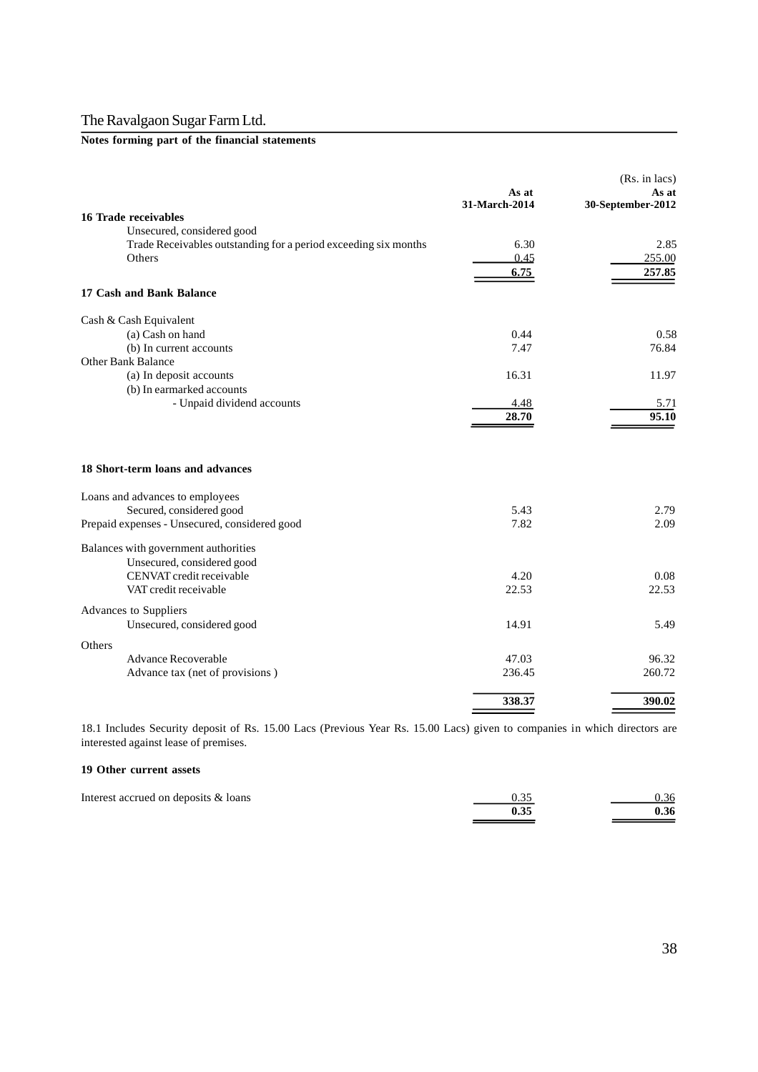# **Notes forming part of the financial statements**

|                                                                           |                        | (Rs. in lacs)              |
|---------------------------------------------------------------------------|------------------------|----------------------------|
|                                                                           | As at<br>31-March-2014 | As at<br>30-September-2012 |
| <b>16 Trade receivables</b>                                               |                        |                            |
| Unsecured, considered good                                                |                        |                            |
| Trade Receivables outstanding for a period exceeding six months<br>Others | 6.30<br>0.45           | 2.85<br>255.00             |
|                                                                           | 6.75                   | 257.85                     |
|                                                                           |                        |                            |
| 17 Cash and Bank Balance                                                  |                        |                            |
| Cash & Cash Equivalent                                                    |                        |                            |
| (a) Cash on hand                                                          | 0.44                   | 0.58                       |
| (b) In current accounts                                                   | 7.47                   | 76.84                      |
| <b>Other Bank Balance</b>                                                 |                        |                            |
| (a) In deposit accounts                                                   | 16.31                  | 11.97                      |
| (b) In earmarked accounts                                                 |                        |                            |
| - Unpaid dividend accounts                                                | 4.48                   | 5.71                       |
|                                                                           | 28.70                  | 95.10                      |
| 18 Short-term loans and advances                                          |                        |                            |
| Loans and advances to employees                                           |                        |                            |
| Secured, considered good                                                  | 5.43                   | 2.79                       |
| Prepaid expenses - Unsecured, considered good                             | 7.82                   | 2.09                       |
| Balances with government authorities                                      |                        |                            |
| Unsecured, considered good                                                |                        |                            |
| CENVAT credit receivable                                                  | 4.20                   | 0.08                       |
| VAT credit receivable                                                     | 22.53                  | 22.53                      |
| Advances to Suppliers                                                     |                        |                            |
| Unsecured, considered good                                                | 14.91                  | 5.49                       |
| Others                                                                    |                        |                            |
| <b>Advance Recoverable</b>                                                | 47.03                  | 96.32                      |
| Advance tax (net of provisions)                                           | 236.45                 | 260.72                     |
|                                                                           |                        |                            |
|                                                                           | 338.37                 | 390.02                     |
|                                                                           |                        |                            |

18.1 Includes Security deposit of Rs. 15.00 Lacs (Previous Year Rs. 15.00 Lacs) given to companies in which directors are interested against lease of premises.

#### **19 Other current assets**

| Interest accrued on deposits & loans |  |
|--------------------------------------|--|
|                                      |  |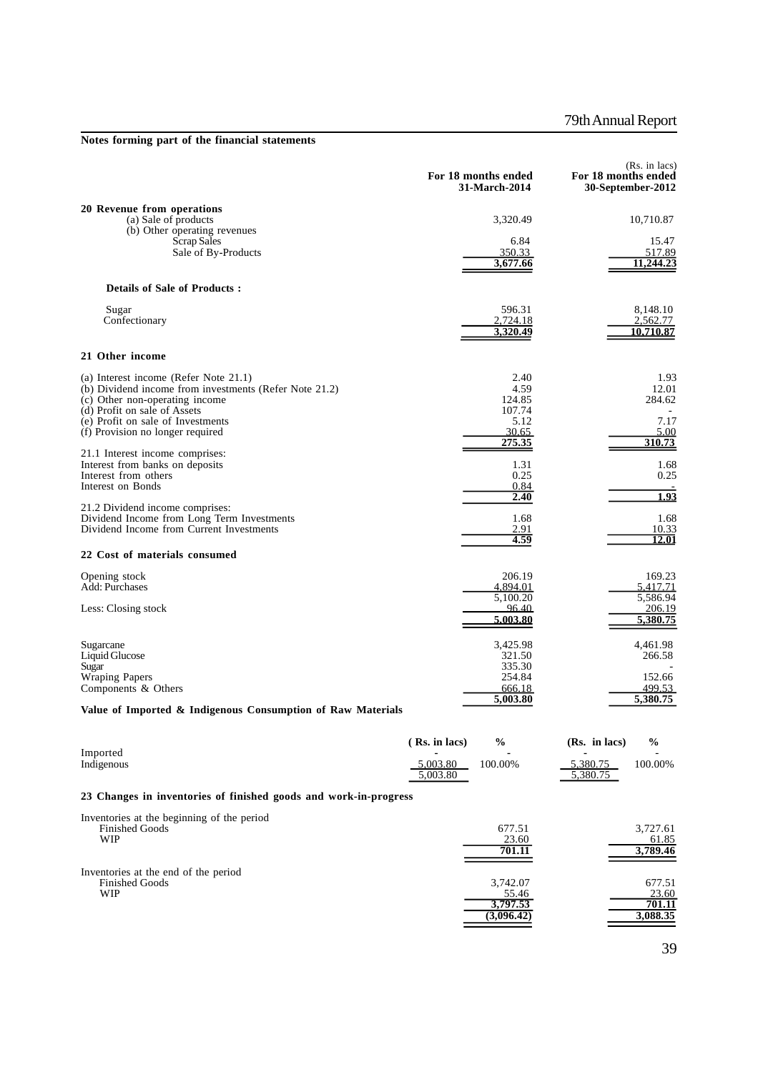# **Notes forming part of the financial statements**

|                                                                   |               | For 18 months ended<br>31-March-2014 | For 18 months ended | (Rs. in <i>lacs</i> )<br>30-September-2012 |
|-------------------------------------------------------------------|---------------|--------------------------------------|---------------------|--------------------------------------------|
| 20 Revenue from operations                                        |               |                                      |                     |                                            |
| (a) Sale of products                                              |               | 3,320.49                             |                     | 10,710.87                                  |
| (b) Other operating revenues<br>Scrap Sales                       |               | 6.84                                 |                     | 15.47                                      |
| Sale of By-Products                                               |               | 350.33                               |                     | 517.89                                     |
|                                                                   |               | 3,677.66                             |                     | 11,244.23                                  |
| <b>Details of Sale of Products:</b>                               |               |                                      |                     |                                            |
| Sugar                                                             |               | 596.31                               |                     | 8,148.10                                   |
| Confectionary                                                     |               | 2,724.18<br>3,320.49                 |                     | 2,562.77<br><u>10,710.87</u>               |
| 21 Other income                                                   |               |                                      |                     |                                            |
| (a) Interest income (Refer Note 21.1)                             |               | 2.40                                 |                     | 1.93                                       |
| (b) Dividend income from investments (Refer Note 21.2)            |               | 4.59                                 |                     | 12.01                                      |
| (c) Other non-operating income                                    |               | 124.85                               |                     | 284.62                                     |
| (d) Profit on sale of Assets<br>(e) Profit on sale of Investments |               | 107.74<br>5.12                       |                     | 7.17                                       |
| (f) Provision no longer required                                  |               | 30.65                                |                     | 5.00                                       |
|                                                                   |               | 275.35                               |                     | 310.73                                     |
| 21.1 Interest income comprises:                                   |               | 1.31                                 |                     | 1.68                                       |
| Interest from banks on deposits<br>Interest from others           |               | 0.25                                 |                     | 0.25                                       |
| Interest on Bonds                                                 |               | 0.84                                 |                     |                                            |
| 21.2 Dividend income comprises:                                   |               | 2.40                                 |                     | <u>1.93</u>                                |
| Dividend Income from Long Term Investments                        |               | 1.68                                 |                     | 1.68                                       |
| Dividend Income from Current Investments                          |               | 2.91<br>4.59                         |                     | 10.33<br>12.01                             |
| 22 Cost of materials consumed                                     |               |                                      |                     |                                            |
| Opening stock                                                     |               | 206.19                               |                     | 169.23                                     |
| Add: Purchases                                                    |               | 4.894.01                             |                     | 5.417.71                                   |
|                                                                   |               | 5,100.20<br>96.40                    |                     | 5,586.94<br>206.19                         |
| Less: Closing stock                                               |               | 5.003.80                             |                     | 5,380.75                                   |
|                                                                   |               |                                      |                     |                                            |
| Sugarcane<br>Liquid Glucose                                       |               | 3,425.98<br>321.50                   |                     | 4,461.98<br>266.58                         |
| Sugar                                                             |               | 335.30                               |                     |                                            |
| Wraping Papers                                                    |               | 254.84                               |                     | 152.66                                     |
| Components & Others                                               |               | 666.18<br>5,003.80                   |                     | 499.53<br>5,380.75                         |
| Value of Imported & Indigenous Consumption of Raw Materials       |               |                                      |                     |                                            |
|                                                                   | (Rs. in lacs) | $\%$                                 | (Rs. in lacs)       | $\frac{0}{0}$                              |
| Imported<br>Indigenous                                            | 5,003.80      | 100.00%                              | 5,380.75            | 100.00%                                    |
|                                                                   | 5,003.80      |                                      | 5,380.75            |                                            |
| 23 Changes in inventories of finished goods and work-in-progress  |               |                                      |                     |                                            |
| Inventories at the beginning of the period                        |               |                                      |                     |                                            |
| <b>Finished Goods</b>                                             |               | 677.51                               |                     | 3,727.61                                   |
| WIP                                                               |               | 23.60<br>701.11                      |                     | 61.85<br>3,789.46                          |
|                                                                   |               |                                      |                     |                                            |
| Inventories at the end of the period                              |               |                                      |                     |                                            |
| <b>Finished Goods</b><br>WIP                                      |               | 3,742.07<br>55.46                    |                     | 677.51<br>23.60                            |
|                                                                   |               | 3,797.53                             |                     | 701.11                                     |
|                                                                   |               | (3,096.42)                           |                     | 3,088.35                                   |
|                                                                   |               |                                      |                     |                                            |
|                                                                   |               |                                      |                     |                                            |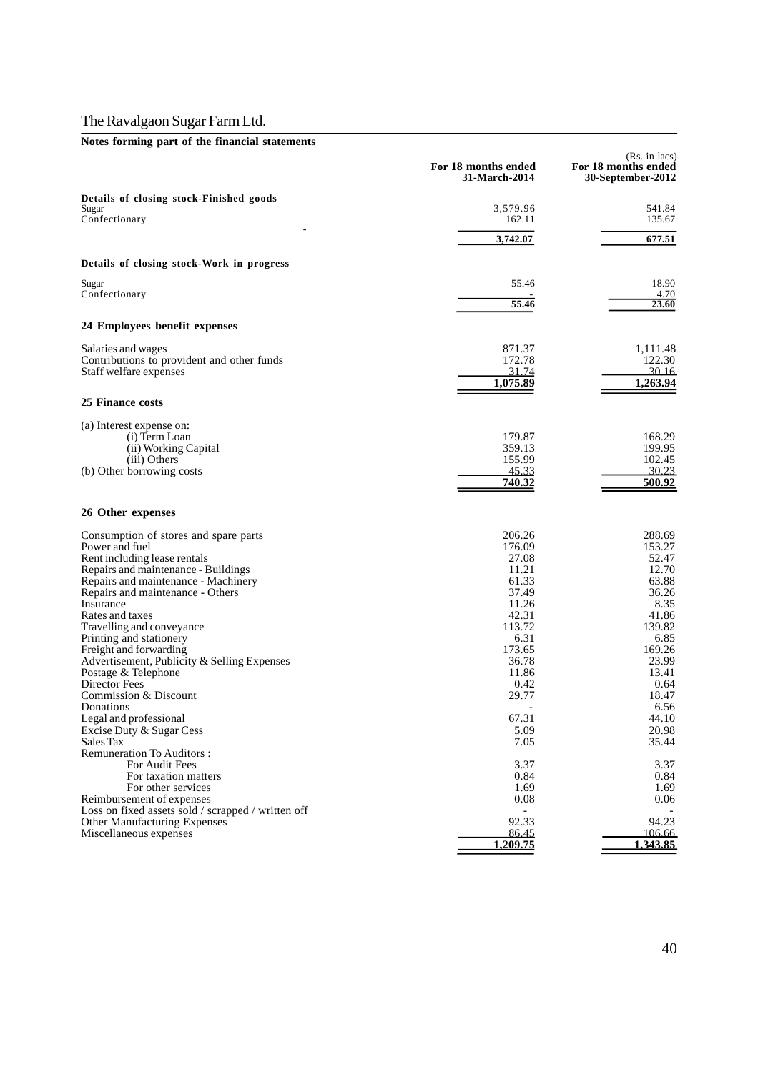|  |  |  |  |  |  | Notes forming part of the financial statements |
|--|--|--|--|--|--|------------------------------------------------|
|--|--|--|--|--|--|------------------------------------------------|

|                                                                                 | For 18 months ended<br>31-March-2014 | (Rs. in lacs)<br>For 18 months ended<br>30-September-2012 |
|---------------------------------------------------------------------------------|--------------------------------------|-----------------------------------------------------------|
| Details of closing stock-Finished goods                                         |                                      |                                                           |
| Sugar<br>Confectionary                                                          | 3,579.96<br>162.11                   | 541.84<br>135.67                                          |
|                                                                                 | 3,742.07                             | 677.51                                                    |
| Details of closing stock-Work in progress                                       |                                      |                                                           |
| Sugar                                                                           | 55.46                                | 18.90                                                     |
| Confectionary                                                                   | 55.46                                | 4.70<br>23.60                                             |
| 24 Employees benefit expenses                                                   |                                      |                                                           |
| Salaries and wages                                                              | 871.37                               | 1,111.48                                                  |
| Contributions to provident and other funds                                      | 172.78                               | 122.30                                                    |
| Staff welfare expenses                                                          | 31.74<br>1,075.89                    | <u>30 16.</u><br>1,263.94                                 |
| <b>25 Finance costs</b>                                                         |                                      |                                                           |
| (a) Interest expense on:                                                        |                                      |                                                           |
| (i) Term Loan                                                                   | 179.87                               | 168.29                                                    |
| (ii) Working Capital                                                            | 359.13                               | 199.95                                                    |
| (iii) Others                                                                    | 155.99                               | 102.45                                                    |
| (b) Other borrowing costs                                                       | 45.33<br>740.32                      | 30.23<br>500.92                                           |
|                                                                                 |                                      |                                                           |
| 26 Other expenses                                                               |                                      |                                                           |
| Consumption of stores and spare parts                                           | 206.26                               | 288.69                                                    |
| Power and fuel                                                                  | 176.09                               | 153.27                                                    |
| Rent including lease rentals                                                    | 27.08                                | 52.47<br>12.70                                            |
| Repairs and maintenance - Buildings<br>Repairs and maintenance - Machinery      | 11.21<br>61.33                       | 63.88                                                     |
| Repairs and maintenance - Others                                                | 37.49                                | 36.26                                                     |
| Insurance                                                                       | 11.26                                | 8.35                                                      |
| Rates and taxes                                                                 | 42.31                                | 41.86                                                     |
| Travelling and conveyance                                                       | 113.72                               | 139.82                                                    |
| Printing and stationery                                                         | 6.31<br>173.65                       | 6.85                                                      |
| Freight and forwarding<br>Advertisement, Publicity & Selling Expenses           | 36.78                                | 169.26<br>23.99                                           |
| Postage & Telephone                                                             | 11.86                                | 13.41                                                     |
| Director Fees                                                                   | 0.42                                 | 0.64                                                      |
| Commission & Discount                                                           | 29.77                                | 18.47                                                     |
| Donations                                                                       |                                      | 6.56                                                      |
| Legal and professional<br>Excise Duty & Sugar Cess                              | 67.31<br>5.09                        | 44.10<br>20.98                                            |
| Sales Tax                                                                       | 7.05                                 | 35.44                                                     |
| <b>Remuneration To Auditors:</b>                                                |                                      |                                                           |
| For Audit Fees                                                                  | 3.37                                 | 3.37                                                      |
| For taxation matters                                                            | 0.84                                 | 0.84                                                      |
| For other services                                                              | 1.69                                 | 1.69                                                      |
| Reimbursement of expenses<br>Loss on fixed assets sold / scrapped / written off | 0.08                                 | 0.06                                                      |
| Other Manufacturing Expenses                                                    | 92.33                                | 94.23                                                     |
| Miscellaneous expenses                                                          | 86.45                                | 106.66                                                    |
|                                                                                 | 1,209.75                             | 1.343.85                                                  |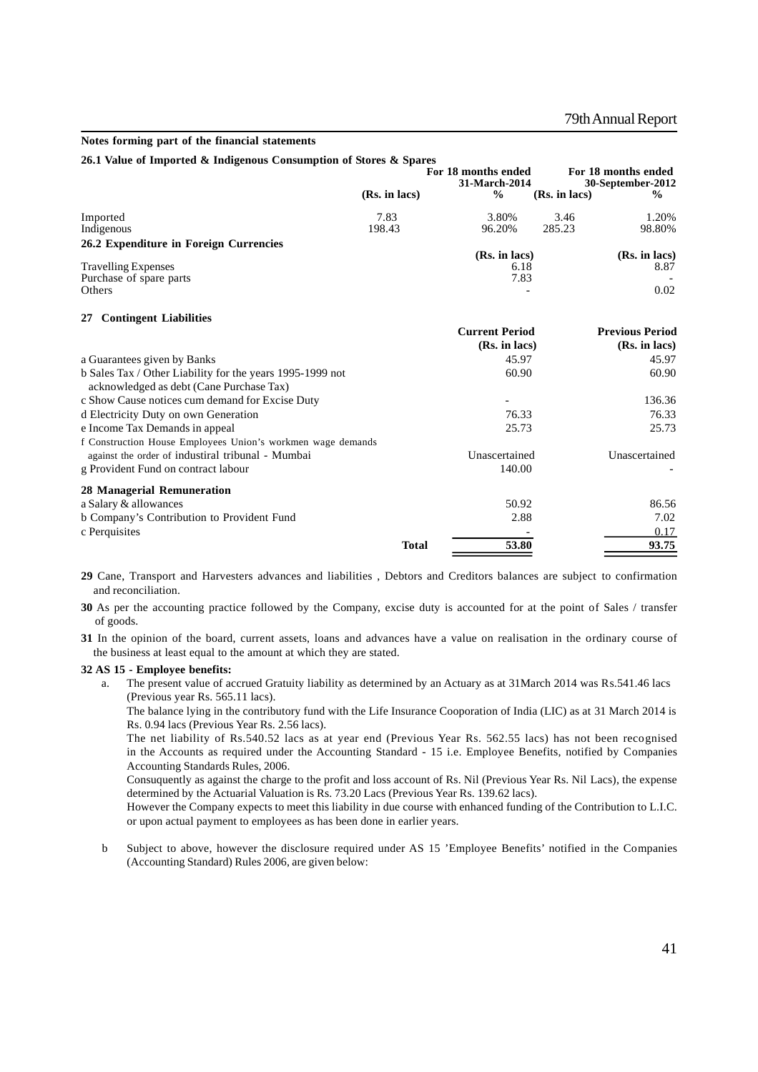#### **Notes forming part of the financial statements**

#### **26.1 Value of Imported & Indigenous Consumption of Stores & Spares**

|                                                             | (Rs. in lacs)  | For 18 months ended<br>31-March-2014<br>$\frac{0}{0}$ | (Rs. in lacs)  | For 18 months ended<br>30-September-2012<br>$\frac{6}{6}$ |
|-------------------------------------------------------------|----------------|-------------------------------------------------------|----------------|-----------------------------------------------------------|
|                                                             |                |                                                       |                |                                                           |
| Imported<br>Indigenous                                      | 7.83<br>198.43 | 3.80%<br>96.20%                                       | 3.46<br>285.23 | 1.20%<br>98.80%                                           |
|                                                             |                |                                                       |                |                                                           |
| 26.2 Expenditure in Foreign Currencies                      |                | (Rs. in lacs)                                         |                | (Rs. in lacs)                                             |
| <b>Travelling Expenses</b>                                  |                | 6.18                                                  |                | 8.87                                                      |
| Purchase of spare parts                                     |                | 7.83                                                  |                |                                                           |
| Others                                                      |                |                                                       |                | 0.02                                                      |
| <b>Contingent Liabilities</b><br>27                         |                |                                                       |                |                                                           |
|                                                             |                | <b>Current Period</b>                                 |                | <b>Previous Period</b>                                    |
|                                                             |                | (Rs. in lacs)                                         |                | (Rs. in lacs)                                             |
| a Guarantees given by Banks                                 |                | 45.97                                                 |                | 45.97                                                     |
| b Sales Tax / Other Liability for the years 1995-1999 not   |                | 60.90                                                 |                | 60.90                                                     |
| acknowledged as debt (Cane Purchase Tax)                    |                |                                                       |                |                                                           |
| c Show Cause notices cum demand for Excise Duty             |                |                                                       |                | 136.36                                                    |
| d Electricity Duty on own Generation                        |                | 76.33                                                 |                | 76.33                                                     |
| e Income Tax Demands in appeal                              |                | 25.73                                                 |                | 25.73                                                     |
| f Construction House Employees Union's workmen wage demands |                |                                                       |                |                                                           |
| against the order of industiral tribunal - Mumbai           |                | Unascertained                                         |                | Unascertained                                             |
| g Provident Fund on contract labour                         |                | 140.00                                                |                |                                                           |
| <b>28 Managerial Remuneration</b>                           |                |                                                       |                |                                                           |
| a Salary & allowances                                       |                | 50.92                                                 |                | 86.56                                                     |
| b Company's Contribution to Provident Fund                  |                | 2.88                                                  |                | 7.02                                                      |
| c Perquisites                                               |                |                                                       |                | 0.17                                                      |
|                                                             | <b>Total</b>   | 53.80                                                 |                | 93.75                                                     |
|                                                             |                |                                                       |                |                                                           |

**29** Cane, Transport and Harvesters advances and liabilities , Debtors and Creditors balances are subject to confirmation and reconciliation.

- **30** As per the accounting practice followed by the Company, excise duty is accounted for at the point of Sales / transfer of goods.
- **31** In the opinion of the board, current assets, loans and advances have a value on realisation in the ordinary course of the business at least equal to the amount at which they are stated.

#### **32 AS 15 - Employee benefits:**

 a. The present value of accrued Gratuity liability as determined by an Actuary as at 31March 2014 was Rs.541.46 lacs (Previous year Rs. 565.11 lacs).

The balance lying in the contributory fund with the Life Insurance Cooporation of India (LIC) as at 31 March 2014 is Rs. 0.94 lacs (Previous Year Rs. 2.56 lacs).

The net liability of Rs.540.52 lacs as at year end (Previous Year Rs. 562.55 lacs) has not been recognised in the Accounts as required under the Accounting Standard - 15 i.e. Employee Benefits, notified by Companies Accounting Standards Rules, 2006.

Consuquently as against the charge to the profit and loss account of Rs. Nil (Previous Year Rs. Nil Lacs), the expense determined by the Actuarial Valuation is Rs. 73.20 Lacs (Previous Year Rs. 139.62 lacs).

However the Company expects to meet this liability in due course with enhanced funding of the Contribution to L.I.C. or upon actual payment to employees as has been done in earlier years.

 b Subject to above, however the disclosure required under AS 15 'Employee Benefits' notified in the Companies (Accounting Standard) Rules 2006, are given below: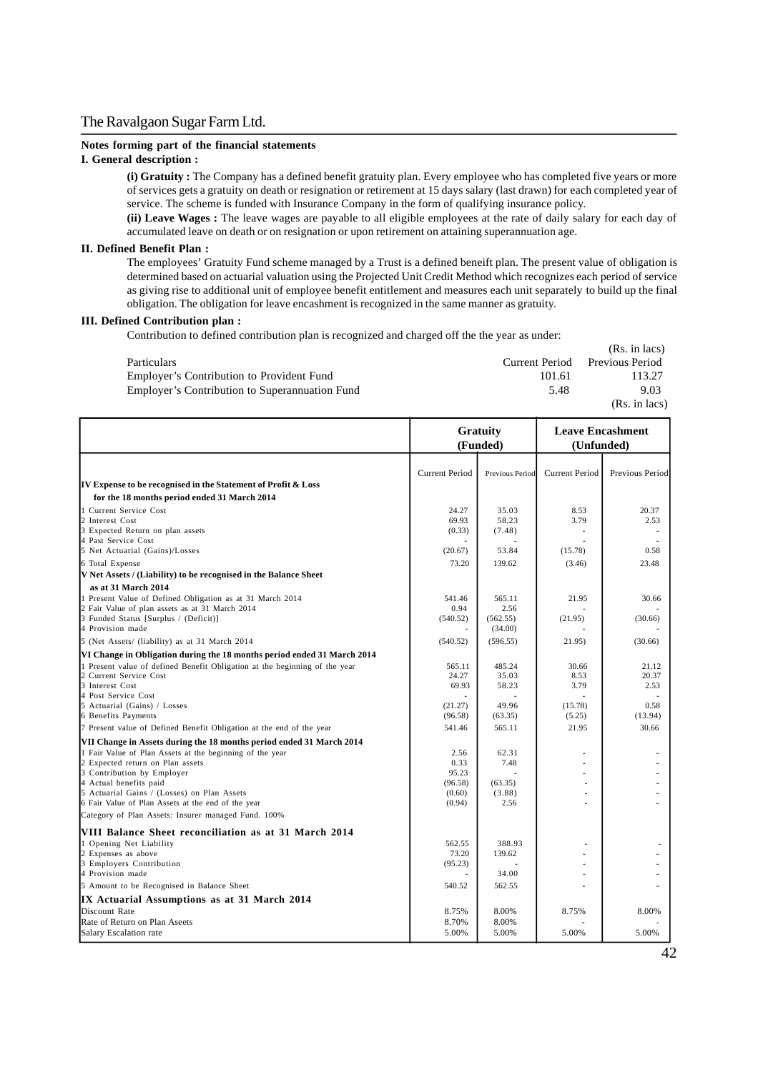#### **Notes forming part of the financial statements**

#### **I. General description :**

**(i) Gratuity :** The Company has a defined benefit gratuity plan. Every employee who has completed five years or more of services gets a gratuity on death or resignation or retirement at 15 days salary (last drawn) for each completed year of service. The scheme is funded with Insurance Company in the form of qualifying insurance policy.

**(ii) Leave Wages :** The leave wages are payable to all eligible employees at the rate of daily salary for each day of accumulated leave on death or on resignation or upon retirement on attaining superannuation age.

#### **II. Defined Benefit Plan :**

The employees' Gratuity Fund scheme managed by a Trust is a defined beneift plan. The present value of obligation is determined based on actuarial valuation using the Projected Unit Credit Method which recognizes each period of service as giving rise to additional unit of employee benefit entitlement and measures each unit separately to build up the final obligation. The obligation for leave encashment is recognized in the same manner as gratuity.

#### **III. Defined Contribution plan :**

Contribution to defined contribution plan is recognized and charged off the the year as under:

|                    |                                                                                             |                | (Rs. in lacs)   |
|--------------------|---------------------------------------------------------------------------------------------|----------------|-----------------|
| <b>Particulars</b> |                                                                                             | Current Period | Previous Period |
|                    |                                                                                             | 101.61         | 113.27          |
|                    |                                                                                             | 5.48           | 9.03            |
|                    |                                                                                             |                | $(Rs. in lacs)$ |
|                    | Employer's Contribution to Provident Fund<br>Employer's Contribution to Superannuation Fund |                |                 |

|                                                                                                               | Gratuity<br>(Funded)  |                 | <b>Leave Encashment</b><br>(Unfunded) |                 |
|---------------------------------------------------------------------------------------------------------------|-----------------------|-----------------|---------------------------------------|-----------------|
|                                                                                                               | <b>Current Period</b> | Previous Period | <b>Current Period</b>                 | Previous Period |
| IV Expense to be recognised in the Statement of Profit & Loss<br>for the 18 months period ended 31 March 2014 |                       |                 |                                       |                 |
| 1 Current Service Cost                                                                                        | 24.27                 | 35.03           | 8.53                                  | 20.37           |
| 2 Interest Cost                                                                                               | 69.93                 | 58.23           | 3.79                                  | 2.53            |
| 3 Expected Return on plan assets                                                                              | (0.33)                | (7.48)          |                                       |                 |
| 4 Past Service Cost                                                                                           |                       |                 |                                       |                 |
| 5 Net Actuarial (Gains)/Losses                                                                                | (20.67)               | 53.84           | (15.78)                               | 0.58            |
| 6 Total Expense                                                                                               | 73.20                 | 139.62          | (3.46)                                | 23.48           |
| V Net Assets / (Liability) to be recognised in the Balance Sheet                                              |                       |                 |                                       |                 |
| as at 31 March 2014                                                                                           |                       |                 |                                       |                 |
| 1 Present Value of Defined Obligation as at 31 March 2014                                                     | 541.46                | 565.11          | 21.95                                 | 30.66           |
| 2 Fair Value of plan assets as at 31 March 2014                                                               | 0.94                  | 2.56            |                                       |                 |
| 3 Funded Status [Surplus / (Deficit)]                                                                         | (540.52)              | (562.55)        | (21.95)                               | (30.66)         |
| 4 Provision made                                                                                              |                       | (34.00)         |                                       |                 |
| 5 (Net Assets/ (liability) as at 31 March 2014                                                                | (540.52)              | (596.55)        | 21.95)                                | (30.66)         |
| VI Change in Obligation during the 18 months period ended 31 March 2014                                       |                       |                 |                                       |                 |
| 1 Present value of defined Benefit Obligation at the beginning of the year                                    | 565.11                | 485.24          | 30.66                                 | 21.12           |
| 2 Current Service Cost                                                                                        | 24.27                 | 35.03           | 8.53                                  | 20.37           |
| 3 Interest Cost<br>4 Post Service Cost                                                                        | 69.93                 | 58.23           | 3.79                                  | 2.53            |
| 5 Actuarial (Gains) / Losses                                                                                  | (21.27)               | 49.96           | (15.78)                               | 0.58            |
| 6 Benefits Payments                                                                                           | (96.58)               | (63.35)         | (5.25)                                | (13.94)         |
| 7 Present value of Defined Benefit Obligation at the end of the year                                          | 541.46                | 565.11          | 21.95                                 | 30.66           |
| VII Change in Assets during the 18 months period ended 31 March 2014                                          |                       |                 |                                       |                 |
| 1 Fair Value of Plan Assets at the beginning of the year                                                      | 2.56                  | 62.31           |                                       |                 |
| 2 Expected return on Plan assets                                                                              | 0.33                  | 7.48            |                                       |                 |
| 3 Contribution by Employer                                                                                    | 95.23                 |                 |                                       |                 |
| 4 Actual benefits paid                                                                                        | (96.58)               | (63.35)         |                                       |                 |
| 5 Actuarial Gains / (Losses) on Plan Assets<br>6 Fair Value of Plan Assets at the end of the year             | (0.60)<br>(0.94)      | (3.88)<br>2.56  |                                       |                 |
| Category of Plan Assets: Insurer managed Fund. 100%                                                           |                       |                 |                                       |                 |
| VIII Balance Sheet reconciliation as at 31 March 2014                                                         |                       |                 |                                       |                 |
|                                                                                                               |                       | 388.93          |                                       |                 |
| 1 Opening Net Liability<br>2 Expenses as above                                                                | 562.55<br>73.20       | 139.62          |                                       |                 |
| 3 Employers Contribution                                                                                      | (95.23)               |                 |                                       |                 |
| 4 Provision made                                                                                              |                       | 34.00           |                                       |                 |
| 5 Amount to be Recognised in Balance Sheet                                                                    | 540.52                | 562.55          |                                       |                 |
| IX Actuarial Assumptions as at 31 March 2014                                                                  |                       |                 |                                       |                 |
| Discount Rate                                                                                                 | 8.75%                 | 8.00%           | 8.75%                                 | 8.00%           |
| Rate of Return on Plan Aseets                                                                                 | 8.70%                 | 8.00%           |                                       |                 |
| Salary Escalation rate                                                                                        | 5.00%                 | 5.00%           | 5.00%                                 | 5.00%           |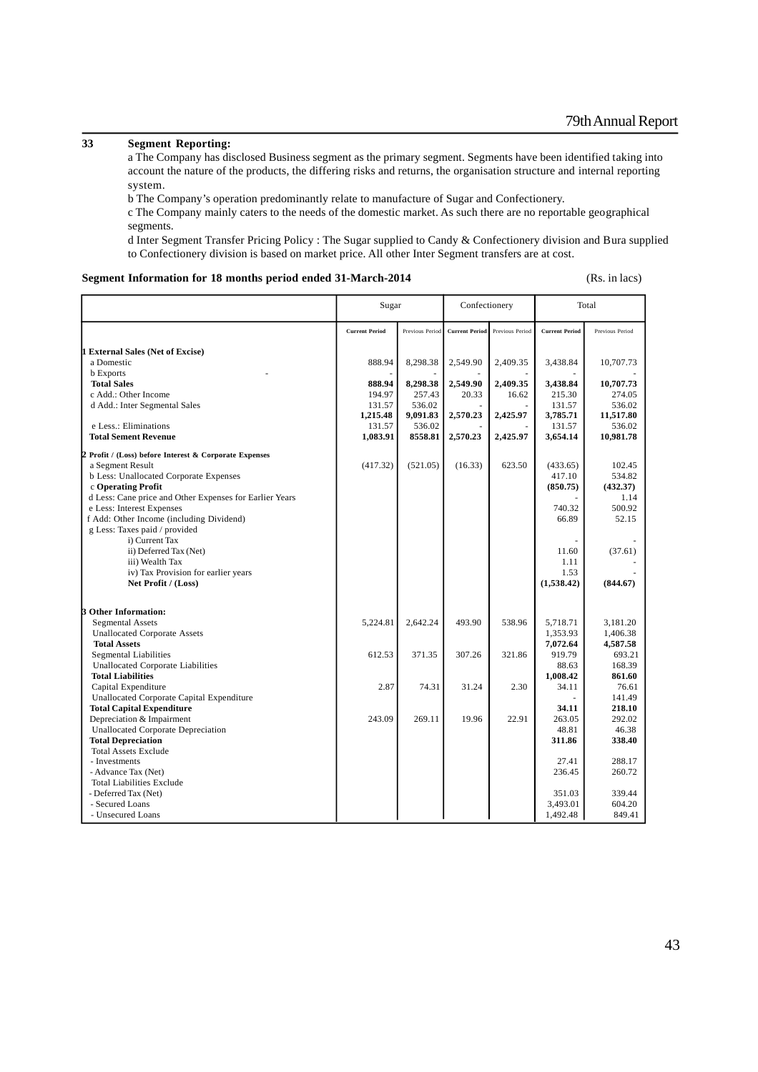# **33 Segment Reporting:**

a The Company has disclosed Business segment as the primary segment. Segments have been identified taking into account the nature of the products, the differing risks and returns, the organisation structure and internal reporting system.

b The Company's operation predominantly relate to manufacture of Sugar and Confectionery.

c The Company mainly caters to the needs of the domestic market. As such there are no reportable geographical segments.

d Inter Segment Transfer Pricing Policy : The Sugar supplied to Candy & Confectionery division and Bura supplied to Confectionery division is based on market price. All other Inter Segment transfers are at cost.

#### **Segment Information for 18 months period ended 31-March-2014** (Rs. in lacs)

|                                                         | Sugar                 |                 | Confectionery         |                 |                       | Total           |
|---------------------------------------------------------|-----------------------|-----------------|-----------------------|-----------------|-----------------------|-----------------|
|                                                         | <b>Current Period</b> | Previous Period | <b>Current Period</b> | Previous Period | <b>Current Period</b> | Previous Period |
| 1 External Sales (Net of Excise)                        |                       |                 |                       |                 |                       |                 |
| a Domestic                                              | 888.94                | 8,298.38        | 2,549.90              | 2,409.35        | 3,438.84              | 10,707.73       |
| <b>b</b> Exports                                        |                       |                 |                       |                 |                       |                 |
| <b>Total Sales</b>                                      | 888.94                | 8,298.38        | 2,549.90              | 2,409.35        | 3,438.84              | 10,707.73       |
| c Add.: Other Income                                    | 194.97                | 257.43          | 20.33                 | 16.62           | 215.30                | 274.05          |
| d Add.: Inter Segmental Sales                           | 131.57                | 536.02          |                       |                 | 131.57                | 536.02          |
|                                                         | 1,215.48              | 9,091.83        | 2,570.23              | 2,425.97        | 3,785.71              | 11,517.80       |
| e Less.: Eliminations                                   | 131.57                | 536.02          |                       |                 | 131.57                | 536.02          |
| <b>Total Sement Revenue</b>                             | 1,083.91              | 8558.81         | 2,570.23              | 2,425.97        | 3,654.14              | 10,981.78       |
| 2 Profit / (Loss) before Interest & Corporate Expenses  |                       |                 |                       |                 |                       |                 |
| a Segment Result                                        | (417.32)              | (521.05)        | (16.33)               | 623.50          | (433.65)              | 102.45          |
| b Less: Unallocated Corporate Expenses                  |                       |                 |                       |                 | 417.10                | 534.82          |
| c Operating Profit                                      |                       |                 |                       |                 | (850.75)              | (432.37)        |
| d Less: Cane price and Other Expenses for Earlier Years |                       |                 |                       |                 |                       | 1.14            |
| e Less: Interest Expenses                               |                       |                 |                       |                 | 740.32                | 500.92          |
| f Add: Other Income (including Dividend)                |                       |                 |                       |                 | 66.89                 | 52.15           |
| g Less: Taxes paid / provided                           |                       |                 |                       |                 |                       |                 |
| i) Current Tax                                          |                       |                 |                       |                 |                       |                 |
| ii) Deferred Tax (Net)                                  |                       |                 |                       |                 | 11.60                 | (37.61)         |
| iii) Wealth Tax                                         |                       |                 |                       |                 | 1.11                  |                 |
| iv) Tax Provision for earlier years                     |                       |                 |                       |                 | 1.53                  |                 |
| Net Profit / (Loss)                                     |                       |                 |                       |                 | (1,538.42)            | (844.67)        |
|                                                         |                       |                 |                       |                 |                       |                 |
| 3 Other Information:                                    |                       |                 |                       |                 |                       |                 |
| <b>Segmental Assets</b>                                 | 5,224.81              | 2,642.24        | 493.90                | 538.96          | 5,718.71              | 3,181.20        |
| <b>Unallocated Corporate Assets</b>                     |                       |                 |                       |                 | 1,353.93              | 1,406.38        |
| <b>Total Assets</b>                                     |                       |                 |                       |                 | 7,072.64              | 4,587.58        |
| <b>Segmental Liabilities</b>                            | 612.53                | 371.35          | 307.26                | 321.86          | 919.79                | 693.21          |
| <b>Unallocated Corporate Liabilities</b>                |                       |                 |                       |                 | 88.63                 | 168.39          |
| <b>Total Liabilities</b>                                |                       |                 |                       |                 | 1.008.42              | 861.60          |
| Capital Expenditure                                     | 2.87                  | 74.31           | 31.24                 | 2.30            | 34.11                 | 76.61           |
| Unallocated Corporate Capital Expenditure               |                       |                 |                       |                 |                       | 141.49          |
| <b>Total Capital Expenditure</b>                        |                       |                 |                       |                 | 34.11                 | 218.10          |
| Depreciation & Impairment                               | 243.09                | 269.11          | 19.96                 | 22.91           | 263.05                | 292.02          |
| Unallocated Corporate Depreciation                      |                       |                 |                       |                 | 48.81                 | 46.38           |
| <b>Total Depreciation</b>                               |                       |                 |                       |                 | 311.86                | 338.40          |
| <b>Total Assets Exclude</b>                             |                       |                 |                       |                 |                       |                 |
| - Investments                                           |                       |                 |                       |                 | 27.41                 | 288.17          |
| - Advance Tax (Net)                                     |                       |                 |                       |                 | 236.45                | 260.72          |
| <b>Total Liabilities Exclude</b>                        |                       |                 |                       |                 |                       |                 |
| - Deferred Tax (Net)                                    |                       |                 |                       |                 | 351.03                | 339.44          |
| - Secured Loans                                         |                       |                 |                       |                 | 3,493.01              | 604.20          |
| - Unsecured Loans                                       |                       |                 |                       |                 | 1,492.48              | 849.41          |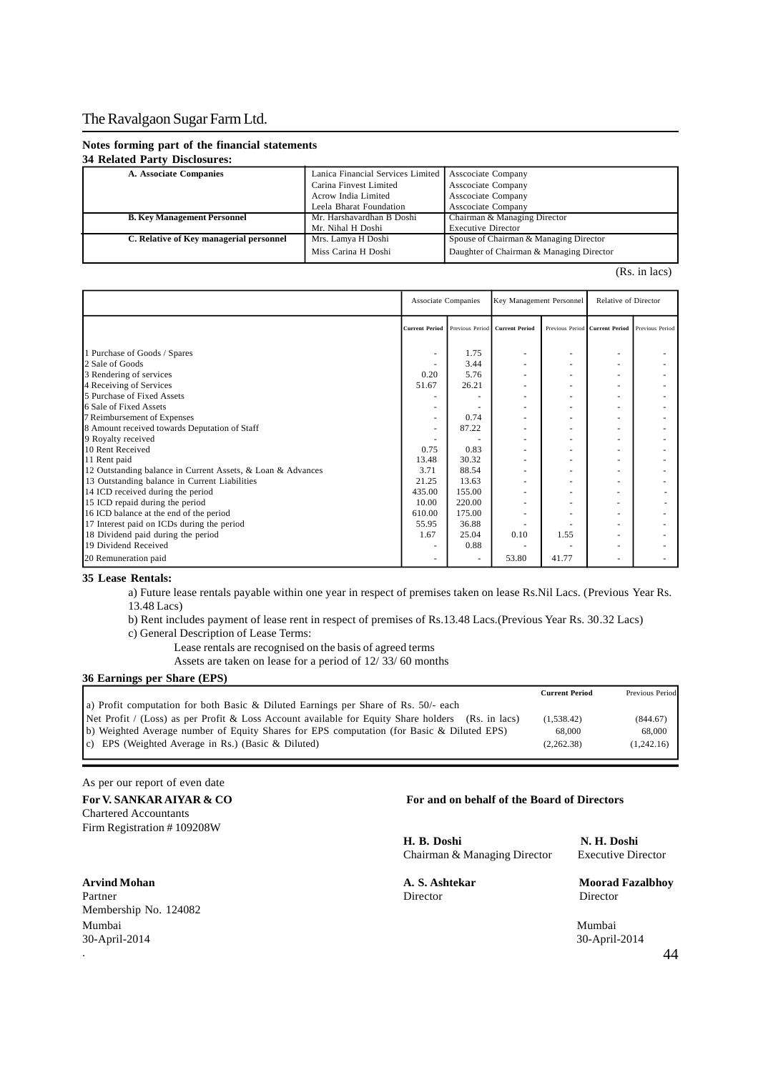#### **Notes forming part of the financial statements**

#### **34 Related Party Disclosures:**

| 97 Renated I ally Disclosules:          |                                   |                                          |
|-----------------------------------------|-----------------------------------|------------------------------------------|
| A. Associate Companies                  | Lanica Financial Services Limited | Asscociate Company                       |
|                                         | Carina Finvest Limited            | <b>Asscociate Company</b>                |
|                                         | Acrow India Limited               | <b>Asscociate Company</b>                |
|                                         | Leela Bharat Foundation           | <b>Asscociate Company</b>                |
| <b>B. Key Management Personnel</b>      | Mr. Harshavardhan B Doshi         | Chairman & Managing Director             |
|                                         | Mr. Nihal H Doshi                 | <b>Executive Director</b>                |
| C. Relative of Key managerial personnel | Mrs. Lamya H Doshi                | Spouse of Chairman & Managing Director   |
|                                         | Miss Carina H Doshi               | Daughter of Chairman & Managing Director |
|                                         |                                   |                                          |

(Rs. in lacs)

|                                                             | <b>Associate Companies</b> |        | Key Management Personnel       |       | Relative of Director           |                 |
|-------------------------------------------------------------|----------------------------|--------|--------------------------------|-------|--------------------------------|-----------------|
|                                                             | <b>Current Period</b>      |        | Previous Period Current Period |       | Previous Period Current Period | Previous Period |
| 1 Purchase of Goods / Spares                                |                            | 1.75   |                                |       |                                |                 |
| 2 Sale of Goods                                             |                            | 3.44   | $\sim$                         |       |                                |                 |
| 3 Rendering of services                                     | 0.20                       | 5.76   |                                |       |                                |                 |
| 4 Receiving of Services                                     | 51.67                      | 26.21  |                                |       |                                |                 |
| 5 Purchase of Fixed Assets                                  |                            |        | $\overline{\phantom{a}}$       |       | $\overline{\phantom{a}}$       |                 |
| 6 Sale of Fixed Assets                                      |                            |        | $\overline{\phantom{a}}$       |       |                                |                 |
| 7 Reimbursement of Expenses                                 | ۰                          | 0.74   | $\overline{\phantom{a}}$       |       |                                |                 |
| 8 Amount received towards Deputation of Staff               | $\overline{\phantom{a}}$   | 87.22  |                                |       |                                |                 |
| 9 Royalty received                                          |                            |        |                                |       |                                |                 |
| 10 Rent Received                                            | 0.75                       | 0.83   |                                |       |                                |                 |
| 11 Rent paid                                                | 13.48                      | 30.32  |                                |       |                                |                 |
| 12 Outstanding balance in Current Assets, & Loan & Advances | 3.71                       | 88.54  | $\overline{\phantom{a}}$       |       |                                |                 |
| 13 Outstanding balance in Current Liabilities               | 21.25                      | 13.63  |                                |       |                                |                 |
| 14 ICD received during the period                           | 435.00                     | 155.00 |                                |       |                                |                 |
| 15 ICD repaid during the period                             | 10.00                      | 220.00 |                                |       | ٠                              |                 |
| 16 ICD balance at the end of the period                     | 610.00                     | 175.00 |                                |       |                                |                 |
| 17 Interest paid on ICDs during the period                  | 55.95                      | 36.88  |                                |       |                                |                 |
| 18 Dividend paid during the period                          | 1.67                       | 25.04  | 0.10                           | 1.55  |                                |                 |
| 19 Dividend Received                                        |                            | 0.88   |                                |       |                                |                 |
| 20 Remuneration paid                                        |                            |        | 53.80                          | 41.77 |                                |                 |

**35 Lease Rentals:**

a) Future lease rentals payable within one year in respect of premises taken on lease Rs.Nil Lacs. (Previous Year Rs. 13.48 Lacs)

b) Rent includes payment of lease rent in respect of premises of Rs.13.48 Lacs.(Previous Year Rs. 30.32 Lacs)

c) General Description of Lease Terms:

Lease rentals are recognised on the basis of agreed terms

Assets are taken on lease for a period of 12/ 33/ 60 months

#### **36 Earnings per Share (EPS)**

|                                                                                                   | <b>Current Period</b> | Previous Period |
|---------------------------------------------------------------------------------------------------|-----------------------|-----------------|
| a) Profit computation for both Basic & Diluted Earnings per Share of Rs. 50/- each                |                       |                 |
| Net Profit / (Loss) as per Profit & Loss Account available for Equity Share holders (Rs. in lacs) | (1.538.42)            | (844.67)        |
| (b) Weighted Average number of Equity Shares for EPS computation (for Basic & Diluted EPS)        | 68,000                | 68,000          |
| $ c\rangle$ EPS (Weighted Average in Rs.) (Basic & Diluted)                                       | (2.262.38)            | (1,242,16)      |
|                                                                                                   |                       |                 |

#### As per our report of even date

Chartered Accountants Firm Registration # 109208W

#### **Arvind Mohan A. S. Ashtekar Moorad Fazalbhoy A. S. Ashtekar Moorad Fazalbhoy** Partner Director Director Director Director Director Director Director Director Director Membership No. 124082 Mumbai Mumbai

#### **For V. SANKAR AIYAR & CO For and on behalf of the Board of Directors**

**H. B. Doshi N. H. Doshi Chairman & Managing Director Executive Director** Chairman & Managing Director

30-April-2014 30-April-2014 . 44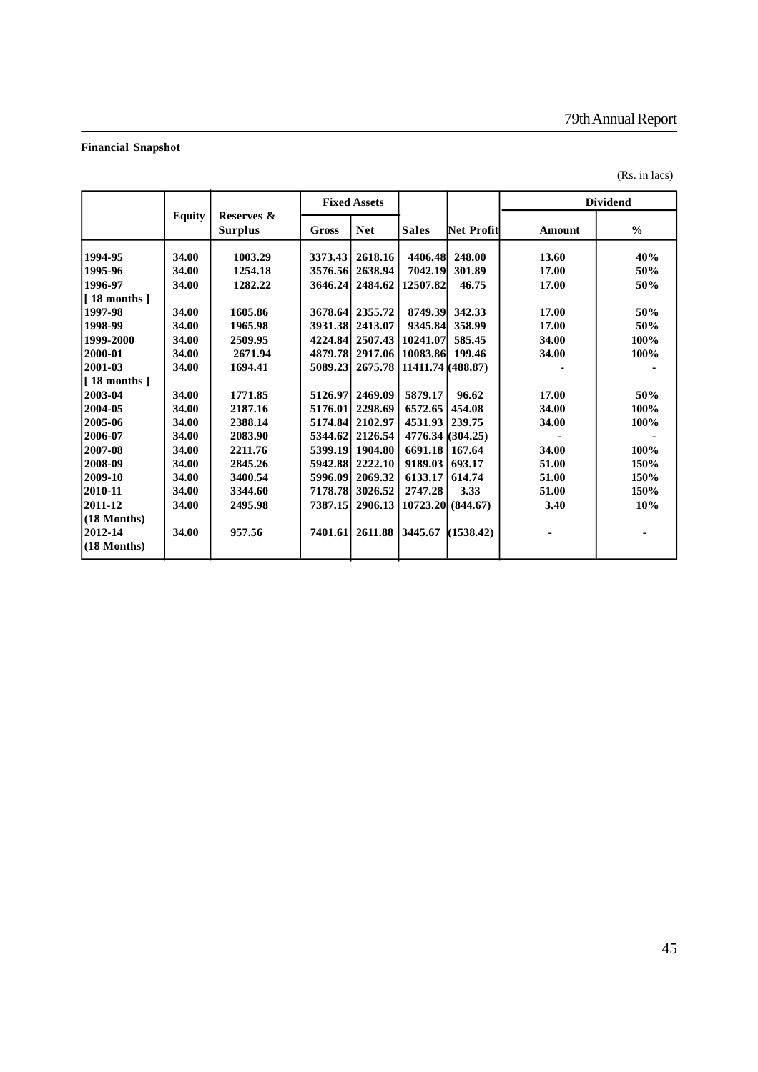## **Financial Snapshot**

| (Rs. in lacs) |  |  |  |  |
|---------------|--|--|--|--|
|---------------|--|--|--|--|

|                       |               |                              |         | <b>Fixed Assets</b> |                   |                   |               | <b>Dividend</b> |
|-----------------------|---------------|------------------------------|---------|---------------------|-------------------|-------------------|---------------|-----------------|
|                       | <b>Equity</b> | Reserves &<br><b>Surplus</b> | Gross   | <b>Net</b>          | <b>Sales</b>      | Net Profit        | <b>Amount</b> | $\frac{0}{0}$   |
| 1994-95               | 34.00         | 1003.29                      | 3373.43 | 2618.16             | 4406.48           | 248.00            | 13.60         | 40%             |
| 1995-96               | 34.00         | 1254.18                      | 3576.56 | 2638.94             | 7042.19           | 301.89            | 17.00         | 50%             |
| 1996-97               | 34.00         | 1282.22                      | 3646.24 | 2484.62             | 12507.82          | 46.75             | 17.00         | 50%             |
| $\vert$ [ 18 months ] |               |                              |         |                     |                   |                   |               |                 |
| 1997-98               | 34.00         | 1605.86                      |         | 3678.64 2355.72     | 8749.39           | 342.33            | 17.00         | 50%             |
| 1998-99               | 34.00         | 1965.98                      | 3931.38 | 2413.07             | 9345.84           | 358.99            | 17.00         | 50%             |
| 1999-2000             | 34.00         | 2509.95                      | 4224.84 | 2507.43             | 10241.07          | 585.45            | 34.00         | 100%            |
| 2000-01               | 34.00         | 2671.94                      | 4879.78 | 2917.06             | 10083.86          | 199.46            | 34.00         | 100%            |
| 2001-03               | 34.00         | 1694.41                      | 5089.23 | 2675.78             | 11411.74 (488.87) |                   |               |                 |
| $\vert$ [ 18 months ] |               |                              |         |                     |                   |                   |               |                 |
| 2003-04               | 34.00         | 1771.85                      | 5126.97 | 2469.09             | 5879.17           | 96.62             | 17.00         | 50%             |
| 2004-05               | 34.00         | 2187.16                      | 5176.01 | 2298.69             | 6572.65           | 454.08            | 34.00         | 100%            |
| 2005-06               | 34.00         | 2388.14                      |         | 5174.84 2102.97     | 4531.93 239.75    |                   | 34.00         | 100%            |
| 2006-07               | 34.00         | 2083.90                      |         | 5344.62 2126.54     |                   | 4776.34 (304.25)  |               |                 |
| 2007-08               | 34.00         | 2211.76                      |         | 5399.19 1904.80     | 6691.18 167.64    |                   | 34.00         | 100%            |
| 2008-09               | 34.00         | 2845.26                      |         | 5942.88 2222.10     | 9189.03           | 693.17            | 51.00         | 150%            |
| 2009-10               | 34.00         | 3400.54                      | 5996.09 | 2069.32             | 6133.17           | 614.74            | 51.00         | 150%            |
| 2010-11               | 34.00         | 3344.60                      | 7178.78 | 3026.52             | 2747.28           | 3.33              | 51.00         | 150%            |
| 2011-12               | 34.00         | 2495.98                      | 7387.15 | 2906.13             |                   | 10723.20 (844.67) | 3.40          | 10%             |
| $(18$ Months)         |               |                              |         |                     |                   |                   |               |                 |
| 2012-14               | 34.00         | 957.56                       | 7401.61 | 2611.88             | 3445.67           | (1538.42)         |               |                 |
| $(18$ Months)         |               |                              |         |                     |                   |                   |               |                 |